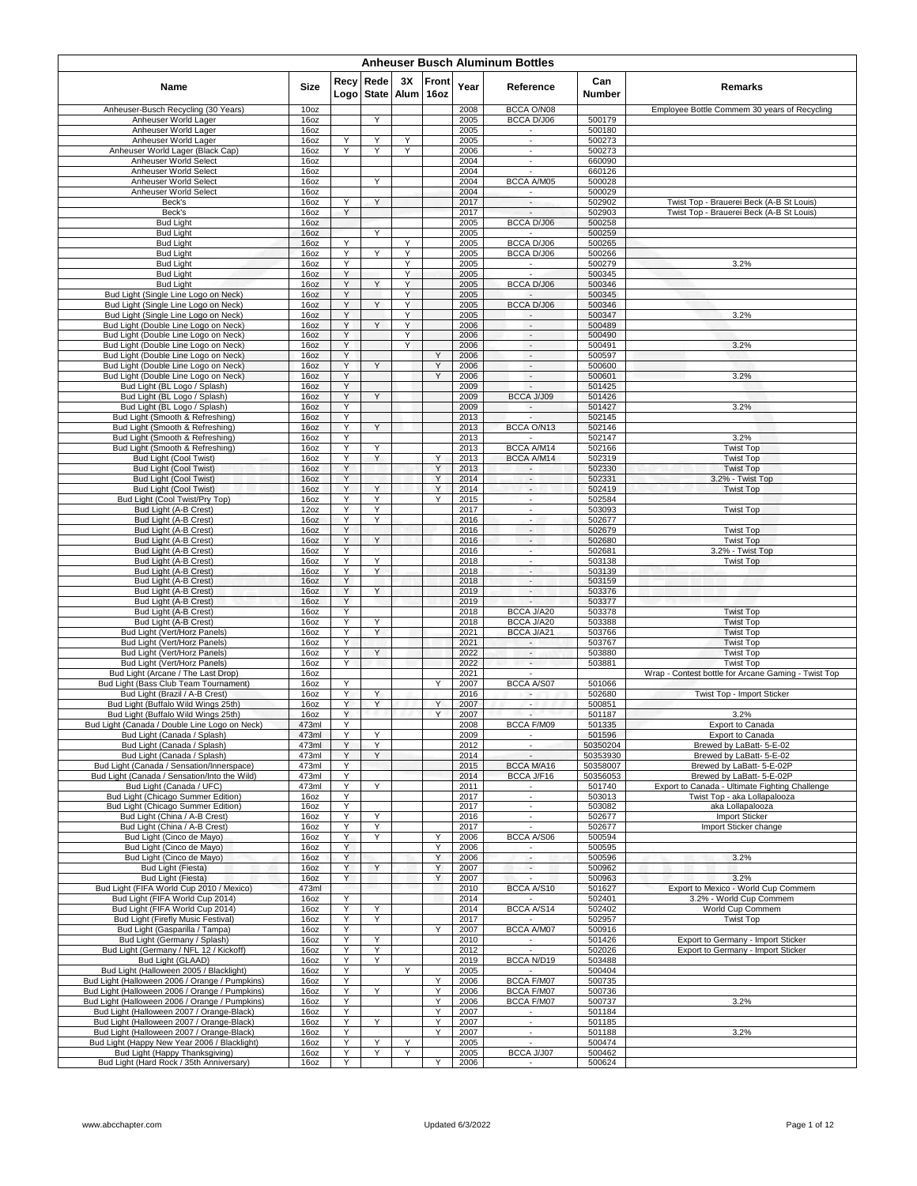| <b>Anheuser Busch Aluminum Bottles</b>                                                           |                  |              |                      |                 |        |              |                                                      |                      |                                                                                |  |  |  |  |
|--------------------------------------------------------------------------------------------------|------------------|--------------|----------------------|-----------------|--------|--------------|------------------------------------------------------|----------------------|--------------------------------------------------------------------------------|--|--|--|--|
| Name                                                                                             | Size             | Recv<br>Logo | Rede<br><b>State</b> | 3X<br>Alum 16oz | Front  | Year         | Reference                                            | Can<br>Number        | Remarks                                                                        |  |  |  |  |
| Anheuser-Busch Recycling (30 Years)                                                              | 10 <sub>oz</sub> |              |                      |                 |        | 2008         | BCCA O/N08                                           |                      | Employee Bottle Commem 30 years of Recycling                                   |  |  |  |  |
| Anheuser World Lager<br>Anheuser World Lager                                                     | 16oz             |              | Y                    |                 |        | 2005<br>2005 | BCCA D/J06                                           | 500179<br>500180     |                                                                                |  |  |  |  |
| Anheuser World Lager                                                                             | 16oz<br>16oz     | Υ            | Υ                    | Υ               |        | 2005         | $\sim$<br>$\overline{\phantom{a}}$                   | 500273               |                                                                                |  |  |  |  |
| Anheuser World Lager (Black Cap)                                                                 | 16oz             | Y            | Ϋ                    | Υ               |        | 2006         | $\blacksquare$                                       | 500273               |                                                                                |  |  |  |  |
| Anheuser World Select                                                                            | 16oz             |              |                      |                 |        | 2004         | $\overline{\phantom{a}}$                             | 660090               |                                                                                |  |  |  |  |
| Anheuser World Select<br>Anheuser World Select                                                   | 16oz<br>16oz     |              | Y                    |                 |        | 2004<br>2004 | BCCA A/M05                                           | 660126<br>500028     |                                                                                |  |  |  |  |
| Anheuser World Select                                                                            | 16oz             |              |                      |                 |        | 2004         |                                                      | 500029               |                                                                                |  |  |  |  |
| Beck's                                                                                           | 16oz             | Y            | Y                    |                 |        | 2017         | $\overline{\phantom{a}}$                             | 502902               | Twist Top - Brauerei Beck (A-B St Louis)                                       |  |  |  |  |
| Beck's                                                                                           | 16oz             | Y            |                      |                 |        | 2017<br>2005 | $\overline{a}$<br>BCCA D/J06                         | 502903               | Twist Top - Brauerei Beck (A-B St Louis)                                       |  |  |  |  |
| <b>Bud Light</b><br><b>Bud Light</b>                                                             | 16oz<br>16oz     |              | Υ                    |                 |        | 2005         |                                                      | 500258<br>500259     |                                                                                |  |  |  |  |
| <b>Bud Light</b>                                                                                 | 16oz             | Y            |                      | Y               |        | 2005         | BCCA D/J06                                           | 500265               |                                                                                |  |  |  |  |
| <b>Bud Light</b>                                                                                 | 16oz             | Y            | Y                    | Y               |        | 2005         | BCCA D/J06                                           | 500266               |                                                                                |  |  |  |  |
| <b>Bud Light</b><br><b>Bud Light</b>                                                             | 16oz<br>16oz     | Y<br>Y       |                      | Y<br>Υ          |        | 2005<br>2005 | $\epsilon$                                           | 500279<br>500345     | 3.2%                                                                           |  |  |  |  |
| <b>Bud Light</b>                                                                                 | 16oz             | Υ            |                      | Υ               |        | 2005         | <b>BCCA D/J06</b>                                    | 500346               |                                                                                |  |  |  |  |
| Bud Light (Single Line Logo on Neck)                                                             | 16oz             | Υ            |                      | Y               |        | 2005         |                                                      | 500345               |                                                                                |  |  |  |  |
| Bud Light (Single Line Logo on Neck)<br>Bud Light (Single Line Logo on Neck)                     | 16oz<br>16oz     | Y<br>Υ       |                      | Y<br>Y          |        | 2005<br>2005 | BCCA D/J06<br>$\sim$                                 | 500346<br>500347     | 3.2%                                                                           |  |  |  |  |
| Bud Light (Double Line Logo on Neck)                                                             | 16oz             | Y            | Y                    | Y               |        | 2006         | $\sim$                                               | 500489               |                                                                                |  |  |  |  |
| Bud Light (Double Line Logo on Neck)                                                             | 16oz             | Y            |                      | Y               |        | 2006         | $\overline{\phantom{a}}$                             | 500490               |                                                                                |  |  |  |  |
| Bud Light (Double Line Logo on Neck)                                                             | 16oz             | Y            |                      | Y               |        | 2006         | $\overline{\phantom{a}}$                             | 500491               | 3.2%                                                                           |  |  |  |  |
| Bud Light (Double Line Logo on Neck)<br>Bud Light (Double Line Logo on Neck)                     | 16oz<br>16oz     | Υ<br>Y       | Y                    |                 | Υ<br>Υ | 2006<br>2006 | $\sim$<br>$\sim$                                     | 500597<br>500600     |                                                                                |  |  |  |  |
| Bud Light (Double Line Logo on Neck)                                                             | 16oz             | Y            |                      |                 | Y      | 2006         | $\overline{\phantom{a}}$                             | 500601               | 3.2%                                                                           |  |  |  |  |
| Bud Light (BL Logo / Splash)                                                                     | 16oz             | Υ            |                      |                 |        | 2009         | $\sim$                                               | 501425               |                                                                                |  |  |  |  |
| Bud Light (BL Logo / Splash)                                                                     | 16oz             | Υ            | Y                    |                 |        | 2009         | BCCA J/J09                                           | 501426               |                                                                                |  |  |  |  |
| Bud Light (BL Logo / Splash)<br>Bud Light (Smooth & Refreshing)                                  | 16oz<br>16oz     | Υ<br>Y       |                      |                 |        | 2009<br>2013 | $\overline{\phantom{a}}$                             | 501427<br>502145     | 3.2%                                                                           |  |  |  |  |
| Bud Light (Smooth & Refreshing)                                                                  | 16oz             | Y            | Y                    |                 |        | 2013         | BCCA O/N13                                           | 502146               |                                                                                |  |  |  |  |
| Bud Light (Smooth & Refreshing)                                                                  | 16oz             | Y            |                      |                 |        | 2013         |                                                      | 502147               | 3.2%                                                                           |  |  |  |  |
| Bud Light (Smooth & Refreshing)                                                                  | 16oz             | Υ<br>Υ       | Υ<br>Y               |                 | Υ      | 2013<br>2013 | BCCA A/M14<br>BCCA A/M14                             | 502166<br>502319     | <b>Twist Top</b>                                                               |  |  |  |  |
| Bud Light (Cool Twist)<br>Bud Light (Cool Twist)                                                 | 16oz<br>16oz     | Y            |                      |                 | Y      | 2013         | $\sim$                                               | 502330               | <b>Twist Top</b><br><b>Twist Top</b>                                           |  |  |  |  |
| <b>Bud Light (Cool Twist)</b>                                                                    | 16oz             | Y            |                      |                 | Y      | 2014         | $\blacksquare$                                       | 502331               | 3.2% - Twist Top                                                               |  |  |  |  |
| <b>Bud Light (Cool Twist)</b>                                                                    | 16oz             | Y            | Y                    |                 | Y      | 2014         | $\overline{\phantom{a}}$                             | 502419               | <b>Twist Top</b>                                                               |  |  |  |  |
| Bud Light (Cool Twist/Pry Top)<br>Bud Light (A-B Crest)                                          | 16oz<br>12oz     | Y<br>Υ       | Y<br>Y               |                 | Y      | 2015<br>2017 | $\sim$<br>$\blacksquare$                             | 502584<br>503093     | <b>Twist Top</b>                                                               |  |  |  |  |
| Bud Light (A-B Crest)                                                                            | 16oz             | Υ            | Y                    |                 |        | 2016         | $\blacksquare$                                       | 502677               |                                                                                |  |  |  |  |
| Bud Light (A-B Crest)                                                                            | 16oz             | Υ            |                      |                 |        | 2016         | $\overline{\phantom{a}}$                             | 502679               | <b>Twist Top</b>                                                               |  |  |  |  |
| Bud Light (A-B Crest)                                                                            | 16oz             | Υ            | Y                    |                 |        | 2016         | $\sim$                                               | 502680               | <b>Twist Top</b>                                                               |  |  |  |  |
| Bud Light (A-B Crest)<br>Bud Light (A-B Crest)                                                   | 16oz<br>16oz     | Υ<br>Y       | Y                    |                 |        | 2016<br>2018 | $\overline{\phantom{a}}$<br>$\overline{\phantom{a}}$ | 502681<br>503138     | 3.2% - Twist Top<br><b>Twist Top</b>                                           |  |  |  |  |
| Bud Light (A-B Crest)                                                                            | 16oz             | Υ            | Υ                    |                 |        | 2018         | $\overline{\phantom{a}}$                             | 503139               |                                                                                |  |  |  |  |
| Bud Light (A-B Crest)                                                                            | 16oz             | Υ            |                      |                 |        | 2018         | н.                                                   | 503159               |                                                                                |  |  |  |  |
| Bud Light (A-B Crest)                                                                            | 16oz             | Υ            | Y                    |                 |        | 2019         | ٠                                                    | 503376               |                                                                                |  |  |  |  |
| Bud Light (A-B Crest)<br>Bud Light (A-B Crest)                                                   | 16oz<br>16oz     | Y<br>Υ       |                      |                 |        | 2019<br>2018 | BCCA J/A20                                           | 503377<br>503378     | <b>Twist Top</b>                                                               |  |  |  |  |
| Bud Light (A-B Crest)                                                                            | 16oz             | Υ            | Υ                    |                 |        | 2018         | BCCA J/A20                                           | 503388               | <b>Twist Top</b>                                                               |  |  |  |  |
| Bud Light (Vert/Horz Panels)                                                                     | 16oz             | Y            | Y                    |                 |        | 2021         | BCCA J/A21                                           | 503766               | <b>Twist Top</b>                                                               |  |  |  |  |
| Bud Light (Vert/Horz Panels)                                                                     | 16oz<br>16oz     | Υ<br>Y       | Y                    |                 |        | 2021<br>2022 | $\sim$<br>$\overline{\phantom{a}}$                   | 503767<br>503880     | <b>Twist Top</b><br><b>Twist Top</b>                                           |  |  |  |  |
| Bud Light (Vert/Horz Panels)<br>Bud Light (Vert/Horz Panels)                                     | 16oz             | Υ            |                      |                 |        | 2022         | $\overline{\phantom{a}}$                             | 503881               | <b>Twist Top</b>                                                               |  |  |  |  |
| Bud Light (Arcane / The Last Drop)                                                               | 16oz             |              |                      |                 |        | 2021         |                                                      |                      | Wrap - Contest bottle for Arcane Gaming - Twist Top                            |  |  |  |  |
| Bud Light (Bass Club Team Tournament)                                                            | 16oz             | Υ            |                      |                 | Y      | 2007         | <b>BCCA A/S07</b>                                    | 501066               |                                                                                |  |  |  |  |
| Bud Light (Brazil / A-B Crest)<br>Bud Light (Buffalo Wild Wings 25th)                            | 16oz<br>16oz     | Y<br>Y       | Y<br>Y               |                 | Y      | 2016<br>2007 | $\overline{\phantom{a}}$                             | 502680<br>500851     | Twist Top - Import Sticker                                                     |  |  |  |  |
| Bud Light (Buffalo Wild Wings 25th)                                                              | 16oz             | Y            |                      |                 | Υ      | 2007         | $\overline{\phantom{a}}$                             | 501187               | 3.2%                                                                           |  |  |  |  |
| Bud Light (Canada / Double Line Logo on Neck)                                                    | 473ml            |              |                      |                 |        | 2008         | BCCA F/M09                                           | 501335               | Export to Canada                                                               |  |  |  |  |
| Bud Light (Canada / Splash)<br>Bud Light (Canada / Splash)                                       | 473ml<br>473ml   | Υ<br>Y       | Υ<br>Y               |                 |        | 2009         | $\blacksquare$                                       | 501596               | Export to Canada<br>Brewed by LaBatt- 5-E-02                                   |  |  |  |  |
| Bud Light (Canada / Splash)                                                                      | 473ml            | Y            | Y                    |                 |        | 2012<br>2014 |                                                      | 50350204<br>50353930 | Brewed by LaBatt- 5-E-02                                                       |  |  |  |  |
| Bud Light (Canada / Sensation/Innerspace)                                                        | 473ml            | Y            |                      |                 |        | 2015         | BCCA M/A16                                           | 50358007             | Brewed by LaBatt- 5-E-02P                                                      |  |  |  |  |
| Bud Light (Canada / Sensation/Into the Wild)                                                     | 473ml            | Υ            |                      |                 |        | 2014         | BCCA J/F16                                           | 50356053             | Brewed by LaBatt- 5-E-02P                                                      |  |  |  |  |
| Bud Light (Canada / UFC)<br>Bud Light (Chicago Summer Edition)                                   | 473ml<br>16oz    | Y<br>Υ       | Υ                    |                 |        | 2011<br>2017 | $\sim$<br>$\sim$                                     | 501740<br>503013     | Export to Canada - Ultimate Fighting Challenge<br>Twist Top - aka Lollapalooza |  |  |  |  |
| Bud Light (Chicago Summer Edition)                                                               | 16oz             | Υ            |                      |                 |        | 2017         | ÷.                                                   | 503082               | aka Lollapalooza                                                               |  |  |  |  |
| Bud Light (China / A-B Crest)                                                                    | 16oz             | Υ            | Υ                    |                 |        | 2016         | $\overline{\phantom{a}}$                             | 502677               | Import Sticker                                                                 |  |  |  |  |
| Bud Light (China / A-B Crest)                                                                    | 16oz             | Υ            | Υ                    |                 |        | 2017         | $\sim$                                               | 502677               | Import Sticker change                                                          |  |  |  |  |
| Bud Light (Cinco de Mayo)<br>Bud Light (Cinco de Mayo)                                           | 16oz<br>16oz     | Y<br>Y       | Y                    |                 | Υ<br>Υ | 2006<br>2006 | BCCA A/S06                                           | 500594<br>500595     |                                                                                |  |  |  |  |
| Bud Light (Cinco de Mayo)                                                                        | 16oz             | Y            |                      |                 | Υ      | 2006         | $\overline{\phantom{a}}$                             | 500596               | 3.2%                                                                           |  |  |  |  |
| Bud Light (Fiesta)                                                                               | 16oz             | Y            | Y                    |                 | Y      | 2007         | $\sim$                                               | 500962               |                                                                                |  |  |  |  |
| Bud Light (Fiesta)                                                                               | 16oz             | Y            |                      |                 | Y      | 2007         |                                                      | 500963               | 3.2%                                                                           |  |  |  |  |
| Bud Light (FIFA World Cup 2010 / Mexico)<br>Bud Light (FIFA World Cup 2014)                      | 473ml<br>16oz    | Υ            |                      |                 |        | 2010<br>2014 | BCCA A/S10<br>$\sim$                                 | 501627<br>502401     | Export to Mexico - World Cup Commem<br>3.2% - World Cup Commem                 |  |  |  |  |
| Bud Light (FIFA World Cup 2014)                                                                  | 16oz             | Υ            | Υ                    |                 |        | 2014         | BCCA A/S14                                           | 502402               | World Cup Commem                                                               |  |  |  |  |
| Bud Light (Firefly Music Festival)                                                               | 16oz             | Υ            | Y                    |                 |        | 2017         |                                                      | 502957               | <b>Twist Top</b>                                                               |  |  |  |  |
| Bud Light (Gasparilla / Tampa)                                                                   | 16oz             | Y            |                      |                 | Y      | 2007         | BCCA A/M07                                           | 500916               |                                                                                |  |  |  |  |
| Bud Light (Germany / Splash)<br>Bud Light (Germany / NFL 12 / Kickoff)                           | 16oz<br>16oz     | Υ<br>Υ       | Υ<br>Υ               |                 |        | 2010<br>2012 | $\sim$                                               | 501426<br>502026     | Export to Germany - Import Sticker<br>Export to Germany - Import Sticker       |  |  |  |  |
| Bud Light (GLAAD)                                                                                | 16oz             | Y            | Y                    |                 |        | 2019         | BCCA N/D19                                           | 503488               |                                                                                |  |  |  |  |
| Bud Light (Halloween 2005 / Blacklight)                                                          | 16oz             | Υ            |                      | Y               |        | 2005         | $\sim$                                               | 500404               |                                                                                |  |  |  |  |
| Bud Light (Halloween 2006 / Orange / Pumpkins)                                                   | 16oz             | Υ            |                      |                 | Υ      | 2006         | BCCA F/M07                                           | 500735               |                                                                                |  |  |  |  |
| Bud Light (Halloween 2006 / Orange / Pumpkins)<br>Bud Light (Halloween 2006 / Orange / Pumpkins) | 16oz<br>16oz     | Υ<br>Υ       | Υ                    |                 | Υ<br>Υ | 2006<br>2006 | BCCA F/M07<br>BCCA F/M07                             | 500736<br>500737     | 3.2%                                                                           |  |  |  |  |
| Bud Light (Halloween 2007 / Orange-Black)                                                        | 16oz             | Υ            |                      |                 | Y      | 2007         | $\sim$                                               | 501184               |                                                                                |  |  |  |  |
| Bud Light (Halloween 2007 / Orange-Black)                                                        | 16oz             | Υ            | Y                    |                 | Υ      | 2007         | $\mathcal{L}_{\mathcal{A}}$                          | 501185               |                                                                                |  |  |  |  |
| Bud Light (Halloween 2007 / Orange-Black)<br>Bud Light (Happy New Year 2006 / Blacklight)        | 16oz<br>16oz     | Y<br>Υ       | Y                    | Υ               | Y      | 2007<br>2005 | $\sim$<br>$\overline{\phantom{a}}$                   | 501188<br>500474     | 3.2%                                                                           |  |  |  |  |
| Bud Light (Happy Thanksgiving)                                                                   | 16oz             | Υ            | Υ                    | Υ               |        | 2005         | BCCA J/J07                                           | 500462               |                                                                                |  |  |  |  |
| Bud Light (Hard Rock / 35th Anniversary)                                                         | 16oz             | Υ            |                      |                 | Y      | 2006         |                                                      | 500624               |                                                                                |  |  |  |  |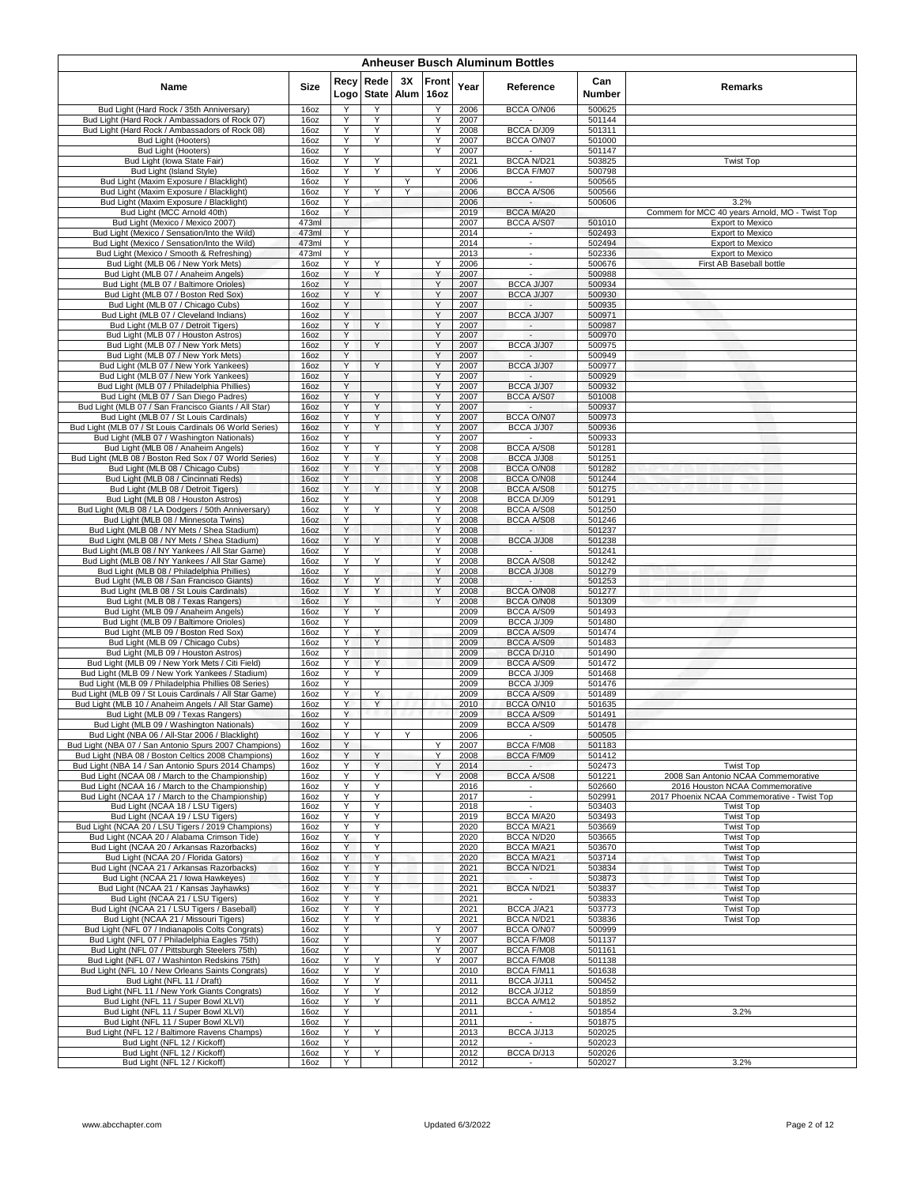|                                                                                                          | <b>Anheuser Busch Aluminum Bottles</b> |              |                      |            |               |              |                                               |                  |                                                                           |  |  |  |  |  |
|----------------------------------------------------------------------------------------------------------|----------------------------------------|--------------|----------------------|------------|---------------|--------------|-----------------------------------------------|------------------|---------------------------------------------------------------------------|--|--|--|--|--|
| Name                                                                                                     | Size                                   | Recy<br>Logo | Rede<br><b>State</b> | 3X<br>Alum | Front<br>16oz | Year         | Reference                                     | Can<br>Number    | Remarks                                                                   |  |  |  |  |  |
| Bud Light (Hard Rock / 35th Anniversary)                                                                 | 16oz                                   | Υ            | Υ                    |            | Υ             | 2006         | BCCA O/N06                                    | 500625           |                                                                           |  |  |  |  |  |
| Bud Light (Hard Rock / Ambassadors of Rock 07)<br>Bud Light (Hard Rock / Ambassadors of Rock 08)         | 16oz<br>16oz                           | Υ<br>Y       | Y<br>Y               |            | Y<br>Υ        | 2007<br>2008 | BCCA D/J09                                    | 501144<br>501311 |                                                                           |  |  |  |  |  |
| Bud Light (Hooters)                                                                                      | 16oz                                   | Y            | Y                    |            | Υ             | 2007         | BCCA O/N07                                    | 501000           |                                                                           |  |  |  |  |  |
| Bud Light (Hooters)                                                                                      | 16oz                                   | Υ            |                      |            | Υ             | 2007         |                                               | 501147           |                                                                           |  |  |  |  |  |
| Bud Light (Iowa State Fair)<br>Bud Light (Island Style)                                                  | 16oz<br>16oz                           | Y<br>Y       | Υ<br>Y               |            | Y             | 2021<br>2006 | BCCA N/D21<br>BCCA F/M07                      | 503825<br>500798 | <b>Twist Top</b>                                                          |  |  |  |  |  |
| Bud Light (Maxim Exposure / Blacklight)                                                                  | 16oz                                   | Y            |                      | Y          |               | 2006         |                                               | 500565           |                                                                           |  |  |  |  |  |
| Bud Light (Maxim Exposure / Blacklight)                                                                  | 16oz                                   | Y            | Υ                    | Υ          |               | 2006         | BCCA A/S06                                    | 500566           |                                                                           |  |  |  |  |  |
| Bud Light (Maxim Exposure / Blacklight)<br>Bud Light (MCC Arnold 40th)                                   | 16oz                                   | Y<br>Y       |                      |            |               | 2006         | $\overline{\phantom{a}}$<br><b>BCCA M/A20</b> | 500606           | 3.2%                                                                      |  |  |  |  |  |
| Bud Light (Mexico / Mexico 2007)                                                                         | 16oz<br>473ml                          |              |                      |            |               | 2019<br>2007 | BCCA A/S07                                    | 501010           | Commem for MCC 40 years Arnold, MO - Twist Top<br><b>Export to Mexico</b> |  |  |  |  |  |
| Bud Light (Mexico / Sensation/Into the Wild)                                                             | 473ml                                  | Y            |                      |            |               | 2014         |                                               | 502493           | Export to Mexico                                                          |  |  |  |  |  |
| Bud Light (Mexico / Sensation/Into the Wild)                                                             | 473ml                                  | Y            |                      |            |               | 2014         | $\sim$                                        | 502494           | <b>Export to Mexico</b>                                                   |  |  |  |  |  |
| Bud Light (Mexico / Smooth & Refreshing)<br>Bud Light (MLB 06 / New York Mets)                           | 473ml<br>16oz                          | Y<br>Y       | Υ                    |            | Y             | 2013<br>2006 | ×<br>$\overline{\phantom{a}}$                 | 502336<br>500676 | <b>Export to Mexico</b><br>First AB Baseball bottle                       |  |  |  |  |  |
| Bud Light (MLB 07 / Anaheim Angels)                                                                      | 16oz                                   | Y            | Y                    |            | Υ             | 2007         | $\blacksquare$                                | 500988           |                                                                           |  |  |  |  |  |
| Bud Light (MLB 07 / Baltimore Orioles)                                                                   | 16oz                                   | Y            |                      |            | Υ             | 2007         | BCCA J/J07                                    | 500934           |                                                                           |  |  |  |  |  |
| Bud Light (MLB 07 / Boston Red Sox)<br>Bud Light (MLB 07 / Chicago Cubs)                                 | 16oz<br>16oz                           | Y<br>Y       | Y                    |            | Y<br>Y        | 2007<br>2007 | BCCA J/J07                                    | 500930<br>500935 |                                                                           |  |  |  |  |  |
| Bud Light (MLB 07 / Cleveland Indians)                                                                   | 16oz                                   | Y            |                      |            | Υ             | 2007         | BCCA J/J07                                    | 500971           |                                                                           |  |  |  |  |  |
| Bud Light (MLB 07 / Detroit Tigers)                                                                      | 16oz                                   | Y            | Y                    |            | Y             | 2007         |                                               | 500987           |                                                                           |  |  |  |  |  |
| Bud Light (MLB 07 / Houston Astros)                                                                      | 16oz                                   | Y<br>Y       | Y                    |            | Y<br>Y        | 2007         | BCCA J/J07                                    | 500970           |                                                                           |  |  |  |  |  |
| Bud Light (MLB 07 / New York Mets)<br>Bud Light (MLB 07 / New York Mets)                                 | 16oz<br>16oz                           | Y            |                      |            | Y             | 2007<br>2007 | $\sim$                                        | 500975<br>500949 |                                                                           |  |  |  |  |  |
| Bud Light (MLB 07 / New York Yankees)                                                                    | 16oz                                   | Y            | Y                    |            | Y             | 2007         | BCCA J/J07                                    | 500977           |                                                                           |  |  |  |  |  |
| Bud Light (MLB 07 / New York Yankees)                                                                    | 16oz                                   | Υ            |                      |            | Y             | 2007         |                                               | 500929           |                                                                           |  |  |  |  |  |
| Bud Light (MLB 07 / Philadelphia Phillies)<br>Bud Light (MLB 07 / San Diego Padres)                      | 16oz<br>16oz                           | Y<br>Y       | Υ                    |            | Υ<br>Υ        | 2007<br>2007 | BCCA J/J07<br>BCCA A/S07                      | 500932<br>501008 |                                                                           |  |  |  |  |  |
| Bud Light (MLB 07 / San Francisco Giants / All Star)                                                     | 16oz                                   | Υ            | Υ                    |            | Υ             | 2007         |                                               | 500937           |                                                                           |  |  |  |  |  |
| Bud Light (MLB 07 / St Louis Cardinals)                                                                  | 16oz                                   | Y            | Υ                    |            | Y             | 2007         | BCCA O/N07                                    | 500973           |                                                                           |  |  |  |  |  |
| Bud Light (MLB 07 / St Louis Cardinals 06 World Series)                                                  | 16oz                                   | Y<br>Y       | Y                    |            | Y<br>Y        | 2007         | BCCA J/J07                                    | 500936           |                                                                           |  |  |  |  |  |
| Bud Light (MLB 07 / Washington Nationals)<br>Bud Light (MLB 08 / Anaheim Angels)                         | 16oz<br>16oz                           | Υ            | Υ                    |            | Υ             | 2007<br>2008 | BCCA A/S08                                    | 500933<br>501281 |                                                                           |  |  |  |  |  |
| Bud Light (MLB 08 / Boston Red Sox / 07 World Series)                                                    | 16oz                                   | Y            | Y                    |            | Υ             | 2008         | BCCA J/J08                                    | 501251           |                                                                           |  |  |  |  |  |
| Bud Light (MLB 08 / Chicago Cubs)                                                                        | 16 <sub>oz</sub>                       | Y            | Y                    |            | Y             | 2008         | BCCA O/N08                                    | 501282           |                                                                           |  |  |  |  |  |
| Bud Light (MLB 08 / Cincinnati Reds)<br>Bud Light (MLB 08 / Detroit Tigers)                              | 16oz<br>16oz                           | Υ<br>Y       | Y                    |            | Υ<br>Y        | 2008<br>2008 | BCCA O/N08<br>BCCA A/S08                      | 501244<br>501275 |                                                                           |  |  |  |  |  |
| Bud Light (MLB 08 / Houston Astros)                                                                      | 16oz                                   | Y            |                      |            | Y             | 2008         | BCCA D/J09                                    | 501291           |                                                                           |  |  |  |  |  |
| Bud Light (MLB 08 / LA Dodgers / 50th Anniversary)                                                       | 16oz                                   | Y            | Y                    |            | Y             | 2008         | BCCA A/S08                                    | 501250           |                                                                           |  |  |  |  |  |
| Bud Light (MLB 08 / Minnesota Twins)                                                                     | 16oz                                   | Υ            |                      |            | Y             | 2008         | BCCA A/S08                                    | 501246           |                                                                           |  |  |  |  |  |
| Bud Light (MLB 08 / NY Mets / Shea Stadium)<br>Bud Light (MLB 08 / NY Mets / Shea Stadium)               | 16oz<br>16oz                           | Υ<br>Y       | Y                    |            | Υ<br>Υ        | 2008<br>2008 | $\sim$<br>BCCA J/J08                          | 501237<br>501238 |                                                                           |  |  |  |  |  |
| Bud Light (MLB 08 / NY Yankees / All Star Game)                                                          | 16oz                                   | Υ            |                      |            | Y             | 2008         |                                               | 501241           |                                                                           |  |  |  |  |  |
| Bud Light (MLB 08 / NY Yankees / All Star Game)                                                          | 16oz                                   | Υ            | Y                    |            | Y             | 2008         | BCCA A/S08                                    | 501242           |                                                                           |  |  |  |  |  |
| Bud Light (MLB 08 / Philadelphia Phillies)<br>Bud Light (MLB 08 / San Francisco Giants)                  | 16oz<br>16oz                           | Y<br>Y       | Y                    |            | Υ<br>Y        | 2008<br>2008 | BCCA J/J08                                    | 501279<br>501253 |                                                                           |  |  |  |  |  |
| Bud Light (MLB 08 / St Louis Cardinals)                                                                  | 16oz                                   | Y            | Y                    |            | Y             | 2008         | BCCA O/N08                                    | 501277           |                                                                           |  |  |  |  |  |
| Bud Light (MLB 08 / Texas Rangers)                                                                       | 16oz                                   | Y            |                      |            | Y             | 2008         | BCCA O/N08                                    | 501309           |                                                                           |  |  |  |  |  |
| Bud Light (MLB 09 / Anaheim Angels)                                                                      | 16oz                                   | Y            | Y                    |            |               | 2009         | BCCA A/S09                                    | 501493           |                                                                           |  |  |  |  |  |
| Bud Light (MLB 09 / Baltimore Orioles)<br>Bud Light (MLB 09 / Boston Red Sox)                            | 16oz<br>16oz                           | Y<br>Y       | Y                    |            |               | 2009<br>2009 | BCCA J/J09<br><b>BCCA A/S09</b>               | 501480<br>501474 |                                                                           |  |  |  |  |  |
| Bud Light (MLB 09 / Chicago Cubs)                                                                        | 16oz                                   | Y            | Y                    |            |               | 2009         | BCCA A/S09                                    | 501483           |                                                                           |  |  |  |  |  |
| Bud Light (MLB 09 / Houston Astros)                                                                      | 16oz                                   | Y            |                      |            |               | 2009         | BCCA D/J10                                    | 501490           |                                                                           |  |  |  |  |  |
| Bud Light (MLB 09 / New York Mets / Citi Field)<br>Bud Light (MLB 09 / New York Yankees / Stadium)       | 16oz<br>16oz                           | Y<br>Υ       | Υ<br>Υ               |            |               | 2009<br>2009 | <b>BCCA A/S09</b><br>BCCA J/J09               | 501472<br>501468 |                                                                           |  |  |  |  |  |
| Bud Light (MLB 09 / Philadelphia Phillies 08 Series)                                                     | 16oz                                   | Y            |                      |            |               | 2009         | BCCA J/J09                                    | 501476           |                                                                           |  |  |  |  |  |
| Bud Light (MLB 09 / St Louis Cardinals / All Star Game)                                                  | 16oz                                   | Υ            | Υ                    |            |               | 2009         | <b>BCCA A/S09</b>                             | 501489           |                                                                           |  |  |  |  |  |
| Bud Light (MLB 10 / Anaheim Angels / All Star Game)<br>Bud Light (MLB 09 / Texas Rangers)                | 16oz<br>16oz                           | Υ<br>Y       | Υ                    |            |               | 2010<br>2009 | BCCA O/N10<br><b>BCCA A/S09</b>               | 501635<br>501491 |                                                                           |  |  |  |  |  |
| Bud Light (MLB 09 / Washington Nationals)                                                                | 16oz                                   |              |                      |            |               | 2009         | BCCA A/S09                                    | 501478           |                                                                           |  |  |  |  |  |
| Bud Light (NBA 06 / All-Star 2006 / Blacklight)                                                          | 16oz                                   | Υ            | Y                    | Y          |               | 2006         |                                               | 500505           |                                                                           |  |  |  |  |  |
| Bud Light (NBA 07 / San Antonio Spurs 2007 Champions)                                                    | 16oz                                   | Υ            |                      |            | Y             | 2007         | <b>BCCA F/M08</b>                             | 501183           |                                                                           |  |  |  |  |  |
| Bud Light (NBA 08 / Boston Celtics 2008 Champions)<br>Bud Light (NBA 14 / San Antonio Spurs 2014 Champs) | 16oz<br>16oz                           | Y<br>Y       | Y<br>Y               |            | Υ<br>Y        | 2008<br>2014 | BCCA F/M09                                    | 501412<br>502473 | <b>Twist Top</b>                                                          |  |  |  |  |  |
| Bud Light (NCAA 08 / March to the Championship)                                                          | 16oz                                   | Υ            | Y                    |            | Y             | 2008         | BCCA A/S08                                    | 501221           | 2008 San Antonio NCAA Commemorative                                       |  |  |  |  |  |
| Bud Light (NCAA 16 / March to the Championship)                                                          | 16oz                                   | Y            | Υ                    |            |               | 2016         | $\sim$                                        | 502660           | 2016 Houston NCAA Commemorative                                           |  |  |  |  |  |
| Bud Light (NCAA 17 / March to the Championship)<br>Bud Light (NCAA 18 / LSU Tigers)                      | 16oz<br>16oz                           | Y<br>Y       | Y<br>Υ               |            |               | 2017<br>2018 | $\blacksquare$                                | 502991<br>503403 | 2017 Phoenix NCAA Commemorative - Twist Top<br><b>Twist Top</b>           |  |  |  |  |  |
| Bud Light (NCAA 19 / LSU Tigers)                                                                         | 16oz                                   | Υ            | Y                    |            |               | 2019         | <b>BCCA M/A20</b>                             | 503493           | <b>Twist Top</b>                                                          |  |  |  |  |  |
| Bud Light (NCAA 20 / LSU Tigers / 2019 Champions)                                                        | 16oz                                   | Y            | Υ                    |            |               | 2020         | BCCA M/A21                                    | 503669           | <b>Twist Top</b>                                                          |  |  |  |  |  |
| Bud Light (NCAA 20 / Alabama Crimson Tide)<br>Bud Light (NCAA 20 / Arkansas Razorbacks)                  | 16oz<br>16oz                           | Y<br>Y       | Y<br>Y               |            |               | 2020<br>2020 | BCCA N/D20<br>BCCA M/A21                      | 503665           | <b>Twist Top</b>                                                          |  |  |  |  |  |
| Bud Light (NCAA 20 / Florida Gators)                                                                     | 16oz                                   | Y            | Y                    |            |               | 2020         | BCCA M/A21                                    | 503670<br>503714 | <b>Twist Top</b><br><b>Twist Top</b>                                      |  |  |  |  |  |
| Bud Light (NCAA 21 / Arkansas Razorbacks)                                                                | 16oz                                   | Y            | Y                    |            |               | 2021         | BCCA N/D21                                    | 503834           | <b>Twist Top</b>                                                          |  |  |  |  |  |
| Bud Light (NCAA 21 / Iowa Hawkeyes)                                                                      | 16oz                                   | Y            | Y                    |            |               | 2021         |                                               | 503873           | <b>Twist Top</b>                                                          |  |  |  |  |  |
| Bud Light (NCAA 21 / Kansas Jayhawks)<br>Bud Light (NCAA 21 / LSU Tigers)                                | 16oz<br>16oz                           | Y<br>Y       | Y<br>Υ               |            |               | 2021<br>2021 | <b>BCCA N/D21</b><br>$\sim$                   | 503837<br>503833 | <b>Twist Top</b><br><b>Twist Top</b>                                      |  |  |  |  |  |
| Bud Light (NCAA 21 / LSU Tigers / Baseball)                                                              | 16oz                                   | Y            | Υ                    |            |               | 2021         | BCCA J/A21                                    | 503773           | <b>Twist Top</b>                                                          |  |  |  |  |  |
| Bud Light (NCAA 21 / Missouri Tigers)                                                                    | 16oz                                   | Υ            | Y                    |            |               | 2021         | BCCA N/D21                                    | 503836           | <b>Twist Top</b>                                                          |  |  |  |  |  |
| Bud Light (NFL 07 / Indianapolis Colts Congrats)                                                         | 16oz                                   | Υ<br>Y       |                      |            | Y<br>Υ        | 2007         | BCCA O/N07<br><b>BCCA F/M08</b>               | 500999           |                                                                           |  |  |  |  |  |
| Bud Light (NFL 07 / Philadelphia Eagles 75th)<br>Bud Light (NFL 07 / Pittsburgh Steelers 75th)           | 16oz<br>16oz                           | Y            |                      |            | Υ             | 2007<br>2007 | BCCA F/M08                                    | 501137<br>501161 |                                                                           |  |  |  |  |  |
| Bud Light (NFL 07 / Washinton Redskins 75th)                                                             | 16oz                                   | Υ            | Υ                    |            | Y             | 2007         | BCCA F/M08                                    | 501138           |                                                                           |  |  |  |  |  |
| Bud Light (NFL 10 / New Orleans Saints Congrats)                                                         | 16oz                                   | Y            | Υ                    |            |               | 2010         | BCCA F/M11                                    | 501638           |                                                                           |  |  |  |  |  |
| Bud Light (NFL 11 / Draft)<br>Bud Light (NFL 11 / New York Giants Congrats)                              | 16oz<br>16oz                           | Y<br>Υ       | Υ<br>Υ               |            |               | 2011<br>2012 | BCCA J/J11<br>BCCA J/J12                      | 500452<br>501859 |                                                                           |  |  |  |  |  |
| Bud Light (NFL 11 / Super Bowl XLVI)                                                                     | 16oz                                   | Y            | Υ                    |            |               | 2011         | BCCA A/M12                                    | 501852           |                                                                           |  |  |  |  |  |
| Bud Light (NFL 11 / Super Bowl XLVI)                                                                     | 160z                                   | Y            |                      |            |               | 2011         | $\sim$                                        | 501854           | 3.2%                                                                      |  |  |  |  |  |
| Bud Light (NFL 11 / Super Bowl XLVI)                                                                     | 16oz                                   | Y<br>Υ       |                      |            |               | 2011         | $\mathcal{L}_{\mathcal{A}}$                   | 501875           |                                                                           |  |  |  |  |  |
| Bud Light (NFL 12 / Baltimore Ravens Champs)<br>Bud Light (NFL 12 / Kickoff)                             | 16oz<br>16oz                           | Y            | Y                    |            |               | 2013<br>2012 | BCCA J/J13<br>$\sim$                          | 502025<br>502023 |                                                                           |  |  |  |  |  |
| Bud Light (NFL 12 / Kickoff)                                                                             | 16oz                                   | Y            | Y                    |            |               | 2012         | BCCA D/J13                                    | 502026           |                                                                           |  |  |  |  |  |
| Bud Light (NFL 12 / Kickoff)                                                                             | 16oz                                   | Υ            |                      |            |               | 2012         |                                               | 502027           | 3.2%                                                                      |  |  |  |  |  |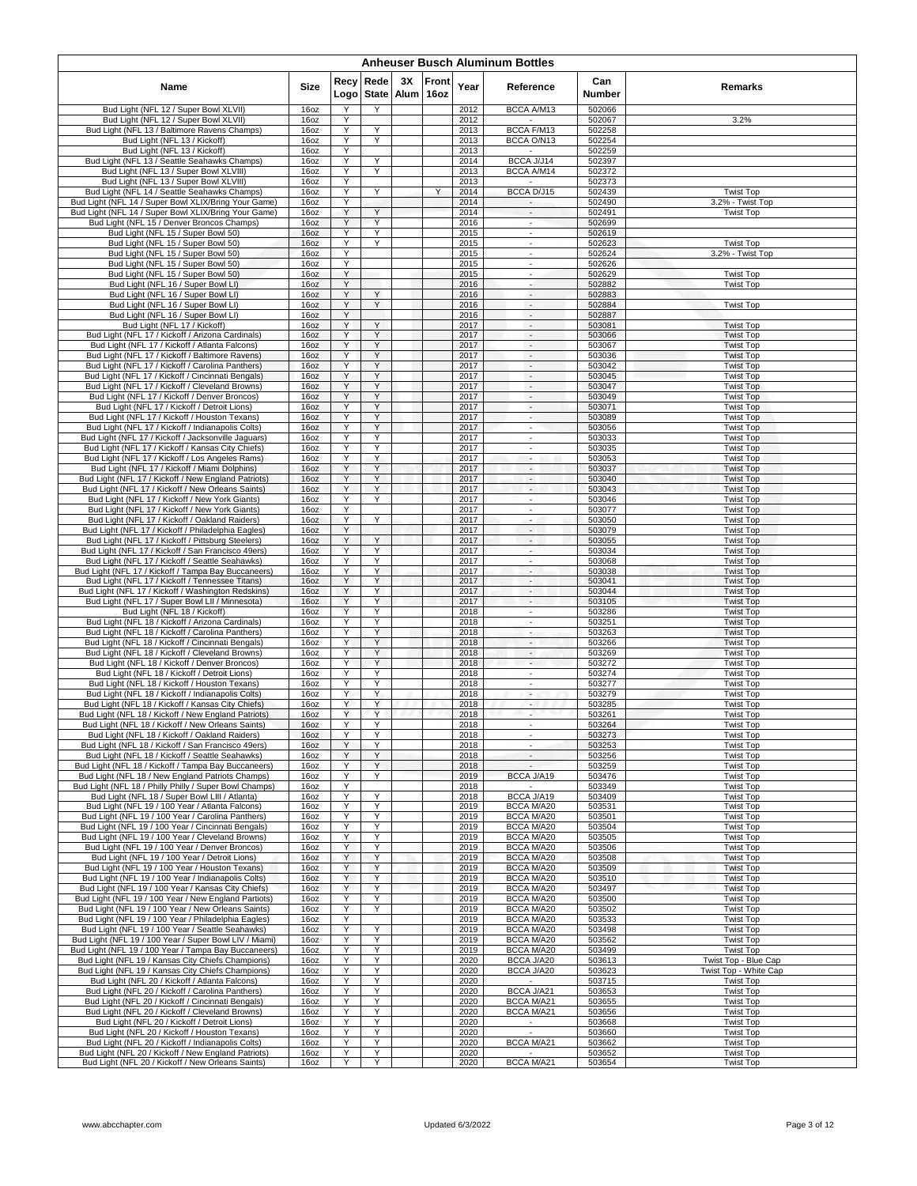| <b>Anheuser Busch Aluminum Bottles</b>                                                                     |              |              |                      |                   |               |              |                                                      |                      |                                               |  |  |  |  |
|------------------------------------------------------------------------------------------------------------|--------------|--------------|----------------------|-------------------|---------------|--------------|------------------------------------------------------|----------------------|-----------------------------------------------|--|--|--|--|
| Name                                                                                                       | Size         | Recy<br>Logo | Rede<br><b>State</b> | 3Х<br><b>Alum</b> | Front<br>16oz | Year         | Reference                                            | Can<br><b>Number</b> | Remarks                                       |  |  |  |  |
| Bud Light (NFL 12 / Super Bowl XLVII)                                                                      | 16oz         | Υ            | Y                    |                   |               | 2012         | BCCA A/M13                                           | 502066               |                                               |  |  |  |  |
| Bud Light (NFL 12 / Super Bowl XLVII)<br>Bud Light (NFL 13 / Baltimore Ravens Champs)                      | 16oz<br>16oz | Υ<br>Υ       | Υ                    |                   |               | 2012<br>2013 | BCCA F/M13                                           | 502067<br>502258     | 3.2%                                          |  |  |  |  |
| Bud Light (NFL 13 / Kickoff)                                                                               | 16oz         | Y            | Y                    |                   |               | 2013         | BCCA O/N13                                           | 502254               |                                               |  |  |  |  |
| Bud Light (NFL 13 / Kickoff)<br>Bud Light (NFL 13 / Seattle Seahawks Champs)                               | 16oz<br>16oz | Υ<br>Y       | Υ                    |                   |               | 2013<br>2014 | BCCA J/J14                                           | 502259<br>502397     |                                               |  |  |  |  |
| Bud Light (NFL 13 / Super Bowl XLVIII)                                                                     | 16oz         | Y            | Y                    |                   |               | 2013         | BCCA A/M14                                           | 502372               |                                               |  |  |  |  |
| Bud Light (NFL 13 / Super Bowl XLVIII)                                                                     | 16oz         | Y            |                      |                   |               | 2013         |                                                      | 502373               |                                               |  |  |  |  |
| Bud Light (NFL 14 / Seattle Seahawks Champs)<br>Bud Light (NFL 14 / Super Bowl XLIX/Bring Your Game)       | 16oz<br>16oz | Υ<br>Y       | Υ                    |                   | Y             | 2014<br>2014 | BCCA D/J15<br>$\sim$                                 | 502439<br>502490     | <b>Twist Top</b><br>3.2% - Twist Top          |  |  |  |  |
| Bud Light (NFL 14 / Super Bowl XLIX/Bring Your Game)                                                       | 16oz         | Y            | Y                    |                   |               | 2014         | $\overline{\phantom{a}}$                             | 502491               | <b>Twist Top</b>                              |  |  |  |  |
| Bud Light (NFL 15 / Denver Broncos Champs)                                                                 | 16oz         | Υ<br>Y       | Y<br>Y               |                   |               | 2016         | ÷.                                                   | 502699               |                                               |  |  |  |  |
| Bud Light (NFL 15 / Super Bowl 50)<br>Bud Light (NFL 15 / Super Bowl 50)                                   | 16oz<br>16oz | Y            | Y                    |                   |               | 2015<br>2015 | ٠<br>$\sim$                                          | 502619<br>502623     | <b>Twist Top</b>                              |  |  |  |  |
| Bud Light (NFL 15 / Super Bowl 50)                                                                         | 16oz         | Y            |                      |                   |               | 2015         | $\overline{\phantom{a}}$                             | 502624               | 3.2% - Twist Top                              |  |  |  |  |
| Bud Light (NFL 15 / Super Bowl 50)<br>Bud Light (NFL 15 / Super Bowl 50)                                   | 16oz<br>16oz | Υ<br>Y       |                      |                   |               | 2015<br>2015 | $\overline{\phantom{a}}$<br>$\overline{\phantom{a}}$ | 502626<br>502629     | <b>Twist Top</b>                              |  |  |  |  |
| Bud Light (NFL 16 / Super Bowl LI)                                                                         | 16oz         | Y            |                      |                   |               | 2016         | $\sim$                                               | 502882               | <b>Twist Top</b>                              |  |  |  |  |
| Bud Light (NFL 16 / Super Bowl LI)                                                                         | 16oz         | Υ<br>Y       | Υ<br>Y               |                   |               | 2016         | $\overline{\phantom{a}}$                             | 502883               |                                               |  |  |  |  |
| Bud Light (NFL 16 / Super Bowl LI)<br>Bud Light (NFL 16 / Super Bowl LI)                                   | 16oz<br>16oz | Y            |                      |                   |               | 2016<br>2016 | $\overline{\phantom{a}}$<br>$\overline{\phantom{a}}$ | 502884<br>502887     | <b>Twist Top</b>                              |  |  |  |  |
| Bud Light (NFL 17 / Kickoff)                                                                               | 16oz         | Υ            | Υ                    |                   |               | 2017         | $\sim$                                               | 503081               | <b>Twist Top</b>                              |  |  |  |  |
| Bud Light (NFL 17 / Kickoff / Arizona Cardinals)<br>Bud Light (NFL 17 / Kickoff / Atlanta Falcons)         | 16oz<br>16oz | Υ<br>Y       | Y<br>Y               |                   |               | 2017<br>2017 | $\overline{\phantom{a}}$<br>$\overline{\phantom{a}}$ | 503066<br>503067     | <b>Twist Top</b><br><b>Twist Top</b>          |  |  |  |  |
| Bud Light (NFL 17 / Kickoff / Baltimore Ravens)                                                            | 16oz         | Υ            | Y                    |                   |               | 2017         | $\sim$                                               | 503036               | <b>Twist Top</b>                              |  |  |  |  |
| Bud Light (NFL 17 / Kickoff / Carolina Panthers)                                                           | 16oz         | Υ            | Υ                    |                   |               | 2017         | $\mathcal{L}_{\mathcal{A}}$                          | 503042               | <b>Twist Top</b>                              |  |  |  |  |
| Bud Light (NFL 17 / Kickoff / Cincinnati Bengals)<br>Bud Light (NFL 17 / Kickoff / Cleveland Browns)       | 16oz<br>16oz | Y<br>Υ       | Y<br>Υ               |                   |               | 2017<br>2017 | $\blacksquare$<br>$\overline{\phantom{a}}$           | 503045<br>503047     | <b>Twist Top</b><br><b>Twist Top</b>          |  |  |  |  |
| Bud Light (NFL 17 / Kickoff / Denver Broncos)                                                              | 16oz         | Υ            | Υ                    |                   |               | 2017         | $\sim$                                               | 503049               | <b>Twist Top</b>                              |  |  |  |  |
| Bud Light (NFL 17 / Kickoff / Detroit Lions)                                                               | 16oz         | Υ<br>Y       | Υ<br>Y               |                   |               | 2017         | $\overline{\phantom{a}}$                             | 503071               | <b>Twist Top</b>                              |  |  |  |  |
| Bud Light (NFL 17 / Kickoff / Houston Texans)<br>Bud Light (NFL 17 / Kickoff / Indianapolis Colts)         | 16oz<br>16oz | Y            | Y                    |                   |               | 2017<br>2017 | ٠<br>$\sim$                                          | 503089<br>503056     | <b>Twist Top</b><br><b>Twist Top</b>          |  |  |  |  |
| Bud Light (NFL 17 / Kickoff / Jacksonville Jaguars)                                                        | 16oz         | Υ            | Υ                    |                   |               | 2017         | ×.                                                   | 503033               | <b>Twist Top</b>                              |  |  |  |  |
| Bud Light (NFL 17 / Kickoff / Kansas City Chiefs)<br>Bud Light (NFL 17 / Kickoff / Los Angeles Rams)       | 16oz<br>16oz | Υ<br>Υ       | Υ<br>Y               |                   |               | 2017<br>2017 | $\overline{\phantom{a}}$<br>$\overline{\phantom{a}}$ | 503035<br>503053     | <b>Twist Top</b><br><b>Twist Top</b>          |  |  |  |  |
| Bud Light (NFL 17 / Kickoff / Miami Dolphins)                                                              | 16oz         | Y            | Υ                    |                   |               | 2017         | $\sim$                                               | 503037               | <b>Twist Top</b>                              |  |  |  |  |
| Bud Light (NFL 17 / Kickoff / New England Patriots)                                                        | 16oz         | Υ<br>Y       | Y<br>Y               |                   |               | 2017<br>2017 | $\overline{\phantom{a}}$                             | 503040               | <b>Twist Top</b>                              |  |  |  |  |
| Bud Light (NFL 17 / Kickoff / New Orleans Saints)<br>Bud Light (NFL 17 / Kickoff / New York Giants)        | 16oz<br>16oz | Υ            | Y                    |                   |               | 2017         | $\overline{\phantom{a}}$<br>$\overline{\phantom{a}}$ | 503043<br>503046     | <b>Twist Top</b><br><b>Twist Top</b>          |  |  |  |  |
| Bud Light (NFL 17 / Kickoff / New York Giants)                                                             | 16oz         | Υ            |                      |                   |               | 2017         | $\overline{\phantom{a}}$                             | 503077               | <b>Twist Top</b>                              |  |  |  |  |
| Bud Light (NFL 17 / Kickoff / Oakland Raiders)<br>Bud Light (NFL 17 / Kickoff / Philadelphia Eagles)       | 16oz<br>16oz | Υ<br>Y       | Υ                    |                   |               | 2017<br>2017 | $\overline{\phantom{a}}$<br>$\overline{\phantom{a}}$ | 503050<br>503079     | <b>Twist Top</b><br><b>Twist Top</b>          |  |  |  |  |
| Bud Light (NFL 17 / Kickoff / Pittsburg Steelers)                                                          | 16oz         | Y            | Y                    |                   |               | 2017         | $\sim$                                               | 503055               | <b>Twist Top</b>                              |  |  |  |  |
| Bud Light (NFL 17 / Kickoff / San Francisco 49ers)                                                         | 16oz         | Υ            | Y                    |                   |               | 2017         | $\overline{\phantom{a}}$                             | 503034               | <b>Twist Top</b>                              |  |  |  |  |
| Bud Light (NFL 17 / Kickoff / Seattle Seahawks)<br>Bud Light (NFL 17 / Kickoff / Tampa Bay Buccaneers)     | 16oz<br>16oz | Y<br>Υ       | Y<br>Υ               |                   |               | 2017<br>2017 | $\overline{\phantom{a}}$<br>٠                        | 503068<br>503038     | <b>Twist Top</b><br><b>Twist Top</b>          |  |  |  |  |
| Bud Light (NFL 17 / Kickoff / Tennessee Titans)                                                            | 16oz         | Y            | Υ                    |                   |               | 2017         | ٠                                                    | 503041               | <b>Twist Top</b>                              |  |  |  |  |
| Bud Light (NFL 17 / Kickoff / Washington Redskins)                                                         | 16oz         | Υ<br>Υ       | Y<br>Y               |                   |               | 2017         | ٠                                                    | 503044               | <b>Twist Top</b>                              |  |  |  |  |
| Bud Light (NFL 17 / Super Bowl LII / Minnesota)<br>Bud Light (NFL 18 / Kickoff)                            | 16oz<br>16oz | Υ            | Υ                    |                   |               | 2017<br>2018 | ٠<br>$\overline{\phantom{a}}$                        | 503105<br>503286     | <b>Twist Top</b><br><b>Twist Top</b>          |  |  |  |  |
| Bud Light (NFL 18 / Kickoff / Arizona Cardinals)                                                           | 16oz         | Υ            | Υ                    |                   |               | 2018         | $\mathcal{L}_{\mathcal{A}}$                          | 503251               | <b>Twist Top</b>                              |  |  |  |  |
| Bud Light (NFL 18 / Kickoff / Carolina Panthers)<br>Bud Light (NFL 18 / Kickoff / Cincinnati Bengals)      | 16oz<br>16oz | Y<br>Y       | Y<br>Υ               |                   |               | 2018<br>2018 | $\overline{\phantom{a}}$<br>$\overline{\phantom{a}}$ | 503263<br>503266     | <b>Twist Top</b><br><b>Twist Top</b>          |  |  |  |  |
| Bud Light (NFL 18 / Kickoff / Cleveland Browns)                                                            | 16oz         | Y            | Y                    |                   |               | 2018         | $\overline{\phantom{a}}$                             | 503269               | <b>Twist Top</b>                              |  |  |  |  |
| Bud Light (NFL 18 / Kickoff / Denver Broncos)                                                              | 16oz         | Υ<br>Y       | Υ<br>Υ               |                   |               | 2018         | $\sim$                                               | 503272               | <b>Twist Top</b><br><b>Twist Top</b>          |  |  |  |  |
| Bud Light (NFL 18 / Kickoff / Detroit Lions)<br>Bud Light (NFL 18 / Kickoff / Houston Texans)              | 16oz<br>16oz | Y            | Y                    |                   |               | 2018<br>2018 | $\overline{\phantom{a}}$<br>$\sim$                   | 503274<br>503277     | <b>Twist Top</b>                              |  |  |  |  |
| Bud Light (NFL 18 / Kickoff / Indianapolis Colts)                                                          | 16oz         | Υ            | Υ                    |                   |               | 2018         | $\overline{\phantom{a}}$                             | 503279               | <b>Twist Top</b>                              |  |  |  |  |
| Bud Light (NFL 18 / Kickoff / Kansas City Chiefs)<br>Bud Light (NFL 18 / Kickoff / New England Patriots)   | 16oz<br>16oz | Υ<br>Y       | Υ<br>Y               |                   |               | 2018<br>2018 | $\overline{\phantom{a}}$<br>$\overline{\phantom{a}}$ | 503285<br>503261     | <b>Twist Top</b><br><b>Twist Top</b>          |  |  |  |  |
| Bud Light (NFL 18 / Kickoff / New Orleans Saints)                                                          | 16oz         |              |                      |                   |               | 2018         |                                                      | 503264               | <b>Twist Top</b>                              |  |  |  |  |
| Bud Light (NFL 18 / Kickoff / Oakland Raiders)                                                             | 16oz         | Υ            | Υ                    |                   |               | 2018         | ×.                                                   | 503273               | <b>Twist Top</b>                              |  |  |  |  |
| Bud Light (NFL 18 / Kickoff / San Francisco 49ers)<br>Bud Light (NFL 18 / Kickoff / Seattle Seahawks)      | 16oz<br>16oz | Y<br>Y       | Y<br>Y               |                   |               | 2018<br>2018 | $\overline{\phantom{a}}$<br>$\sim$                   | 503253<br>503256     | <b>Twist Top</b><br><b>Twist Top</b>          |  |  |  |  |
| Bud Light (NFL 18 / Kickoff / Tampa Bay Buccaneers)                                                        | 16oz         | Y            | Y                    |                   |               | 2018         |                                                      | 503259               | <b>Twist Top</b>                              |  |  |  |  |
| Bud Light (NFL 18 / New England Patriots Champs)<br>Bud Light (NFL 18 / Philly Philly / Super Bowl Champs) | 16oz<br>16oz | Υ<br>Y       | Y                    |                   |               | 2019<br>2018 | BCCA J/A19                                           | 503476<br>503349     | <b>Twist Top</b><br><b>Twist Top</b>          |  |  |  |  |
| Bud Light (NFL 18 / Super Bowl LIII / Atlanta)                                                             | 16oz         | Y            | Y                    |                   |               | 2018         | BCCA J/A19                                           | 503409               | <b>Twist Top</b>                              |  |  |  |  |
| Bud Light (NFL 19 / 100 Year / Atlanta Falcons)                                                            | 16oz         | Υ            | Υ                    |                   |               | 2019         | <b>BCCA M/A20</b>                                    | 503531               | <b>Twist Top</b>                              |  |  |  |  |
| Bud Light (NFL 19 / 100 Year / Carolina Panthers)<br>Bud Light (NFL 19 / 100 Year / Cincinnati Bengals)    | 16oz<br>16oz | Y<br>Y       | Y<br>Y               |                   |               | 2019<br>2019 | BCCA M/A20<br>BCCA M/A20                             | 503501<br>503504     | <b>Twist Top</b><br><b>Twist Top</b>          |  |  |  |  |
| Bud Light (NFL 19 / 100 Year / Cleveland Browns)                                                           | 16oz         | Y            | Y                    |                   |               | 2019         | <b>BCCA M/A20</b>                                    | 503505               | <b>Twist Top</b>                              |  |  |  |  |
| Bud Light (NFL 19 / 100 Year / Denver Broncos)<br>Bud Light (NFL 19 / 100 Year / Detroit Lions)            | 16oz<br>16oz | Y<br>Y       | Y<br>Υ               |                   |               | 2019<br>2019 | BCCA M/A20<br><b>BCCA M/A20</b>                      | 503506<br>503508     | <b>Twist Top</b><br><b>Twist Top</b>          |  |  |  |  |
| Bud Light (NFL 19 / 100 Year / Houston Texans)                                                             | 16oz         | Y            | Y                    |                   |               | 2019         | <b>BCCA M/A20</b>                                    | 503509               | <b>Twist Top</b>                              |  |  |  |  |
| Bud Light (NFL 19 / 100 Year / Indianapolis Colts)                                                         | 160z         | Y            | Y                    |                   |               | 2019         | <b>BCCA M/A20</b>                                    | 503510               | <b>Twist Top</b>                              |  |  |  |  |
| Bud Light (NFL 19 / 100 Year / Kansas City Chiefs)<br>Bud Light (NFL 19 / 100 Year / New England Partiots) | 16oz<br>16oz | Y<br>Y       | Y<br>Y               |                   |               | 2019<br>2019 | <b>BCCA M/A20</b><br>BCCA M/A20                      | 503497<br>503500     | <b>Twist Top</b><br><b>Twist Top</b>          |  |  |  |  |
| Bud Light (NFL 19 / 100 Year / New Orleans Saints)                                                         | 16oz         | Y            | Y                    |                   |               | 2019         | BCCA M/A20                                           | 503502               | <b>Twist Top</b>                              |  |  |  |  |
| Bud Light (NFL 19 / 100 Year / Philadelphia Eagles)                                                        | 16oz         | Y            |                      |                   |               | 2019         | BCCA M/A20                                           | 503533               | <b>Twist Top</b>                              |  |  |  |  |
| Bud Light (NFL 19 / 100 Year / Seattle Seahawks)<br>Bud Light (NFL 19 / 100 Year / Super Bowl LIV / Miami) | 16oz<br>16oz | Y<br>Y       | Υ                    |                   |               | 2019<br>2019 | BCCA M/A20<br>BCCA M/A20                             | 503498<br>503562     | <b>Twist Top</b><br><b>Twist Top</b>          |  |  |  |  |
| Bud Light (NFL 19 / 100 Year / Tampa Bay Buccaneers)                                                       | 16oz         | Υ            | Υ                    |                   |               | 2019         | BCCA M/A20                                           | 503499               | <b>Twist Top</b>                              |  |  |  |  |
| Bud Light (NFL 19 / Kansas City Chiefs Champions)<br>Bud Light (NFL 19 / Kansas City Chiefs Champions)     | 16oz<br>16oz | Υ<br>Y       | Υ<br>Υ               |                   |               | 2020<br>2020 | BCCA J/A20<br>BCCA J/A20                             | 503613<br>503623     | Twist Top - Blue Cap<br>Twist Top - White Cap |  |  |  |  |
| Bud Light (NFL 20 / Kickoff / Atlanta Falcons)                                                             | 16oz         | Y            | Υ                    |                   |               | 2020         |                                                      | 503715               | <b>Twist Top</b>                              |  |  |  |  |
| Bud Light (NFL 20 / Kickoff / Carolina Panthers)                                                           | 16oz         | Υ            | Υ                    |                   |               | 2020         | BCCA J/A21                                           | 503653               | <b>Twist Top</b>                              |  |  |  |  |
| Bud Light (NFL 20 / Kickoff / Cincinnati Bengals)<br>Bud Light (NFL 20 / Kickoff / Cleveland Browns)       | 16oz<br>16oz | Y<br>Y       | Y<br>Y               |                   |               | 2020<br>2020 | BCCA M/A21<br>BCCA M/A21                             | 503655<br>503656     | <b>Twist Top</b><br><b>Twist Top</b>          |  |  |  |  |
| Bud Light (NFL 20 / Kickoff / Detroit Lions)                                                               | 16oz         | Y            | Υ                    |                   |               | 2020         |                                                      | 503668               | <b>Twist Top</b>                              |  |  |  |  |
| Bud Light (NFL 20 / Kickoff / Houston Texans)                                                              | 16oz         | Υ            | Υ                    |                   |               | 2020         | ×.                                                   | 503660               | <b>Twist Top</b>                              |  |  |  |  |
| Bud Light (NFL 20 / Kickoff / Indianapolis Colts)<br>Bud Light (NFL 20 / Kickoff / New England Patriots)   | 16oz<br>16oz | Υ<br>Y       | Υ<br>Y               |                   |               | 2020<br>2020 | BCCA M/A21                                           | 503662<br>503652     | <b>Twist Top</b><br><b>Twist Top</b>          |  |  |  |  |
| Bud Light (NFL 20 / Kickoff / New Orleans Saints)                                                          | 16oz         |              | Υ                    |                   |               | 2020         | BCCA M/A21                                           | 503654               | <b>Twist Top</b>                              |  |  |  |  |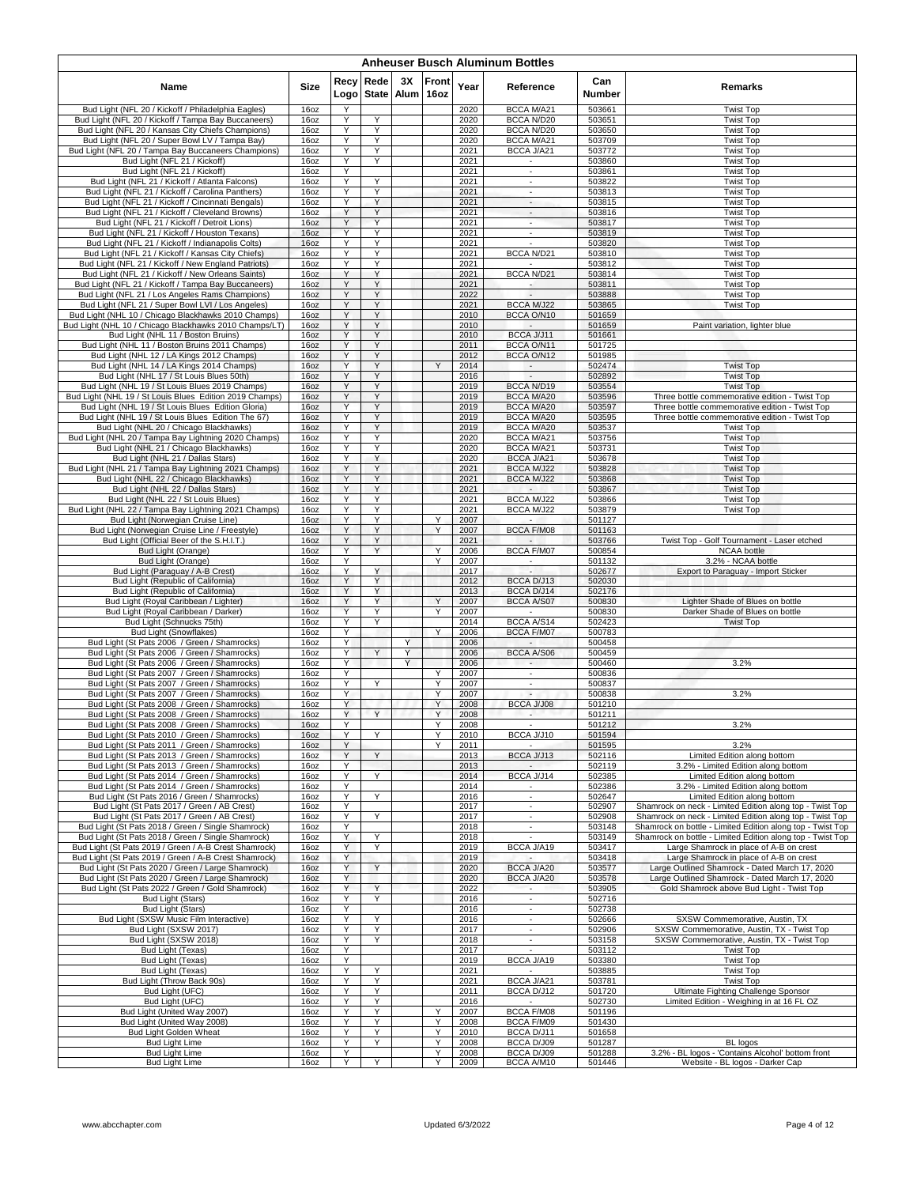| <b>Anheuser Busch Aluminum Bottles</b>                                                                   |                          |              |                      |            |               |              |                                    |                  |                                                                                                                          |  |  |  |  |
|----------------------------------------------------------------------------------------------------------|--------------------------|--------------|----------------------|------------|---------------|--------------|------------------------------------|------------------|--------------------------------------------------------------------------------------------------------------------------|--|--|--|--|
| Name                                                                                                     | <b>Size</b>              | Recy<br>Logo | Rede<br><b>State</b> | 3X<br>Alum | Front<br>16oz | Year         | Reference                          | Can<br>Number    | Remarks                                                                                                                  |  |  |  |  |
| Bud Light (NFL 20 / Kickoff / Philadelphia Eagles)                                                       | 16oz                     | Y            |                      |            |               | 2020         | BCCA M/A21                         | 503661           | <b>Twist Top</b>                                                                                                         |  |  |  |  |
| Bud Light (NFL 20 / Kickoff / Tampa Bay Buccaneers)                                                      | 16oz                     | Y            | Y                    |            |               | 2020         | BCCA N/D20                         | 503651           | <b>Twist Top</b>                                                                                                         |  |  |  |  |
| Bud Light (NFL 20 / Kansas City Chiefs Champions)<br>Bud Light (NFL 20 / Super Bowl LV / Tampa Bay)      | 160z<br>16oz             | Y<br>Y       | Y<br>Y               |            |               | 2020<br>2020 | BCCA N/D20<br><b>BCCA M/A21</b>    | 503650<br>503709 | <b>Twist Top</b><br><b>Twist Top</b>                                                                                     |  |  |  |  |
| Bud Light (NFL 20 / Tampa Bay Buccaneers Champions)                                                      | 16oz                     | Υ            | Υ                    |            |               | 2021         | BCCA J/A21                         | 503772           | <b>Twist Top</b>                                                                                                         |  |  |  |  |
| Bud Light (NFL 21 / Kickoff)                                                                             | 16oz                     | Y            | Y                    |            |               | 2021         | ٠                                  | 503860           | <b>Twist Top</b>                                                                                                         |  |  |  |  |
| Bud Light (NFL 21 / Kickoff)                                                                             | 16oz                     | Y            |                      |            |               | 2021         | $\sim$                             | 503861           | <b>Twist Top</b>                                                                                                         |  |  |  |  |
| Bud Light (NFL 21 / Kickoff / Atlanta Falcons)                                                           | 16oz                     | Y            | Y                    |            |               | 2021         | $\mathcal{L}_{\mathcal{A}}$        | 503822           | <b>Twist Top</b>                                                                                                         |  |  |  |  |
| Bud Light (NFL 21 / Kickoff / Carolina Panthers)                                                         | 16oz                     | Y            | Y                    |            |               | 2021         | $\overline{\phantom{a}}$           | 503813           | <b>Twist Top</b>                                                                                                         |  |  |  |  |
| Bud Light (NFL 21 / Kickoff / Cincinnati Bengals)<br>Bud Light (NFL 21 / Kickoff / Cleveland Browns)     | 16oz<br>16oz             | Y<br>Y       | Υ<br>Y               |            |               | 2021<br>2021 | $\overline{\phantom{a}}$<br>$\sim$ | 503815<br>503816 | <b>Twist Top</b><br><b>Twist Top</b>                                                                                     |  |  |  |  |
| Bud Light (NFL 21 / Kickoff / Detroit Lions)                                                             | 16oz                     | Y            | Y                    |            |               | 2021         | ×.                                 | 503817           | <b>Twist Top</b>                                                                                                         |  |  |  |  |
| Bud Light (NFL 21 / Kickoff / Houston Texans)                                                            | 16oz                     | Υ            | Y                    |            |               | 2021         | $\overline{\phantom{a}}$           | 503819           | <b>Twist Top</b>                                                                                                         |  |  |  |  |
| Bud Light (NFL 21 / Kickoff / Indianapolis Colts)                                                        | 16oz                     | Y            | Υ                    |            |               | 2021         | $\sim$                             | 503820           | <b>Twist Top</b>                                                                                                         |  |  |  |  |
| Bud Light (NFL 21 / Kickoff / Kansas City Chiefs)                                                        | 16oz                     | Y            | Y                    |            |               | 2021         | BCCA N/D21                         | 503810           | <b>Twist Top</b>                                                                                                         |  |  |  |  |
| Bud Light (NFL 21 / Kickoff / New England Patriots)                                                      | 16oz                     | Y            | Y                    |            |               | 2021         |                                    | 503812           | <b>Twist Top</b>                                                                                                         |  |  |  |  |
| Bud Light (NFL 21 / Kickoff / New Orleans Saints)<br>Bud Light (NFL 21 / Kickoff / Tampa Bay Buccaneers) | 16oz<br>16oz             | Y<br>Y       | Y<br>Υ               |            |               | 2021<br>2021 | BCCA N/D21<br>$\sim$               | 503814<br>503811 | <b>Twist Top</b><br><b>Twist Top</b>                                                                                     |  |  |  |  |
| Bud Light (NFL 21 / Los Angeles Rams Champions)                                                          | 16oz                     | Y            | Y                    |            |               | 2022         |                                    | 503888           | <b>Twist Top</b>                                                                                                         |  |  |  |  |
| Bud Light (NFL 21 / Super Bowl LVI / Los Angeles)                                                        | 16 <sub>oz</sub>         | Υ            | Y                    |            |               | 2021         | <b>BCCA M/J22</b>                  | 503865           | <b>Twist Top</b>                                                                                                         |  |  |  |  |
| Bud Light (NHL 10 / Chicago Blackhawks 2010 Champs)                                                      | 16oz                     | Y            | Υ                    |            |               | 2010         | BCCA O/N10                         | 501659           |                                                                                                                          |  |  |  |  |
| Bud Light (NHL 10 / Chicago Blackhawks 2010 Champs/LT)                                                   | 16 <sub>oz</sub>         | Y            | Y                    |            |               | 2010         |                                    | 501659           | Paint variation, lighter blue                                                                                            |  |  |  |  |
| Bud Light (NHL 11 / Boston Bruins)                                                                       | 16oz                     | Y            | Y                    |            |               | 2010         | BCCA J/J11<br>BCCA O/N11           | 501661           |                                                                                                                          |  |  |  |  |
| Bud Light (NHL 11 / Boston Bruins 2011 Champs)<br>Bud Light (NHL 12 / LA Kings 2012 Champs)              | 16oz<br>16oz             | Y<br>Y       | Υ<br>Υ               |            |               | 2011<br>2012 | BCCA O/N12                         | 501725<br>501985 |                                                                                                                          |  |  |  |  |
| Bud Light (NHL 14 / LA Kings 2014 Champs)                                                                | 16oz                     | Y            | Y                    |            | Y             | 2014         | $\sim$                             | 502474           | <b>Twist Top</b>                                                                                                         |  |  |  |  |
| Bud Light (NHL 17 / St Louis Blues 50th)                                                                 | 16oz                     | Υ            | Y                    |            |               | 2016         | $\blacksquare$                     | 502892           | <b>Twist Top</b>                                                                                                         |  |  |  |  |
| Bud Light (NHL 19 / St Louis Blues 2019 Champs)                                                          | 16oz                     | Y            | Υ                    |            |               | 2019         | BCCA N/D19                         | 503554           | <b>Twist Top</b>                                                                                                         |  |  |  |  |
| Bud Light (NHL 19 / St Louis Blues Edition 2019 Champs)                                                  | 16oz                     | Υ            | Y                    |            |               | 2019         | BCCA M/A20                         | 503596           | Three bottle commemorative edition - Twist Top                                                                           |  |  |  |  |
| Bud Light (NHL 19 / St Louis Blues Edition Gloria)<br>Bud Light (NHL 19 / St Louis Blues Edition The 67) | 160Z                     | Υ<br>Y       | Υ<br>Y               |            |               | 2019         | BCCA M/A20<br>BCCA M/A20           | 503597<br>503595 | Three bottle commemorative edition - Twist Top<br>Three bottle commemorative edition - Twist Top                         |  |  |  |  |
| Bud Light (NHL 20 / Chicago Blackhawks)                                                                  | 16oz<br>16 <sub>oz</sub> | Y            | Y                    |            |               | 2019<br>2019 | <b>BCCA M/A20</b>                  | 503537           | <b>Twist Top</b>                                                                                                         |  |  |  |  |
| Bud Light (NHL 20 / Tampa Bay Lightning 2020 Champs)                                                     | 16oz                     | Y            | Υ                    |            |               | 2020         | BCCA M/A21                         | 503756           | <b>Twist Top</b>                                                                                                         |  |  |  |  |
| Bud Light (NHL 21 / Chicago Blackhawks)                                                                  | 16oz                     | Υ            | Υ                    |            |               | 2020         | BCCA M/A21                         | 503731           | <b>Twist Top</b>                                                                                                         |  |  |  |  |
| Bud Light (NHL 21 / Dallas Stars)                                                                        | 16oz                     | Y            | Y                    |            |               | 2020         | BCCA J/A21                         | 503678           | <b>Twist Top</b>                                                                                                         |  |  |  |  |
| Bud Light (NHL 21 / Tampa Bay Lightning 2021 Champs)                                                     | 16 <sub>oz</sub>         | Y            | Y                    |            |               | 2021         | BCCA M/J22                         | 503828           | <b>Twist Top</b>                                                                                                         |  |  |  |  |
| Bud Light (NHL 22 / Chicago Blackhawks)<br>Bud Light (NHL 22 / Dallas Stars)                             | 16oz<br>16oz             | Υ<br>Y       | Y<br>Y               |            |               | 2021<br>2021 | BCCA M/J22                         | 503868<br>503867 | <b>Twist Top</b><br><b>Twist Top</b>                                                                                     |  |  |  |  |
| Bud Light (NHL 22 / St Louis Blues)                                                                      | 16 <sub>oz</sub>         | Y            | Y                    |            |               | 2021         | BCCA M/J22                         | 503866           | <b>Twist Top</b>                                                                                                         |  |  |  |  |
| Bud Light (NHL 22 / Tampa Bay Lightning 2021 Champs)                                                     | 16oz                     | Y            | Υ                    |            |               | 2021         | BCCA M/J22                         | 503879           | <b>Twist Top</b>                                                                                                         |  |  |  |  |
| Bud Light (Norwegian Cruise Line)                                                                        | 160Z                     | Y            | Y                    |            | Υ             | 2007         |                                    | 501127           |                                                                                                                          |  |  |  |  |
| Bud Light (Norwegian Cruise Line / Freestyle)                                                            | 16oz                     | Y            | Y                    |            | Υ             | 2007         | BCCA F/M08                         | 501163           |                                                                                                                          |  |  |  |  |
| Bud Light (Official Beer of the S.H.I.T.)                                                                | 16oz                     | Y            | Y                    |            |               | 2021         | $\sim$                             | 503766           | Twist Top - Golf Tournament - Laser etched                                                                               |  |  |  |  |
| Bud Light (Orange)<br>Bud Light (Orange)                                                                 | 16oz<br>16oz             | Y<br>Y       | Y                    |            | Y<br>Y        | 2006<br>2007 | BCCA F/M07                         | 500854<br>501132 | <b>NCAA</b> bottle<br>3.2% - NCAA bottle                                                                                 |  |  |  |  |
| Bud Light (Paraguay / A-B Crest)                                                                         | 16oz                     | Y            | Υ                    |            |               | 2017         | $\epsilon$                         | 502677           | Export to Paraguay - Import Sticker                                                                                      |  |  |  |  |
| Bud Light (Republic of California)                                                                       | 16oz                     | Y            | Y                    |            |               | 2012         | BCCA D/J13                         | 502030           |                                                                                                                          |  |  |  |  |
| Bud Light (Republic of California)                                                                       | 16 <sub>oz</sub>         | Y            | Y                    |            |               | 2013         | BCCA D/J14                         | 502176           |                                                                                                                          |  |  |  |  |
| Bud Light (Royal Caribbean / Lighter)                                                                    | 16oz                     | Y            | Y                    |            | Y             | 2007         | <b>BCCA A/S07</b>                  | 500830           | Lighter Shade of Blues on bottle                                                                                         |  |  |  |  |
| Bud Light (Royal Caribbean / Darker)<br>Bud Light (Schnucks 75th)                                        | 16oz<br>16oz             | Y<br>Y       | Υ<br>Υ               |            | Y             | 2007<br>2014 | $\sim$<br>BCCA A/S14               | 500830<br>502423 | Darker Shade of Blues on bottle<br><b>Twist Top</b>                                                                      |  |  |  |  |
| <b>Bud Light (Snowflakes)</b>                                                                            | 16oz                     | Y            |                      |            | Y             | 2006         | <b>BCCA F/M07</b>                  | 500783           |                                                                                                                          |  |  |  |  |
| Bud Light (St Pats 2006 / Green / Shamrocks)                                                             | 16 <u>oz</u>             | Y            |                      | Υ          |               | 2006         | $\sim$                             | 500458           |                                                                                                                          |  |  |  |  |
| Bud Light (St Pats 2006 / Green / Shamrocks)                                                             | 16oz                     | Y            | Y                    | Υ          |               | 2006         | BCCA A/S06                         | 500459           |                                                                                                                          |  |  |  |  |
| Bud Light (St Pats 2006 / Green / Shamrocks)                                                             | 160z                     | Y            |                      | Y          |               | 2006         | $\sim$                             | 500460           | 3.2%                                                                                                                     |  |  |  |  |
| Bud Light (St Pats 2007 / Green / Shamrocks)<br>Bud Light (St Pats 2007 / Green / Shamrocks)             | 16oz                     | Y<br>Y       |                      |            | Y<br>Y        | 2007         | $\overline{\phantom{a}}$           | 500836           |                                                                                                                          |  |  |  |  |
| Bud Light (St Pats 2007 / Green / Shamrocks)                                                             | 16oz<br>16oz             | Y            | Y                    |            | Y             | 2007<br>2007 | $\sim$                             | 500837<br>500838 | 3.2%                                                                                                                     |  |  |  |  |
| Bud Light (St Pats 2008 / Green / Shamrocks)                                                             | 16oz                     | Υ            |                      |            | Y             | 2008         | BCCA J/J08                         | 501210           |                                                                                                                          |  |  |  |  |
| Bud Light (St Pats 2008 / Green / Shamrocks)                                                             | 16oz                     | Y            | Y                    |            | Υ             | 2008         | $\sim$                             | 501211           |                                                                                                                          |  |  |  |  |
| Bud Light (St Pats 2008 / Green / Shamrocks)                                                             | 16oz                     |              |                      |            |               | 2008         |                                    | 501212           | 3.2%                                                                                                                     |  |  |  |  |
| Bud Light (St Pats 2010 / Green / Shamrocks)                                                             | 16oz                     | Υ            | Y                    |            | Υ             | 2010         | BCCA J/J10                         | 501594           |                                                                                                                          |  |  |  |  |
| Bud Light (St Pats 2011 / Green / Shamrocks)<br>Bud Light (St Pats 2013 / Green / Shamrocks)             | 16oz                     | Y<br>Y       | Y                    |            | Υ             | 2011         | BCCA J/J13                         | 501595           | 3.2%                                                                                                                     |  |  |  |  |
| Bud Light (St Pats 2013 / Green / Shamrocks)                                                             | 16oz<br>16oz             | Y            |                      |            |               | 2013<br>2013 |                                    | 502116<br>502119 | Limited Edition along bottom<br>3.2% - Limited Edition along bottom                                                      |  |  |  |  |
| Bud Light (St Pats 2014 / Green / Shamrocks)                                                             | 16oz                     | Y            | Y                    |            |               | 2014         | BCCA J/J14                         | 502385           | Limited Edition along bottom                                                                                             |  |  |  |  |
| Bud Light (St Pats 2014 / Green / Shamrocks)                                                             | 16oz                     | Y            |                      |            |               | 2014         | $\sim$                             | 502386           | 3.2% - Limited Edition along bottom                                                                                      |  |  |  |  |
| Bud Light (St Pats 2016 / Green / Shamrocks)                                                             | 16oz                     | Y            | Y                    |            |               | 2016         | $\blacksquare$                     | 502647           | Limited Edition along bottom                                                                                             |  |  |  |  |
| Bud Light (St Pats 2017 / Green / AB Crest)                                                              | 16oz                     | Y            |                      |            |               | 2017         | $\blacksquare$                     | 502907           | Shamrock on neck - Limited Edition along top - Twist Top                                                                 |  |  |  |  |
| Bud Light (St Pats 2017 / Green / AB Crest)                                                              | 16oz                     | Υ<br>Y       | Y                    |            |               | 2017         | ÷                                  | 502908           | Shamrock on neck - Limited Edition along top - Twist Top                                                                 |  |  |  |  |
| Bud Light (St Pats 2018 / Green / Single Shamrock)<br>Bud Light (St Pats 2018 / Green / Single Shamrock) | 16oz<br>16oz             | Y            | Y                    |            |               | 2018<br>2018 | $\sim$                             | 503148<br>503149 | Shamrock on bottle - Limited Edition along top - Twist Top<br>Shamrock on bottle - Limited Edition along top - Twist Top |  |  |  |  |
| Bud Light (St Pats 2019 / Green / A-B Crest Shamrock)                                                    | 16oz                     | Y            | Y                    |            |               | 2019         | BCCA J/A19                         | 503417           | Large Shamrock in place of A-B on crest                                                                                  |  |  |  |  |
| Bud Light (St Pats 2019 / Green / A-B Crest Shamrock)                                                    | 16oz                     | Y            |                      |            |               | 2019         |                                    | 503418           | Large Shamrock in place of A-B on crest                                                                                  |  |  |  |  |
| Bud Light (St Pats 2020 / Green / Large Shamrock)                                                        | 16oz                     | Y            | Y                    |            |               | 2020         | BCCA J/A20                         | 503577           | Large Outlined Shamrock - Dated March 17, 2020                                                                           |  |  |  |  |
| Bud Light (St Pats 2020 / Green / Large Shamrock)                                                        | 160z                     | Y            |                      |            |               | 2020         | BCCA J/A20                         | 503578           | Large Outlined Shamrock - Dated March 17, 2020                                                                           |  |  |  |  |
| Bud Light (St Pats 2022 / Green / Gold Shamrock)<br>Bud Light (Stars)                                    | 16oz<br>16oz             | Y<br>Y       | Y<br>Υ               |            |               | 2022<br>2016 | $\sim$                             | 503905<br>502716 | Gold Shamrock above Bud Light - Twist Top                                                                                |  |  |  |  |
| <b>Bud Light (Stars)</b>                                                                                 | 16oz                     | Y            |                      |            |               | 2016         | $\overline{\phantom{a}}$           | 502738           |                                                                                                                          |  |  |  |  |
| Bud Light (SXSW Music Film Interactive)                                                                  | 16oz                     | Y            | Y                    |            |               | 2016         | $\sim$                             | 502666           | SXSW Commemorative, Austin, TX                                                                                           |  |  |  |  |
| Bud Light (SXSW 2017)                                                                                    | 16oz                     | Y            | Y                    |            |               | 2017         | $\overline{\phantom{a}}$           | 502906           | SXSW Commemorative, Austin, TX - Twist Top                                                                               |  |  |  |  |
| Bud Light (SXSW 2018)                                                                                    | 16oz                     | Y            | Y                    |            |               | 2018         | $\blacksquare$                     | 503158           | SXSW Commemorative, Austin, TX - Twist Top                                                                               |  |  |  |  |
| Bud Light (Texas)                                                                                        | 16oz                     | Y            |                      |            |               | 2017         | ÷.                                 | 503112           | <b>Twist Top</b>                                                                                                         |  |  |  |  |
| Bud Light (Texas)                                                                                        | 16oz                     | Υ            |                      |            |               | 2019         | BCCA J/A19                         | 503380           | <b>Twist Top</b>                                                                                                         |  |  |  |  |
| Bud Light (Texas)<br>Bud Light (Throw Back 90s)                                                          | 16oz<br>16oz             | Y<br>Y       | Υ<br>Y               |            |               | 2021<br>2021 | $\sim$<br>BCCA J/A21               | 503885<br>503781 | <b>Twist Top</b><br><b>Twist Top</b>                                                                                     |  |  |  |  |
| Bud Light (UFC)                                                                                          | 16oz                     | Υ            | Y                    |            |               | 2011         | BCCA D/J12                         | 501720           | Ultimate Fighting Challenge Sponsor                                                                                      |  |  |  |  |
| Bud Light (UFC)                                                                                          | 16oz                     | Y            | Υ                    |            |               | 2016         |                                    | 502730           | Limited Edition - Weighing in at 16 FL OZ                                                                                |  |  |  |  |
| Bud Light (United Way 2007)                                                                              | 16oz                     | Y            | Y                    |            | Y             | 2007         | BCCA F/M08                         | 501196           |                                                                                                                          |  |  |  |  |
| Bud Light (United Way 2008)                                                                              | 16oz                     | Y            | Y                    |            | Υ             | 2008         | BCCA F/M09                         | 501430           |                                                                                                                          |  |  |  |  |
| Bud Light Golden Wheat                                                                                   | 16oz                     | Υ            | Y                    |            | Υ             | 2010         | BCCA D/J11                         | 501658           |                                                                                                                          |  |  |  |  |
| Bud Light Lime<br><b>Bud Light Lime</b>                                                                  | 16oz<br>16oz             | Y<br>Y       | Υ                    |            | Υ<br>Υ        | 2008<br>2008 | BCCA D/J09<br>BCCA D/J09           | 501287<br>501288 | <b>BL</b> logos<br>3.2% - BL logos - 'Contains Alcohol' bottom front                                                     |  |  |  |  |
| <b>Bud Light Lime</b>                                                                                    | 16oz                     | Υ            | Υ                    |            | Y             | 2009         | BCCA A/M10                         | 501446           | Website - BL logos - Darker Cap                                                                                          |  |  |  |  |
|                                                                                                          |                          |              |                      |            |               |              |                                    |                  |                                                                                                                          |  |  |  |  |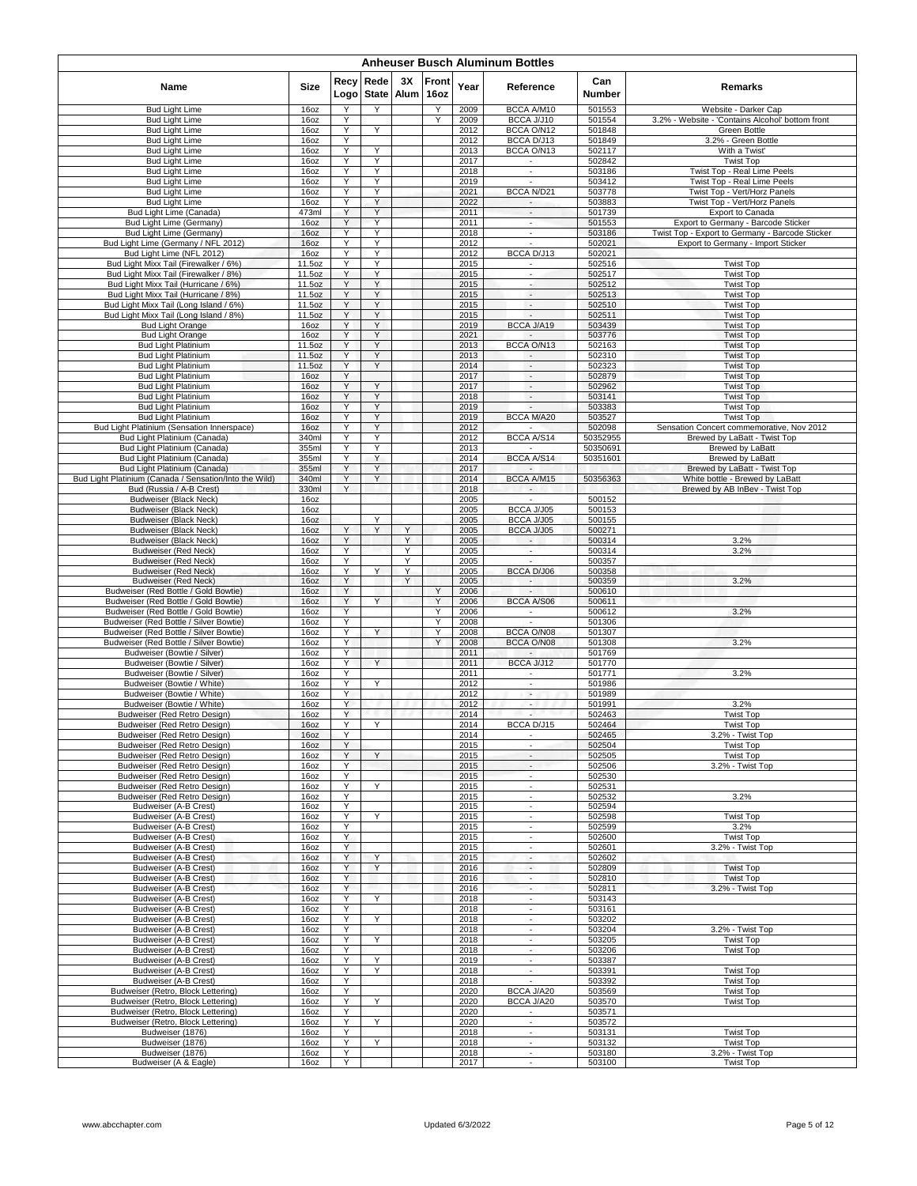|                                                                                | <b>Anheuser Busch Aluminum Bottles</b> |              |                      |            |               |              |                                                      |                      |                                                                  |  |  |  |  |  |
|--------------------------------------------------------------------------------|----------------------------------------|--------------|----------------------|------------|---------------|--------------|------------------------------------------------------|----------------------|------------------------------------------------------------------|--|--|--|--|--|
| Name                                                                           | Size                                   | Recy<br>Logo | Rede<br><b>State</b> | 3X<br>Alum | Front<br>16oz | Year         | Reference                                            | Can<br>Number        | Remarks                                                          |  |  |  |  |  |
| <b>Bud Light Lime</b>                                                          | 16oz                                   | Y            | Y                    |            | Υ             | 2009         | BCCA A/M10                                           | 501553               | Website - Darker Cap                                             |  |  |  |  |  |
| <b>Bud Light Lime</b><br><b>Bud Light Lime</b>                                 | 16oz<br>16oz                           | Y<br>Υ       | Y                    |            | ٧             | 2009<br>2012 | BCCA J/J10<br>BCCA O/N12                             | 501554<br>501848     | 3.2% - Website - 'Contains Alcohol' bottom front<br>Green Bottle |  |  |  |  |  |
| <b>Bud Light Lime</b>                                                          | 16oz                                   | Υ            |                      |            |               | 2012         | BCCA D/J13                                           | 501849               | 3.2% - Green Bottle                                              |  |  |  |  |  |
| <b>Bud Light Lime</b>                                                          | 16oz                                   | Υ            | Υ                    |            |               | 2013         | BCCA O/N13                                           | 502117               | With a Twist'                                                    |  |  |  |  |  |
| <b>Bud Light Lime</b>                                                          | 16oz                                   | Υ<br>Y       | Υ<br>Υ               |            |               | 2017         |                                                      | 502842               | <b>Twist Top</b>                                                 |  |  |  |  |  |
| <b>Bud Light Lime</b><br><b>Bud Light Lime</b>                                 | 16oz<br>160z                           | Y            | Υ                    |            |               | 2018<br>2019 | $\blacksquare$<br>$\sim$                             | 503186<br>503412     | Twist Top - Real Lime Peels<br>Twist Top - Real Lime Peels       |  |  |  |  |  |
| <b>Bud Light Lime</b>                                                          | 16oz                                   | Υ            | Y                    |            |               | 2021         | BCCA N/D21                                           | 503778               | Twist Top - Vert/Horz Panels                                     |  |  |  |  |  |
| <b>Bud Light Lime</b>                                                          | 16oz                                   | Υ            | Υ                    |            |               | 2022         | $\overline{\phantom{a}}$                             | 503883               | Twist Top - Vert/Horz Panels                                     |  |  |  |  |  |
| Bud Light Lime (Canada)                                                        | 473ml                                  | Υ<br>Y       | Y<br>Y               |            |               | 2011         | $\overline{\phantom{a}}$<br>$\overline{\phantom{a}}$ | 501739<br>501553     | Export to Canada<br>Export to Germany - Barcode Sticker          |  |  |  |  |  |
| Bud Light Lime (Germany)<br>Bud Light Lime (Germany)                           | 16oz<br>16oz                           | Υ            | Y                    |            |               | 2011<br>2018 | ×,                                                   | 503186               | Twist Top - Export to Germany - Barcode Sticker                  |  |  |  |  |  |
| Bud Light Lime (Germany / NFL 2012)                                            | 16oz                                   | Y            | Υ                    |            |               | 2012         |                                                      | 502021               | Export to Germany - Import Sticker                               |  |  |  |  |  |
| Bud Light Lime (NFL 2012)                                                      | 16 <sub>oz</sub>                       | Y            | Υ                    |            |               | 2012         | BCCA D/J13                                           | 502021               |                                                                  |  |  |  |  |  |
| Bud Light Mixx Tail (Firewalker / 6%)                                          | 11.5oz                                 | Υ            | Y                    |            |               | 2015         |                                                      | 502516               | <b>Twist Top</b>                                                 |  |  |  |  |  |
| Bud Light Mixx Tail (Firewalker / 8%)<br>Bud Light Mixx Tail (Hurricane / 6%)  | 11.5oz<br>11.5oz                       | Υ<br>Υ       | Υ<br>Y               |            |               | 2015<br>2015 | $\overline{\phantom{a}}$<br>٠                        | 502517<br>502512     | <b>Twist Top</b><br><b>Twist Top</b>                             |  |  |  |  |  |
| Bud Light Mixx Tail (Hurricane / 8%)                                           | 11.5oz                                 | Y            | Y                    |            |               | 2015         | $\sim$                                               | 502513               | <b>Twist Top</b>                                                 |  |  |  |  |  |
| Bud Light Mixx Tail (Long Island / 6%)                                         | 11.5oz                                 | Y            | Y                    |            |               | 2015         | ۰.                                                   | 502510               | <b>Twist Top</b>                                                 |  |  |  |  |  |
| Bud Light Mixx Tail (Long Island / 8%)                                         | 11.5oz                                 | Υ            | Y                    |            |               | 2015         | $\sim$                                               | 502511               | <b>Twist Top</b>                                                 |  |  |  |  |  |
| <b>Bud Light Orange</b><br><b>Bud Light Orange</b>                             | 16oz<br>16oz                           | Y<br>Υ       | Υ<br>Y               |            |               | 2019<br>2021 | BCCA J/A19                                           | 503439<br>503776     | <b>Twist Top</b><br><b>Twist Top</b>                             |  |  |  |  |  |
| <b>Bud Light Platinium</b>                                                     | 11.5oz                                 | Y            | Υ                    |            |               | 2013         | BCCA O/N13                                           | 502163               | <b>Twist Top</b>                                                 |  |  |  |  |  |
| <b>Bud Light Platinium</b>                                                     | 11.5oz                                 | Y            | Υ                    |            |               | 2013         | $\overline{\phantom{a}}$                             | 502310               | <b>Twist Top</b>                                                 |  |  |  |  |  |
| <b>Bud Light Platinium</b>                                                     | 11.5oz                                 | Υ            | Y                    |            |               | 2014         | $\sim$                                               | 502323               | <b>Twist Top</b>                                                 |  |  |  |  |  |
| <b>Bud Light Platinium</b>                                                     | 16oz                                   | Y<br>Υ       | Y                    |            |               | 2017         | $\overline{\phantom{a}}$                             | 502879               | <b>Twist Top</b>                                                 |  |  |  |  |  |
| <b>Bud Light Platinium</b><br><b>Bud Light Platinium</b>                       | 16oz<br>16oz                           | Υ            | Υ                    |            |               | 2017<br>2018 | $\overline{\phantom{a}}$<br>$\overline{\phantom{a}}$ | 502962<br>503141     | <b>Twist Top</b><br><b>Twist Top</b>                             |  |  |  |  |  |
| <b>Bud Light Platinium</b>                                                     | 16oz                                   | Υ            | Υ                    |            |               | 2019         | $\overline{\phantom{a}}$                             | 503383               | <b>Twist Top</b>                                                 |  |  |  |  |  |
| <b>Bud Light Platinium</b>                                                     | 16oz                                   | Y            | Υ                    |            |               | 2019         | <b>BCCA M/A20</b>                                    | 503527               | <b>Twist Top</b>                                                 |  |  |  |  |  |
| Bud Light Platinium (Sensation Innerspace)                                     | 16oz                                   | Y            | Y                    |            |               | 2012         |                                                      | 502098               | Sensation Concert commemorative, Nov 2012                        |  |  |  |  |  |
| Bud Light Platinium (Canada)                                                   | 340ml<br>355ml                         | Y<br>Υ       | Υ<br>Υ               |            |               | 2012<br>2013 | BCCA A/S14                                           | 50352955<br>50350691 | Brewed by LaBatt - Twist Top<br><b>Brewed by LaBatt</b>          |  |  |  |  |  |
| Bud Light Platinium (Canada)<br>Bud Light Platinium (Canada)                   | 355ml                                  | Υ            | Y                    |            |               | 2014         | BCCA A/S14                                           | 50351601             | Brewed by LaBatt                                                 |  |  |  |  |  |
| Bud Light Platinium (Canada)                                                   | 355ml                                  | Υ            | Y                    |            |               | 2017         |                                                      |                      | Brewed by LaBatt - Twist Top                                     |  |  |  |  |  |
| Bud Light Platinium (Canada / Sensation/Into the Wild)                         | 340ml                                  | Y            | Y                    |            |               | 2014         | BCCA A/M15                                           | 50356363             | White bottle - Brewed by LaBatt                                  |  |  |  |  |  |
| Bud (Russia / A-B Crest)                                                       | 330ml                                  | Y            |                      |            |               | 2018         |                                                      |                      | Brewed by AB InBev - Twist Top                                   |  |  |  |  |  |
| <b>Budweiser (Black Neck)</b><br><b>Budweiser (Black Neck)</b>                 | 16oz<br>16oz                           |              |                      |            |               | 2005<br>2005 | BCCA J/J05                                           | 500152<br>500153     |                                                                  |  |  |  |  |  |
| Budweiser (Black Neck)                                                         | 16oz                                   |              | Y                    |            |               | 2005         | BCCA J/J05                                           | 500155               |                                                                  |  |  |  |  |  |
| Budweiser (Black Neck)                                                         | 16oz                                   | Υ            | Υ                    | Υ          |               | 2005         | BCCA J/J05                                           | 500271               |                                                                  |  |  |  |  |  |
| <b>Budweiser (Black Neck)</b>                                                  | 16oz                                   | Υ            |                      | Y          |               | 2005         | ٠                                                    | 500314               | 3.2%                                                             |  |  |  |  |  |
| <b>Budweiser (Red Neck)</b><br><b>Budweiser (Red Neck)</b>                     | 16oz<br>16oz                           | Y<br>Y       |                      | Y<br>Y     |               | 2005<br>2005 | $\sim$                                               | 500314<br>500357     | 3.2%                                                             |  |  |  |  |  |
| <b>Budweiser (Red Neck)</b>                                                    | 16oz                                   | Υ            | Y                    | Y          |               | 2005         | <b>BCCA D/J06</b>                                    | 500358               |                                                                  |  |  |  |  |  |
| <b>Budweiser (Red Neck)</b>                                                    | 16oz                                   | Y            |                      | Y          |               | 2005         | ٠.                                                   | 500359               | 3.2%                                                             |  |  |  |  |  |
| Budweiser (Red Bottle / Gold Bowtie)                                           | 16oz                                   | Υ            |                      |            | Y             | 2006         | $\sim$                                               | 500610               |                                                                  |  |  |  |  |  |
| Budweiser (Red Bottle / Gold Bowtie)                                           | 16oz                                   | Y            | Y                    |            | Y             | 2006         | <b>BCCA A/S06</b>                                    | 500611               |                                                                  |  |  |  |  |  |
| Budweiser (Red Bottle / Gold Bowtie)<br>Budweiser (Red Bottle / Silver Bowtie) | 16oz<br>16oz                           | Υ<br>Y       |                      |            | Y<br>Υ        | 2006<br>2008 |                                                      | 500612<br>501306     | 3.2%                                                             |  |  |  |  |  |
| Budweiser (Red Bottle / Silver Bowtie)                                         | 16oz                                   | Y            | Y                    |            | Y             | 2008         | BCCA O/N08                                           | 501307               |                                                                  |  |  |  |  |  |
| Budweiser (Red Bottle / Silver Bowtie)                                         | 16oz                                   | Υ            |                      |            | Y             | 2008         | BCCA O/N08                                           | 501308               | 3.2%                                                             |  |  |  |  |  |
| Budweiser (Bowtie / Silver)                                                    | 16oz                                   | Υ            |                      |            |               | 2011         | $\sim$                                               | 501769               |                                                                  |  |  |  |  |  |
| Budweiser (Bowtie / Silver)<br>Budweiser (Bowtie / Silver)                     | 16oz<br>16oz                           | Υ<br>Υ       | Y                    |            |               | 2011<br>2011 | BCCA J/J12                                           | 501770<br>501771     | 3.2%                                                             |  |  |  |  |  |
| Budweiser (Bowtie / White)                                                     | 16oz                                   | Y            | Y                    |            |               | 2012         | $\overline{\phantom{a}}$                             | 501986               |                                                                  |  |  |  |  |  |
| Budweiser (Bowtie / White)                                                     | 16oz                                   | Y            |                      |            |               | 2012         | $\overline{\phantom{a}}$                             | 501989               |                                                                  |  |  |  |  |  |
| Budweiser (Bowtie / White)                                                     | 16oz                                   | Υ            |                      |            |               | 2012         | $\sim$                                               | 501991               | 3.2%                                                             |  |  |  |  |  |
| Budweiser (Red Retro Design)                                                   | 16oz                                   | Y            |                      |            |               | 2014         | $\blacksquare$                                       | 502463               | <b>Twist Top</b>                                                 |  |  |  |  |  |
| Budweiser (Red Retro Desian)<br>Budweiser (Red Retro Design)                   | 160z<br>16oz                           | Υ            |                      |            |               | 2014<br>2014 | BCCA D/J15<br>$\blacksquare$                         | 502464<br>502465     | Twist Top<br>3.2% - Twist Top                                    |  |  |  |  |  |
| Budweiser (Red Retro Design)                                                   | 16oz                                   | Υ            |                      |            |               | 2015         | ×,                                                   | 502504               | <b>Twist Top</b>                                                 |  |  |  |  |  |
| Budweiser (Red Retro Design)                                                   | 16oz                                   | Y            | Y                    |            |               | 2015         | $\overline{\phantom{a}}$                             | 502505               | <b>Twist Top</b>                                                 |  |  |  |  |  |
| Budweiser (Red Retro Design)                                                   | 16oz                                   | Y            |                      |            |               | 2015         | $\overline{\phantom{a}}$<br>$\sim$                   | 502506               | 3.2% - Twist Top                                                 |  |  |  |  |  |
| Budweiser (Red Retro Design)<br>Budweiser (Red Retro Design)                   | 16oz<br>16oz                           | Υ<br>Υ       | Υ                    |            |               | 2015<br>2015 | $\blacksquare$                                       | 502530<br>502531     |                                                                  |  |  |  |  |  |
| Budweiser (Red Retro Design)                                                   | 16oz                                   | Υ            |                      |            |               | 2015         | $\overline{\phantom{a}}$                             | 502532               | 3.2%                                                             |  |  |  |  |  |
| Budweiser (A-B Crest)                                                          | 16oz                                   | Y            |                      |            |               | 2015         | $\overline{\phantom{a}}$                             | 502594               |                                                                  |  |  |  |  |  |
| Budweiser (A-B Crest)                                                          | 16oz                                   | Υ            | Y                    |            |               | 2015         | ×,                                                   | 502598               | <b>Twist Top</b>                                                 |  |  |  |  |  |
| Budweiser (A-B Crest)<br>Budweiser (A-B Crest)                                 | 16oz<br>16oz                           | Υ<br>Y       |                      |            |               | 2015<br>2015 | $\sim$                                               | 502599<br>502600     | 3.2%<br><b>Twist Top</b>                                         |  |  |  |  |  |
| Budweiser (A-B Crest)                                                          | 16oz                                   | Y            |                      |            |               | 2015         | $\overline{\phantom{a}}$                             | 502601               | 3.2% - Twist Top                                                 |  |  |  |  |  |
| Budweiser (A-B Crest)                                                          | 16oz                                   | Υ            | Υ                    |            |               | 2015         | $\overline{\phantom{a}}$                             | 502602               |                                                                  |  |  |  |  |  |
| <b>Budweiser (A-B Crest)</b>                                                   | 16oz                                   | Υ            | Y                    |            |               | 2016         | $\overline{\phantom{a}}$                             | 502809               | <b>Twist Top</b>                                                 |  |  |  |  |  |
| Budweiser (A-B Crest)                                                          | 16oz                                   | Y            |                      |            |               | 2016         | $\blacksquare$                                       | 502810               | <b>Twist Top</b>                                                 |  |  |  |  |  |
| Budweiser (A-B Crest)<br>Budweiser (A-B Crest)                                 | 16oz<br>16oz                           | Y<br>Υ       | Y                    |            |               | 2016<br>2018 | $\overline{\phantom{a}}$                             | 502811<br>503143     | 3.2% - Twist Top                                                 |  |  |  |  |  |
| Budweiser (A-B Crest)                                                          | 16oz                                   | Y            |                      |            |               | 2018         | $\sim$                                               | 503161               |                                                                  |  |  |  |  |  |
| Budweiser (A-B Crest)                                                          | 16oz                                   | Υ            | Y                    |            |               | 2018         | $\overline{\phantom{a}}$                             | 503202               |                                                                  |  |  |  |  |  |
| Budweiser (A-B Crest)                                                          | 16oz                                   | Υ            |                      |            |               | 2018         |                                                      | 503204               | 3.2% - Twist Top                                                 |  |  |  |  |  |
| Budweiser (A-B Crest)<br>Budweiser (A-B Crest)                                 | 16oz<br>16oz                           | Y<br>Y       | Y                    |            |               | 2018<br>2018 | $\overline{\phantom{a}}$<br>$\sim$                   | 503205<br>503206     | <b>Twist Top</b><br><b>Twist Top</b>                             |  |  |  |  |  |
| Budweiser (A-B Crest)                                                          | 16oz                                   | Y            | Y                    |            |               | 2019         | ×.                                                   | 503387               |                                                                  |  |  |  |  |  |
| Budweiser (A-B Crest)                                                          | 16oz                                   | Y            | Y                    |            |               | 2018         | $\overline{\phantom{a}}$                             | 503391               | <b>Twist Top</b>                                                 |  |  |  |  |  |
| Budweiser (A-B Crest)                                                          | 16oz                                   | Υ            |                      |            |               | 2018         |                                                      | 503392               | <b>Twist Top</b>                                                 |  |  |  |  |  |
| Budweiser (Retro, Block Lettering)                                             | 16oz                                   | Υ            |                      |            |               | 2020         | BCCA J/A20                                           | 503569               | <b>Twist Top</b>                                                 |  |  |  |  |  |
| Budweiser (Retro, Block Lettering)<br>Budweiser (Retro, Block Lettering)       | 16oz<br>16oz                           | Υ<br>Y       | Y                    |            |               | 2020<br>2020 | BCCA J/A20                                           | 503570<br>503571     | <b>Twist Top</b>                                                 |  |  |  |  |  |
| Budweiser (Retro, Block Lettering)                                             | 16oz                                   | Y            | Y                    |            |               | 2020         | $\sim$                                               | 503572               |                                                                  |  |  |  |  |  |
| Budweiser (1876)                                                               | 16oz                                   | Y            |                      |            |               | 2018         | ×.                                                   | 503131               | <b>Twist Top</b>                                                 |  |  |  |  |  |
| Budweiser (1876)                                                               | 16oz                                   | Υ            | Υ                    |            |               | 2018         | $\blacksquare$                                       | 503132               | <b>Twist Top</b>                                                 |  |  |  |  |  |
| Budweiser (1876)                                                               | 16oz                                   | Υ            |                      |            |               | 2018         |                                                      | 503180               | 3.2% - Twist Top                                                 |  |  |  |  |  |
| Budweiser (A & Eagle)                                                          | 16oz                                   | Y            |                      |            |               | 2017         | $\overline{\phantom{a}}$                             | 503100               | <b>Twist Top</b>                                                 |  |  |  |  |  |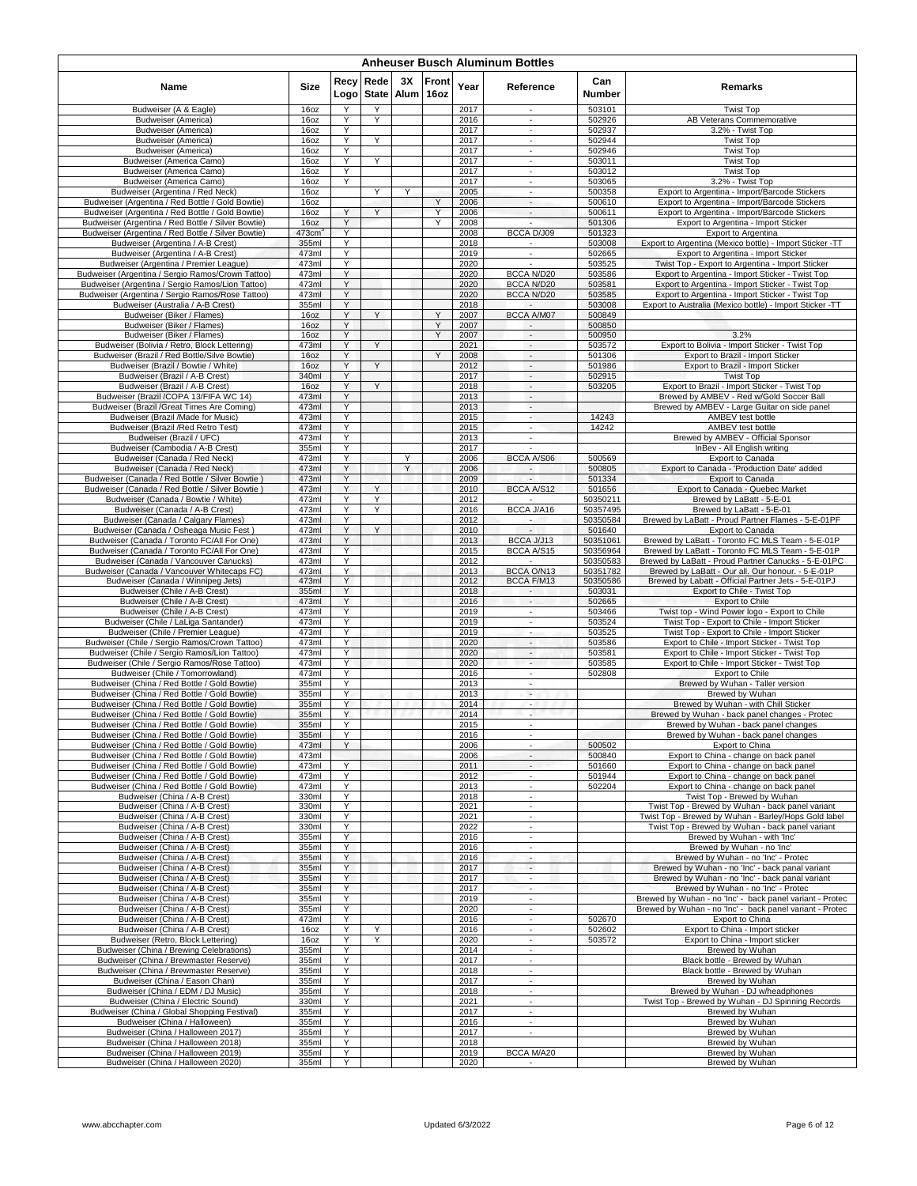| <b>Anheuser Busch Aluminum Bottles</b>                                                               |                       |              |                      |                 |        |              |                                        |                      |                                                                                                                      |  |  |  |  |
|------------------------------------------------------------------------------------------------------|-----------------------|--------------|----------------------|-----------------|--------|--------------|----------------------------------------|----------------------|----------------------------------------------------------------------------------------------------------------------|--|--|--|--|
| Name                                                                                                 | <b>Size</b>           | Recy<br>Logo | Rede<br><b>State</b> | 3X<br>Alum 16oz | Front  | Year         | Reference                              | Can<br><b>Number</b> | Remarks                                                                                                              |  |  |  |  |
| Budweiser (A & Eagle)                                                                                | 16oz                  | Y            | Υ                    |                 |        | 2017         | ×.                                     | 503101               | <b>Twist Top</b>                                                                                                     |  |  |  |  |
| <b>Budweiser (America)</b><br><b>Budweiser</b> (America)                                             | 16oz<br>16oz          | Y<br>Y       | Y                    |                 |        | 2016<br>2017 | $\overline{\phantom{a}}$<br>٠          | 502926<br>502937     | AB Veterans Commemorative<br>3.2% - Twist Top                                                                        |  |  |  |  |
| Budweiser (America)                                                                                  | 16oz                  | Υ            | Y                    |                 |        | 2017         | $\overline{\phantom{a}}$               | 502944               | <b>Twist Top</b>                                                                                                     |  |  |  |  |
| Budweiser (America)                                                                                  | 16oz                  | Υ            |                      |                 |        | 2017         | $\blacksquare$                         | 502946               | <b>Twist Top</b>                                                                                                     |  |  |  |  |
| Budweiser (America Camo)<br>Budweiser (America Camo)                                                 | 16oz<br>16oz          | Y<br>Y       | Y                    |                 |        | 2017<br>2017 | $\blacksquare$<br>$\sim$               | 503011<br>503012     | <b>Twist Top</b><br><b>Twist Top</b>                                                                                 |  |  |  |  |
| Budweiser (America Camo)                                                                             | 16oz                  | Y            |                      |                 |        | 2017         | $\overline{\phantom{a}}$               | 503065               | 3.2% - Twist Top                                                                                                     |  |  |  |  |
| Budweiser (Argentina / Red Neck)                                                                     | 16oz                  |              | Y                    | Y               |        | 2005         | $\overline{\phantom{a}}$               | 500358               | Export to Argentina - Import/Barcode Stickers                                                                        |  |  |  |  |
| Budweiser (Argentina / Red Bottle / Gold Bowtie)<br>Budweiser (Argentina / Red Bottle / Gold Bowtie) | 16oz                  | Y            | Y                    |                 | Υ<br>Y | 2006         | $\overline{\phantom{a}}$<br>$\sim$     | 500610               | Export to Argentina - Import/Barcode Stickers                                                                        |  |  |  |  |
| Budweiser (Argentina / Red Bottle / Silver Bowtie)                                                   | 16oz<br>16oz          | Y            |                      |                 | Y      | 2006<br>2008 | L.                                     | 500611<br>501306     | Export to Argentina - Import/Barcode Stickers<br>Export to Argentina - Import Sticker                                |  |  |  |  |
| Budweiser (Argentina / Red Bottle / Silver Bowtie)                                                   | $473$ cm <sup>3</sup> | Y            |                      |                 |        | 2008         | BCCA D/J09                             | 501323               | Export to Argentina                                                                                                  |  |  |  |  |
| Budweiser (Argentina / A-B Crest)                                                                    | 355ml                 | Υ            |                      |                 |        | 2018         | $\sim$                                 | 503008               | Export to Argentina (Mexico bottle) - Import Sticker -TT                                                             |  |  |  |  |
| Budweiser (Argentina / A-B Crest)<br>Budweiser (Argentina / Premier League)                          | 473ml<br>473ml        | Y<br>Y       |                      |                 |        | 2019<br>2020 | ÷.<br>×.                               | 502665<br>503525     | Export to Argentina - Import Sticker<br>Twist Top - Export to Argentina - Import Sticker                             |  |  |  |  |
| Budweiser (Argentina / Sergio Ramos/Crown Tattoo)                                                    | 473ml                 | Y            |                      |                 |        | 2020         | BCCA N/D20                             | 503586               | Export to Argentina - Import Sticker - Twist Top                                                                     |  |  |  |  |
| Budweiser (Argentina / Sergio Ramos/Lion Tattoo)                                                     | 473ml                 | Υ            |                      |                 |        | 2020         | <b>BCCA N/D20</b>                      | 503581               | Export to Argentina - Import Sticker - Twist Top                                                                     |  |  |  |  |
| Budweiser (Argentina / Sergio Ramos/Rose Tattoo)<br>Budweiser (Australia / A-B Crest)                | 473ml<br>355ml        | Y<br>Y       |                      |                 |        | 2020<br>2018 | BCCA N/D20                             | 503585<br>503008     | Export to Argentina - Import Sticker - Twist Top<br>Export to Australia (Mexico bottle) - Import Sticker -TT         |  |  |  |  |
| Budweiser (Biker / Flames)                                                                           | 16oz                  | Υ            | Y                    |                 | Υ      | 2007         | BCCA A/M07                             | 500849               |                                                                                                                      |  |  |  |  |
| Budweiser (Biker / Flames)                                                                           | 16oz                  | Y            |                      |                 | Y      | 2007         |                                        | 500850               |                                                                                                                      |  |  |  |  |
| Budweiser (Biker / Flames)<br>Budweiser (Bolivia / Retro, Block Lettering)                           | 160Z<br>473ml         | Y<br>Y       | Y                    |                 | Y      | 2007<br>2021 | $\sim$                                 | 500950               | 3.2%<br>Export to Bolivia - Import Sticker - Twist Top                                                               |  |  |  |  |
| Budweiser (Brazil / Red Bottle/Silve Bowtie)                                                         | 16oz                  | Υ            |                      |                 | Υ      | 2008         | $\overline{\phantom{a}}$<br>$\sim$     | 503572<br>501306     | Export to Brazil - Import Sticker                                                                                    |  |  |  |  |
| Budweiser (Brazil / Bowtie / White)                                                                  | 16oz                  | Υ            | Y                    |                 |        | 2012         | $\sim$                                 | 501986               | Export to Brazil - Import Sticker                                                                                    |  |  |  |  |
| Budweiser (Brazil / A-B Crest)                                                                       | 340ml                 | Υ            |                      |                 |        | 2017         | $\blacksquare$                         | 502915               | <b>Twist Top</b>                                                                                                     |  |  |  |  |
| Budweiser (Brazil / A-B Crest)<br>Budweiser (Brazil /COPA 13/FIFA WC 14)                             | 16oz<br>473ml         | Υ<br>Υ       | Y                    |                 |        | 2018<br>2013 | $\sim$<br>$\sim$                       | 503205               | Export to Brazil - Import Sticker - Twist Top<br>Brewed by AMBEV - Red w/Gold Soccer Ball                            |  |  |  |  |
| Budweiser (Brazil /Great Times Are Coming)                                                           | 473ml                 | Υ            |                      |                 |        | 2013         | $\sim$                                 |                      | Brewed by AMBEV - Large Guitar on side panel                                                                         |  |  |  |  |
| Budweiser (Brazil /Made for Music)                                                                   | 473ml                 | Y            |                      |                 |        | 2015         | ٠                                      | 14243                | AMBEV test bottle                                                                                                    |  |  |  |  |
| Budweiser (Brazil /Red Retro Test)                                                                   | 473ml                 | Y<br>Y       |                      |                 |        | 2015         | $\sim$<br>$\mathcal{L}_{\mathcal{A}}$  | 14242                | AMBEV test bottle                                                                                                    |  |  |  |  |
| Budweiser (Brazil / UFC)<br>Budweiser (Cambodia / A-B Crest)                                         | 473ml<br>355ml        | Y            |                      |                 |        | 2013<br>2017 |                                        |                      | Brewed by AMBEV - Official Sponsor<br>InBev - All English writing                                                    |  |  |  |  |
| Budweiser (Canada / Red Neck)                                                                        | 473ml                 | Υ            |                      | Υ               |        | 2006         | BCCA A/S06                             | 500569               | Export to Canada                                                                                                     |  |  |  |  |
| Budweiser (Canada / Red Neck)                                                                        | 473ml                 | Y            |                      | Y               |        | 2006         | $\sim$                                 | 500805               | Export to Canada - 'Production Date' added                                                                           |  |  |  |  |
| Budweiser (Canada / Red Bottle / Silver Bowtie)<br>Budweiser (Canada / Red Bottle / Silver Bowtie)   | 473ml<br>473ml        | Y<br>Y       | Y                    |                 |        | 2009<br>2010 | BCCA A/S12                             | 501334<br>501656     | Export to Canada<br>Export to Canada - Quebec Market                                                                 |  |  |  |  |
| Budweiser (Canada / Bowtie / White)                                                                  | 473ml                 | Y            | Y                    |                 |        | 2012         | $\sim$                                 | 50350211             | Brewed by LaBatt - 5-E-01                                                                                            |  |  |  |  |
| Budweiser (Canada / A-B Crest)                                                                       | 473ml                 | Y            | Y                    |                 |        | 2016         | BCCA J/A16                             | 50357495             | Brewed by LaBatt - 5-E-01                                                                                            |  |  |  |  |
| Budweiser (Canada / Calgary Flames)                                                                  | 473ml                 | Y            |                      |                 |        | 2012         | ٠.                                     | 50350584             | Brewed by LaBatt - Proud Partner Flames - 5-E-01PF                                                                   |  |  |  |  |
| Budweiser (Canada / Osheaga Music Fest)<br>Budweiser (Canada / Toronto FC/All For One)               | 473ml<br>473ml        | Y<br>Υ       | Y                    |                 |        | 2010<br>2013 | $\overline{\phantom{a}}$<br>BCCA J/J13 | 501640<br>50351061   | Export to Canada<br>Brewed by LaBatt - Toronto FC MLS Team - 5-E-01P                                                 |  |  |  |  |
| Budweiser (Canada / Toronto FC/All For One)                                                          | 473ml                 | Y            |                      |                 |        | 2015         | <b>BCCA A/S15</b>                      | 50356964             | Brewed by LaBatt - Toronto FC MLS Team - 5-E-01P                                                                     |  |  |  |  |
| Budweiser (Canada / Vancouver Canucks)                                                               | 473ml                 | Y            |                      |                 |        | 2012         |                                        | 50350583             | Brewed by LaBatt - Proud Partner Canucks - 5-E-01PC                                                                  |  |  |  |  |
| Budweiser (Canada / Vancouver Whitecaps FC)                                                          | 473ml                 | Υ            |                      |                 |        | 2013         | BCCA O/N13                             | 50351782             | Brewed by LaBatt - Our all. Our honour. - 5-E-01P                                                                    |  |  |  |  |
| Budweiser (Canada / Winnipeg Jets)<br>Budweiser (Chile / A-B Crest)                                  | 473ml<br>355ml        | Y<br>Y       |                      |                 |        | 2012<br>2018 | BCCA F/M13<br>н.                       | 50350586<br>503031   | Brewed by Labatt - Official Partner Jets - 5-E-01PJ<br>Export to Chile - Twist Top                                   |  |  |  |  |
| Budweiser (Chile / A-B Crest)                                                                        | 473ml                 | Y            |                      |                 |        | 2016         | ٠                                      | 502665               | Export to Chile                                                                                                      |  |  |  |  |
| Budweiser (Chile / A-B Crest)                                                                        | 473ml                 | Υ            |                      |                 |        | 2019         | $\sim$                                 | 503466               | Twist top - Wind Power logo - Export to Chile                                                                        |  |  |  |  |
| Budweiser (Chile / LaLiga Santander)<br>Budweiser (Chile / Premier League)                           | 473ml<br>473ml        | Y<br>Y       |                      |                 |        | 2019<br>2019 | $\sim$<br>$\overline{\phantom{a}}$     | 503524<br>503525     | Twist Top - Export to Chile - Import Sticker<br>Twist Top - Export to Chile - Import Sticker                         |  |  |  |  |
| Budweiser (Chile / Sergio Ramos/Crown Tattoo)                                                        | 473ml                 | Y            |                      |                 |        | 2020         | $\sim$                                 | 503586               | Export to Chile - Import Sticker - Twist Top                                                                         |  |  |  |  |
| Budweiser (Chile / Sergio Ramos/Lion Tattoo)                                                         | 473ml                 | Y            |                      |                 |        | 2020         | $\overline{\phantom{a}}$               | 503581               | Export to Chile - Import Sticker - Twist Top                                                                         |  |  |  |  |
| Budweiser (Chile / Sergio Ramos/Rose Tattoo)<br>Budweiser (Chile / Tomorrowland)                     | 473ml<br>473ml        | Υ<br>Y       |                      |                 |        | 2020<br>2016 | $\sim$                                 | 503585<br>502808     | Export to Chile - Import Sticker - Twist Top<br>Export to Chile                                                      |  |  |  |  |
| Budweiser (China / Red Bottle / Gold Bowtie)                                                         | 355ml                 | Y            |                      |                 |        | 2013         | $\overline{\phantom{a}}$<br>$\sim$     |                      | Brewed by Wuhan - Taller version                                                                                     |  |  |  |  |
| Budweiser (China / Red Bottle / Gold Bowtie)                                                         | 355ml                 | Y            |                      |                 |        | 2013         | $\sim$                                 |                      | Brewed by Wuhan                                                                                                      |  |  |  |  |
| Budweiser (China / Red Bottle / Gold Bowtie)                                                         | 355ml                 | Υ            |                      |                 |        | 2014         | $\overline{\phantom{a}}$               |                      | Brewed by Wuhan - with Chill Sticker                                                                                 |  |  |  |  |
| Budweiser (China / Red Bottle / Gold Bowtie)<br>Budweiser (China / Red Bottle / Gold Bowtie)         | 355ml<br>355ml        | Y            |                      |                 |        | 2014<br>2015 | ÷                                      |                      | Brewed by Wuhan - back panel changes - Protec<br>Brewed by Wuhan - back panel changes                                |  |  |  |  |
| Budweiser (China / Red Bottle / Gold Bowtie)                                                         | 355ml                 | Υ            |                      |                 |        | 2016         | ÷.                                     |                      | Brewed by Wuhan - back panel changes                                                                                 |  |  |  |  |
| Budweiser (China / Red Bottle / Gold Bowtie)                                                         | 473ml                 | Y            |                      |                 |        | 2006         | ٠                                      | 500502               | <b>Export to China</b>                                                                                               |  |  |  |  |
| Budweiser (China / Red Bottle / Gold Bowtie)<br>Budweiser (China / Red Bottle / Gold Bowtie)         | 473ml<br>473ml        | Y            |                      |                 |        | 2006<br>2011 | $\sim$<br>$\overline{\phantom{a}}$     | 500840<br>501660     | Export to China - change on back panel<br>Export to China - change on back panel                                     |  |  |  |  |
| Budweiser (China / Red Bottle / Gold Bowtie)                                                         | 473ml                 | Y            |                      |                 |        | 2012         | $\overline{\phantom{a}}$               | 501944               | Export to China - change on back panel                                                                               |  |  |  |  |
| Budweiser (China / Red Bottle / Gold Bowtie)                                                         | 473ml                 | Y            |                      |                 |        | 2013         | $\overline{\phantom{a}}$               | 502204               | Export to China - change on back panel                                                                               |  |  |  |  |
| Budweiser (China / A-B Crest)                                                                        | 330ml                 | Y            |                      |                 |        | 2018         | ×.                                     |                      | Twist Top - Brewed by Wuhan                                                                                          |  |  |  |  |
| Budweiser (China / A-B Crest)<br>Budweiser (China / A-B Crest)                                       | 330ml<br>330ml        | Υ<br>Y       |                      |                 |        | 2021<br>2021 | ÷.<br>$\overline{\phantom{a}}$         |                      | Twist Top - Brewed by Wuhan - back panel variant<br>Twist Top - Brewed by Wuhan - Barley/Hops Gold label             |  |  |  |  |
| Budweiser (China / A-B Crest)                                                                        | 330ml                 | Y            |                      |                 |        | 2022         | $\sim$                                 |                      | Twist Top - Brewed by Wuhan - back panel variant                                                                     |  |  |  |  |
| Budweiser (China / A-B Crest)                                                                        | 355ml                 | Y            |                      |                 |        | 2016         | ×.                                     |                      | Brewed by Wuhan - with 'Inc'                                                                                         |  |  |  |  |
| Budweiser (China / A-B Crest)<br>Budweiser (China / A-B Crest)                                       | 355ml                 | Y<br>Y       |                      |                 |        | 2016         | $\overline{\phantom{a}}$               |                      | Brewed by Wuhan - no 'Inc'<br>Brewed by Wuhan - no 'Inc' - Protec                                                    |  |  |  |  |
| Budweiser (China / A-B Crest)                                                                        | 355ml<br>355ml        | Y            |                      |                 |        | 2016<br>2017 | ٠<br>$\overline{\phantom{a}}$          |                      | Brewed by Wuhan - no 'Inc' - back panal variant                                                                      |  |  |  |  |
| Budweiser (China / A-B Crest)                                                                        | 355ml                 | Y            |                      |                 |        | 2017         | $\mathcal{L}_{\mathcal{A}}$            |                      | Brewed by Wuhan - no 'Inc' - back panal variant                                                                      |  |  |  |  |
| Budweiser (China / A-B Crest)                                                                        | 355ml                 | Y            |                      |                 |        | 2017         | ÷.                                     |                      | Brewed by Wuhan - no 'Inc' - Protec                                                                                  |  |  |  |  |
| Budweiser (China / A-B Crest)<br>Budweiser (China / A-B Crest)                                       | 355ml<br>355ml        | Y<br>Y       |                      |                 |        | 2019<br>2020 | $\sim$<br>×.                           |                      | Brewed by Wuhan - no 'Inc' - back panel variant - Protec<br>Brewed by Wuhan - no 'Inc' - back panel variant - Protec |  |  |  |  |
| Budweiser (China / A-B Crest)                                                                        | 473ml                 | Y            |                      |                 |        | 2016         | $\blacksquare$                         | 502670               | Export to China                                                                                                      |  |  |  |  |
| Budweiser (China / A-B Crest)                                                                        | 16oz                  | Y            | Υ                    |                 |        | 2016         | ٠                                      | 502602               | Export to China - Import sticker                                                                                     |  |  |  |  |
| Budweiser (Retro, Block Lettering)                                                                   | 16oz                  | Υ<br>Y       | Y                    |                 |        | 2020         | $\sim$<br>$\mathcal{L}_{\mathcal{A}}$  | 503572               | Export to China - Import sticker                                                                                     |  |  |  |  |
| Budweiser (China / Brewing Celebrations)<br>Budweiser (China / Brewmaster Reserve)                   | 355ml<br>355ml        | Υ            |                      |                 |        | 2014<br>2017 | $\overline{\phantom{a}}$               |                      | Brewed by Wuhan<br>Black bottle - Brewed by Wuhan                                                                    |  |  |  |  |
| Budweiser (China / Brewmaster Reserve)                                                               | 355ml                 | Y            |                      |                 |        | 2018         | $\sim$                                 |                      | Black bottle - Brewed by Wuhan                                                                                       |  |  |  |  |
| Budweiser (China / Eason Chan)                                                                       | 355ml                 | Y            |                      |                 |        | 2017         | $\overline{\phantom{a}}$               |                      | Brewed by Wuhan                                                                                                      |  |  |  |  |
| Budweiser (China / EDM / DJ Music)<br>Budweiser (China / Electric Sound)                             | 355ml<br>330ml        | Υ<br>Y       |                      |                 |        | 2018<br>2021 | ÷.<br>$\overline{\phantom{a}}$         |                      | Brewed by Wuhan - DJ w/headphones<br>Twist Top - Brewed by Wuhan - DJ Spinning Records                               |  |  |  |  |
| Budweiser (China / Global Shopping Festival)                                                         | 355ml                 | Y            |                      |                 |        | 2017         | $\sim$                                 |                      | Brewed by Wuhan                                                                                                      |  |  |  |  |
| Budweiser (China / Halloween)                                                                        | 355ml                 | Υ            |                      |                 |        | 2016         | $\mathcal{L}_{\mathcal{A}}$            |                      | Brewed by Wuhan                                                                                                      |  |  |  |  |
| Budweiser (China / Halloween 2017)                                                                   | 355ml                 | Y            |                      |                 |        | 2017         | $\overline{\phantom{a}}$               |                      | Brewed by Wuhan                                                                                                      |  |  |  |  |
| Budweiser (China / Halloween 2018)<br>Budweiser (China / Halloween 2019)                             | 355ml<br>355ml        | Y<br>Y       |                      |                 |        | 2018<br>2019 | BCCA M/A20                             |                      | Brewed by Wuhan<br>Brewed by Wuhan                                                                                   |  |  |  |  |
| Budweiser (China / Halloween 2020)                                                                   | 355ml                 | Y            |                      |                 |        | 2020         |                                        |                      | Brewed by Wuhan                                                                                                      |  |  |  |  |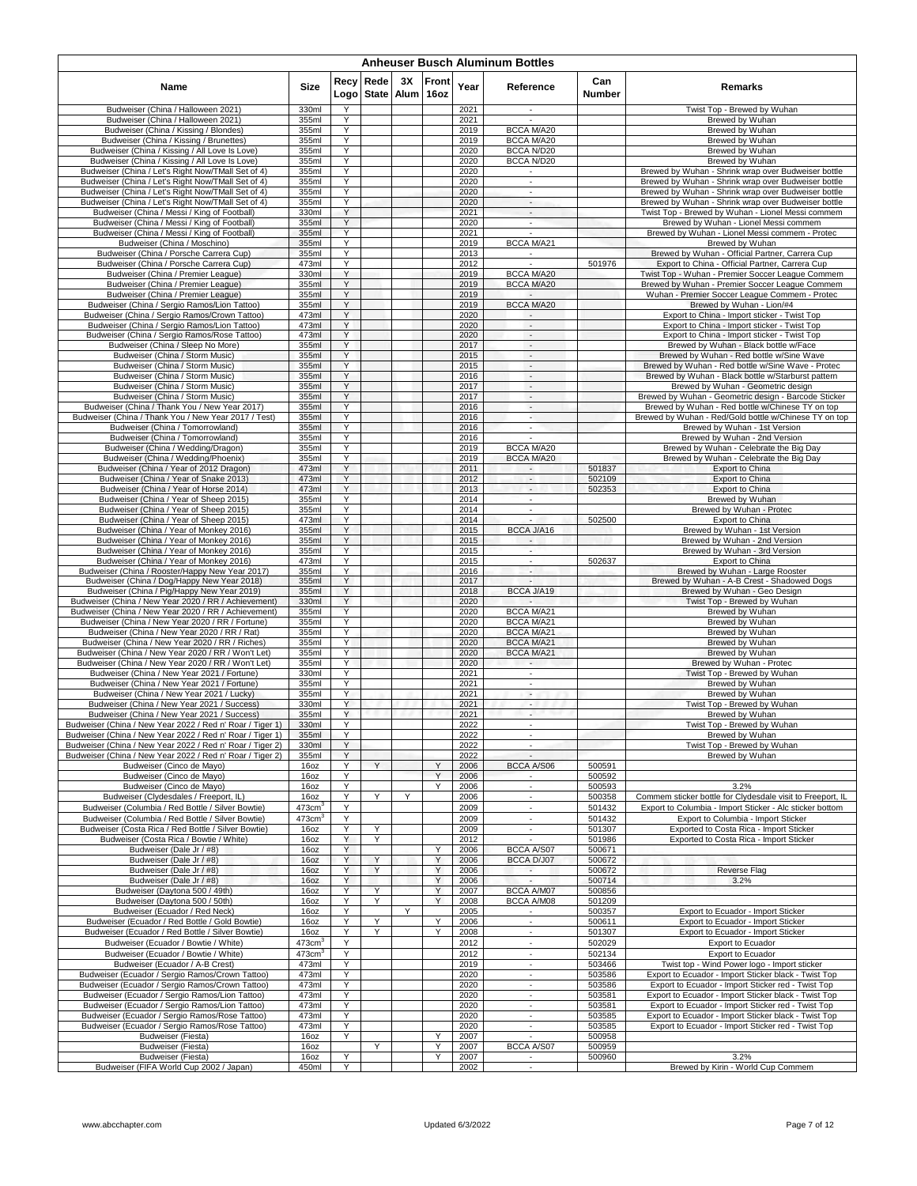|                                                                                                                        | <b>Anheuser Busch Aluminum Bottles</b> |              |        |                  |                      |              |                                                         |                  |                                                                                                            |  |  |  |  |  |
|------------------------------------------------------------------------------------------------------------------------|----------------------------------------|--------------|--------|------------------|----------------------|--------------|---------------------------------------------------------|------------------|------------------------------------------------------------------------------------------------------------|--|--|--|--|--|
| Name                                                                                                                   | Size                                   | Recy<br>Logo | Rede   | 3X<br>State Alum | <b>Front</b><br>16oz | Year         | Reference                                               | Can<br>Number    | Remarks                                                                                                    |  |  |  |  |  |
| Budweiser (China / Halloween 2021)                                                                                     | 330ml                                  | Υ            |        |                  |                      | 2021         | $\sim$                                                  |                  | Twist Top - Brewed by Wuhan                                                                                |  |  |  |  |  |
| Budweiser (China / Halloween 2021)<br>Budweiser (China / Kissing / Blondes)                                            | 355ml<br>355ml                         | Y<br>Y       |        |                  |                      | 2021<br>2019 | BCCA M/A20                                              |                  | Brewed by Wuhan<br>Brewed by Wuhan                                                                         |  |  |  |  |  |
| Budweiser (China / Kissing / Brunettes)                                                                                | 355ml                                  | Υ            |        |                  |                      | 2019         | BCCA M/A20                                              |                  | Brewed by Wuhan                                                                                            |  |  |  |  |  |
| Budweiser (China / Kissing / All Love Is Love)                                                                         | 355ml                                  | Υ            |        |                  |                      | 2020         | BCCA N/D20                                              |                  | Brewed by Wuhan                                                                                            |  |  |  |  |  |
| Budweiser (China / Kissing / All Love Is Love)                                                                         | 355ml                                  | Y<br>Y       |        |                  |                      | 2020<br>2020 | BCCA N/D20                                              |                  | Brewed by Wuhan<br>Brewed by Wuhan - Shrink wrap over Budweiser bottle                                     |  |  |  |  |  |
| Budweiser (China / Let's Right Now/TMall Set of 4)<br>Budweiser (China / Let's Right Now/TMall Set of 4)               | 355ml<br>355ml                         | Υ            |        |                  |                      | 2020         | ÷                                                       |                  | Brewed by Wuhan - Shrink wrap over Budweiser bottle                                                        |  |  |  |  |  |
| Budweiser (China / Let's Right Now/TMall Set of 4)                                                                     | 355ml                                  | Y            |        |                  |                      | 2020         | $\overline{\phantom{a}}$                                |                  | Brewed by Wuhan - Shrink wrap over Budweiser bottle                                                        |  |  |  |  |  |
| Budweiser (China / Let's Right Now/TMall Set of 4)                                                                     | 355ml                                  | Y<br>Y       |        |                  |                      | 2020         | $\overline{\phantom{a}}$<br>$\overline{\phantom{a}}$    |                  | Brewed by Wuhan - Shrink wrap over Budweiser bottle                                                        |  |  |  |  |  |
| Budweiser (China / Messi / King of Football)<br>Budweiser (China / Messi / King of Football)                           | 330ml<br>355ml                         | Y            |        |                  |                      | 2021<br>2020 | $\overline{\phantom{a}}$                                |                  | Twist Top - Brewed by Wuhan - Lionel Messi commem<br>Brewed by Wuhan - Lionel Messi commem                 |  |  |  |  |  |
| Budweiser (China / Messi / King of Football)                                                                           | 355ml                                  | Y            |        |                  |                      | 2021         |                                                         |                  | Brewed by Wuhan - Lionel Messi commem - Protec                                                             |  |  |  |  |  |
| Budweiser (China / Moschino)<br>Budweiser (China / Porsche Carrera Cup)                                                | 355ml                                  | Y<br>Υ       |        |                  |                      | 2019<br>2013 | BCCA M/A21                                              |                  | Brewed by Wuhan<br>Brewed by Wuhan - Official Partner, Carrera Cup                                         |  |  |  |  |  |
| Budweiser (China / Porsche Carrera Cup)                                                                                | 355ml<br>473ml                         | Υ            |        |                  |                      | 2012         |                                                         | 501976           | Export to China - Official Partner, Carrera Cup                                                            |  |  |  |  |  |
| Budweiser (China / Premier League)                                                                                     | 330ml                                  | Y            |        |                  |                      | 2019         | BCCA M/A20                                              |                  | Twist Top - Wuhan - Premier Soccer League Commem                                                           |  |  |  |  |  |
| Budweiser (China / Premier League)<br>Budweiser (China / Premier League)                                               | 355ml<br>355ml                         | Υ<br>Y       |        |                  |                      | 2019<br>2019 | BCCA M/A20                                              |                  | Brewed by Wuhan - Premier Soccer League Commem<br>Wuhan - Premier Soccer League Commem - Protec            |  |  |  |  |  |
| Budweiser (China / Sergio Ramos/Lion Tattoo)                                                                           | 355ml                                  | Y            |        |                  |                      | 2019         | BCCA M/A20                                              |                  | Brewed by Wuhan - Lion/#4                                                                                  |  |  |  |  |  |
| Budweiser (China / Sergio Ramos/Crown Tattoo)                                                                          | 473ml                                  | Υ            |        |                  |                      | 2020         | $\sim$                                                  |                  | Export to China - Import sticker - Twist Top                                                               |  |  |  |  |  |
| Budweiser (China / Sergio Ramos/Lion Tattoo)<br>Budweiser (China / Sergio Ramos/Rose Tattoo)                           | 473ml<br>473ml                         | Y<br>Y       |        |                  |                      | 2020<br>2020 | $\mathcal{L}_{\mathcal{A}}$<br>$\overline{\phantom{a}}$ |                  | Export to China - Import sticker - Twist Top                                                               |  |  |  |  |  |
| Budweiser (China / Sleep No More)                                                                                      | 355ml                                  | Y            |        |                  |                      | 2017         | $\overline{\phantom{a}}$                                |                  | Export to China - Import sticker - Twist Top<br>Brewed by Wuhan - Black bottle w/Face                      |  |  |  |  |  |
| Budweiser (China / Storm Music)                                                                                        | 355ml                                  | Υ            |        |                  |                      | 2015         | $\sim$                                                  |                  | Brewed by Wuhan - Red bottle w/Sine Wave                                                                   |  |  |  |  |  |
| Budweiser (China / Storm Music)<br>Budweiser (China / Storm Music)                                                     | 355ml                                  | Υ            |        |                  |                      | 2015         | $\sim$                                                  |                  | Brewed by Wuhan - Red bottle w/Sine Wave - Protec                                                          |  |  |  |  |  |
| Budweiser (China / Storm Music)                                                                                        | 355ml<br>355ml                         | Y<br>Y       |        |                  |                      | 2016<br>2017 | $\overline{\phantom{a}}$<br>$\sim$                      |                  | Brewed by Wuhan - Black bottle w/Starburst pattern<br>Brewed by Wuhan - Geometric design                   |  |  |  |  |  |
| Budweiser (China / Storm Music)                                                                                        | 355ml                                  | Υ            |        |                  |                      | 2017         | $\sim$                                                  |                  | Brewed by Wuhan - Geometric design - Barcode Sticker                                                       |  |  |  |  |  |
| Budweiser (China / Thank You / New Year 2017)                                                                          | 355ml                                  | Υ            |        |                  |                      | 2016         | $\overline{\phantom{a}}$                                |                  | Brewed by Wuhan - Red bottle w/Chinese TY on top                                                           |  |  |  |  |  |
| Budweiser (China / Thank You / New Year 2017 / Test)<br>Budweiser (China / Tomorrowland)                               | 355ml<br>355ml                         | Y<br>Y       |        |                  |                      | 2016<br>2016 | ٠<br>$\sim$                                             |                  | Brewed by Wuhan - Red/Gold bottle w/Chinese TY on top<br>Brewed by Wuhan - 1st Version                     |  |  |  |  |  |
| Budweiser (China / Tomorrowland)                                                                                       | 355ml                                  | Υ            |        |                  |                      | 2016         |                                                         |                  | Brewed by Wuhan - 2nd Version                                                                              |  |  |  |  |  |
| Budweiser (China / Wedding/Dragon)                                                                                     | 355ml                                  | Y<br>Y       |        |                  |                      | 2019         | <b>BCCA M/A20</b>                                       |                  | Brewed by Wuhan - Celebrate the Big Day                                                                    |  |  |  |  |  |
| Budweiser (China / Wedding/Phoenix)<br>Budweiser (China / Year of 2012 Dragon)                                         | 355ml<br>473ml                         | Y            |        |                  |                      | 2019<br>2011 | <b>BCCA M/A20</b>                                       | 501837           | Brewed by Wuhan - Celebrate the Big Day<br>Export to China                                                 |  |  |  |  |  |
| Budweiser (China / Year of Snake 2013)                                                                                 | 473ml                                  | Υ            |        |                  |                      | 2012         | $\overline{\phantom{a}}$                                | 502109           | Export to China                                                                                            |  |  |  |  |  |
| Budweiser (China / Year of Horse 2014)                                                                                 | 473ml                                  | Y            |        |                  |                      | 2013         | $\overline{\phantom{a}}$<br>÷                           | 502353           | <b>Export to China</b>                                                                                     |  |  |  |  |  |
| Budweiser (China / Year of Sheep 2015)<br>Budweiser (China / Year of Sheep 2015)                                       | 355ml<br>355ml                         | Υ<br>Υ       |        |                  |                      | 2014<br>2014 |                                                         |                  | Brewed by Wuhan<br>Brewed by Wuhan - Protec                                                                |  |  |  |  |  |
| Budweiser (China / Year of Sheep 2015)                                                                                 | 473ml                                  | Y            |        |                  |                      | 2014         |                                                         | 502500           | Export to China                                                                                            |  |  |  |  |  |
| Budweiser (China / Year of Monkey 2016)                                                                                | 355ml                                  | Υ<br>Υ       |        |                  |                      | 2015<br>2015 | BCCA J/A16                                              |                  | Brewed by Wuhan - 1st Version                                                                              |  |  |  |  |  |
| Budweiser (China / Year of Monkey 2016)<br>Budweiser (China / Year of Monkey 2016)                                     | 355ml<br>355ml                         | Y            |        |                  |                      | 2015         | $\overline{\phantom{a}}$                                |                  | Brewed by Wuhan - 2nd Version<br>Brewed by Wuhan - 3rd Version                                             |  |  |  |  |  |
| Budweiser (China / Year of Monkey 2016)                                                                                | 473ml                                  | Y            |        |                  |                      | 2015         | $\overline{\phantom{a}}$                                | 502637           | Export to China                                                                                            |  |  |  |  |  |
| Budweiser (China / Rooster/Happy New Year 2017)<br>Budweiser (China / Dog/Happy New Year 2018)                         | 355ml<br>355ml                         | Y<br>Υ       |        |                  |                      | 2016<br>2017 | $\overline{\phantom{a}}$                                |                  | Brewed by Wuhan - Large Rooster<br>Brewed by Wuhan - A-B Crest - Shadowed Dogs                             |  |  |  |  |  |
| Budweiser (China / Pig/Happy New Year 2019)                                                                            | 355ml                                  | Y            |        |                  |                      | 2018         | BCCA J/A19                                              |                  | Brewed by Wuhan - Geo Design                                                                               |  |  |  |  |  |
| Budweiser (China / New Year 2020 / RR / Achievement)                                                                   | 330ml                                  | Υ            |        |                  |                      | 2020         | $\sim$                                                  |                  | Twist Top - Brewed by Wuhan                                                                                |  |  |  |  |  |
| Budweiser (China / New Year 2020 / RR / Achievement)<br>Budweiser (China / New Year 2020 / RR / Fortune)               | 355ml<br>355ml                         | Υ<br>Υ       |        |                  |                      | 2020<br>2020 | <b>BCCA M/A21</b><br>BCCA M/A21                         |                  | Brewed by Wuhan<br><b>Brewed by Wuhan</b>                                                                  |  |  |  |  |  |
| Budweiser (China / New Year 2020 / RR / Rat)                                                                           | 355ml                                  | Y            |        |                  |                      | 2020         | BCCA M/A21                                              |                  | Brewed by Wuhan                                                                                            |  |  |  |  |  |
| Budweiser (China / New Year 2020 / RR / Riches)                                                                        | 355ml                                  | Y.           |        |                  |                      | 2020         | BCCA M/A21                                              |                  | <b>Brewed by Wuhan</b>                                                                                     |  |  |  |  |  |
| Budweiser (China / New Year 2020 / RR / Won't Let)<br>Budweiser (China / New Year 2020 / RR / Won't Let)               | 355ml<br>355ml                         | Υ<br>Y       |        |                  |                      | 2020<br>2020 | BCCA M/A21<br>$\overline{\phantom{a}}$                  |                  | Brewed by Wuhan<br>Brewed by Wuhan - Protec                                                                |  |  |  |  |  |
| Budweiser (China / New Year 2021 / Fortune)                                                                            | 330ml                                  | Y            |        |                  |                      | 2021         | $\overline{\phantom{a}}$                                |                  | Twist Top - Brewed by Wuhan                                                                                |  |  |  |  |  |
| Budweiser (China / New Year 2021 / Fortune)                                                                            | 355ml                                  | Y            |        |                  |                      | 2021         | $\mathbf{r}$                                            |                  | Brewed by Wuhan                                                                                            |  |  |  |  |  |
| Budweiser (China / New Year 2021 / Lucky)<br>Budweiser (China / New Year 2021 / Success)                               | 355ml<br>330ml                         | Υ<br>Y       |        |                  |                      | 2021<br>2021 | $\overline{\phantom{a}}$<br>٠                           |                  | Brewed by Wuhan<br>Twist Top - Brewed by Wuhan                                                             |  |  |  |  |  |
| Budweiser (China / New Year 2021 / Success)                                                                            | 355ml                                  | Y            |        |                  |                      | 2021         | $\sim$                                                  |                  | Brewed by Wuhan                                                                                            |  |  |  |  |  |
| veiser (China / New Year 2022 / Red n' Roar / Tiger 1)                                                                 | 330ml                                  | Y            |        |                  |                      | 2022         |                                                         |                  | Twist Ton - Rrewed by Wi                                                                                   |  |  |  |  |  |
| Budweiser (China / New Year 2022 / Red n' Roar / Tiger 1)<br>Budweiser (China / New Year 2022 / Red n' Roar / Tiger 2) | 355ml<br>330ml                         | Υ<br>Υ       |        |                  |                      | 2022<br>2022 | $\overline{\phantom{a}}$<br>$\overline{\phantom{a}}$    |                  | Brewed by Wuhan<br>Twist Top - Brewed by Wuhan                                                             |  |  |  |  |  |
| Budweiser (China / New Year 2022 / Red n' Roar / Tiger 2)                                                              | 355ml                                  | Υ            |        |                  |                      | 2022         | $\overline{\phantom{a}}$                                |                  | Brewed by Wuhan                                                                                            |  |  |  |  |  |
| Budweiser (Cinco de Mayo)                                                                                              | 16oz                                   | Υ            | Y      |                  | Y                    | 2006         | <b>BCCA A/S06</b>                                       | 500591           |                                                                                                            |  |  |  |  |  |
| Budweiser (Cinco de Mavo)<br>Budweiser (Cinco de Mayo)                                                                 | 16oz<br>16oz                           | Y<br>Y       |        |                  | Y<br>Y               | 2006<br>2006 | $\sim$                                                  | 500592<br>500593 | 3.2%                                                                                                       |  |  |  |  |  |
| Budweiser (Clydesdales / Freeport, IL)                                                                                 | 16oz                                   | Y            | Y      | Y                |                      | 2006         | $\epsilon$                                              | 500358           | Commem sticker bottle for Clydesdale visit to Freeport, IL                                                 |  |  |  |  |  |
| Budweiser (Columbia / Red Bottle / Silver Bowtie)                                                                      | $473$ cm <sup>3</sup>                  | Y            |        |                  |                      | 2009         | $\overline{\phantom{a}}$                                | 501432           | Export to Columbia - Import Sticker - Alc sticker bottom                                                   |  |  |  |  |  |
| Budweiser (Columbia / Red Bottle / Silver Bowtie)<br>Budweiser (Costa Rica / Red Bottle / Silver Bowtie)               | 473cm <sup>3</sup>                     | Υ<br>Y       | Υ      |                  |                      | 2009<br>2009 | $\mathcal{L}_{\mathcal{A}}$<br>÷,                       | 501432<br>501307 | Export to Columbia - Import Sticker<br>Exported to Costa Rica - Import Sticker                             |  |  |  |  |  |
| Budweiser (Costa Rica / Bowtie / White)                                                                                | 16oz<br>16oz                           | Y            | Y      |                  |                      | 2012         | $\overline{\phantom{a}}$                                | 501986           | Exported to Costa Rica - Import Sticker                                                                    |  |  |  |  |  |
| Budweiser (Dale Jr / #8)                                                                                               | 16oz                                   | Y            |        |                  | Y                    | 2006         | <b>BCCA A/S07</b>                                       | 500671           |                                                                                                            |  |  |  |  |  |
| Budweiser (Dale Jr / #8)<br>Budweiser (Dale Jr / #8)                                                                   | 160z<br>16oz                           | Y<br>Y       | Y<br>Y |                  | Y<br>Y               | 2006<br>2006 | BCCA D/J07                                              | 500672<br>500672 |                                                                                                            |  |  |  |  |  |
| Budweiser (Dale Jr / #8)                                                                                               | 16oz                                   | Y            |        |                  | Y                    | 2006         | $\sim$                                                  | 500714           | Reverse Flag<br>3.2%                                                                                       |  |  |  |  |  |
| Budweiser (Daytona 500 / 49th)                                                                                         | 16oz                                   | Y            | Y      |                  | Y                    | 2007         | BCCA A/M07                                              | 500856           |                                                                                                            |  |  |  |  |  |
| Budweiser (Daytona 500 / 50th)<br>Budweiser (Ecuador / Red Neck)                                                       | 16oz                                   | Y            | Y      | Y                | Y                    | 2008         | BCCA A/M08                                              | 501209           |                                                                                                            |  |  |  |  |  |
| Budweiser (Ecuador / Red Bottle / Gold Bowtie)                                                                         | 16oz<br>16oz                           | Y<br>Y       | Υ      |                  | Υ                    | 2005<br>2006 | $\overline{\phantom{a}}$                                | 500357<br>500611 | Export to Ecuador - Import Sticker<br>Export to Ecuador - Import Sticker                                   |  |  |  |  |  |
| Budweiser (Ecuador / Red Bottle / Silver Bowtie)                                                                       | $\overline{16}$ oz                     | Υ            | Υ      |                  | Y                    | 2008         | $\epsilon$                                              | 501307           | Export to Ecuador - Import Sticker                                                                         |  |  |  |  |  |
| Budweiser (Ecuador / Bowtie / White)                                                                                   | $473$ cm <sup>3</sup>                  | Y            |        |                  |                      | 2012         | $\overline{\phantom{a}}$                                | 502029           | Export to Ecuador                                                                                          |  |  |  |  |  |
| Budweiser (Ecuador / Bowtie / White)<br>Budweiser (Ecuador / A-B Crest)                                                | 473cm <sup>3</sup><br>473ml            | Υ<br>Υ       |        |                  |                      | 2012<br>2019 | ×.<br>$\overline{\phantom{a}}$                          | 502134<br>503466 | Export to Ecuador<br>Twist top - Wind Power logo - Import sticker                                          |  |  |  |  |  |
| Budweiser (Ecuador / Sergio Ramos/Crown Tattoo)                                                                        | 473ml                                  | Y            |        |                  |                      | 2020         | $\overline{\phantom{a}}$                                | 503586           | Export to Ecuador - Import Sticker black - Twist Top                                                       |  |  |  |  |  |
| Budweiser (Ecuador / Sergio Ramos/Crown Tattoo)                                                                        | 473ml                                  | Y            |        |                  |                      | 2020         | ×                                                       | 503586           | Export to Ecuador - Import Sticker red - Twist Top                                                         |  |  |  |  |  |
| Budweiser (Ecuador / Sergio Ramos/Lion Tattoo)<br>Budweiser (Ecuador / Sergio Ramos/Lion Tattoo)                       | 473ml<br>473ml                         | Y<br>Y       |        |                  |                      | 2020<br>2020 | $\overline{\phantom{a}}$                                | 503581<br>503581 | Export to Ecuador - Import Sticker black - Twist Top<br>Export to Ecuador - Import Sticker red - Twist Top |  |  |  |  |  |
| Budweiser (Ecuador / Sergio Ramos/Rose Tattoo)                                                                         | 473ml                                  | Y            |        |                  |                      | 2020         | $\overline{\phantom{a}}$<br>$\overline{\phantom{a}}$    | 503585           | Export to Ecuador - Import Sticker black - Twist Top                                                       |  |  |  |  |  |
| Budweiser (Ecuador / Sergio Ramos/Rose Tattoo)                                                                         | 473ml                                  | Υ            |        |                  |                      | 2020         | ÷.                                                      | 503585           | Export to Ecuador - Import Sticker red - Twist Top                                                         |  |  |  |  |  |
| Budweiser (Fiesta)<br><b>Budweiser (Fiesta)</b>                                                                        | 16oz<br>16oz                           | Υ            | Y      |                  | Y<br>Υ               | 2007<br>2007 | BCCA A/S07                                              | 500958<br>500959 |                                                                                                            |  |  |  |  |  |
| <b>Budweiser (Fiesta)</b>                                                                                              | 16oz                                   | Υ            |        |                  | Y                    | 2007         |                                                         | 500960           | 3.2%                                                                                                       |  |  |  |  |  |
| Budweiser (FIFA World Cup 2002 / Japan)                                                                                | 450ml                                  | Y            |        |                  |                      | 2002         | $\overline{\phantom{a}}$                                |                  | Brewed by Kirin - World Cup Commem                                                                         |  |  |  |  |  |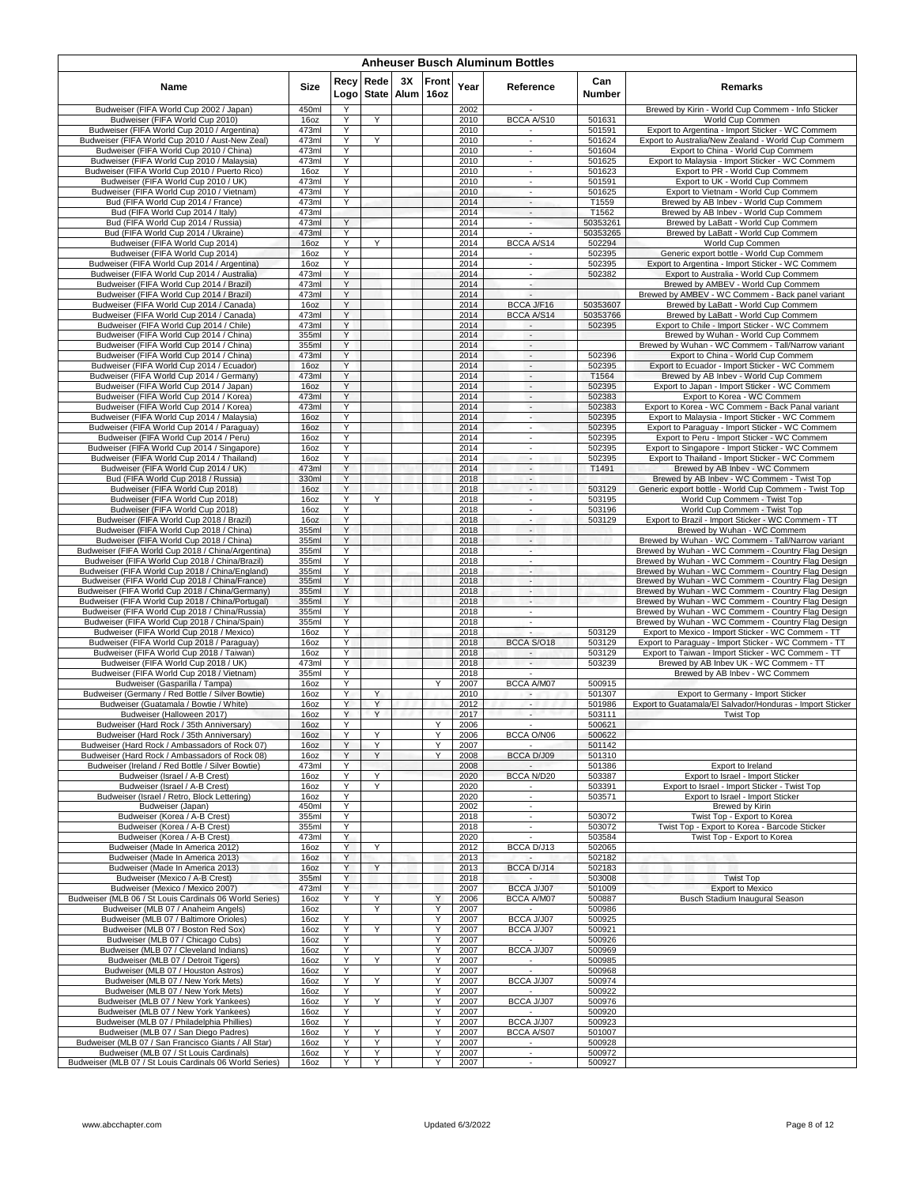|                                                                                                    |                |              |                    |    |               |              | <b>Anheuser Busch Aluminum Bottles</b>               |                      |                                                                                                         |
|----------------------------------------------------------------------------------------------------|----------------|--------------|--------------------|----|---------------|--------------|------------------------------------------------------|----------------------|---------------------------------------------------------------------------------------------------------|
| Name                                                                                               | <b>Size</b>    | Recy<br>Logo | Rede<br>State Alum | ЗΧ | Front<br>16oz | Year         | Reference                                            | Can<br><b>Number</b> | <b>Remarks</b>                                                                                          |
| Budweiser (FIFA World Cup 2002 / Japan)                                                            | 450ml          | Υ            |                    |    |               | 2002         |                                                      |                      | Brewed by Kirin - World Cup Commem - Info Sticker                                                       |
| Budweiser (FIFA World Cup 2010)<br>Budweiser (FIFA World Cup 2010 / Argentina)                     | 16oz<br>473ml  | Υ<br>Y       | Y                  |    |               | 2010<br>2010 | BCCA A/S10<br>$\sim$                                 | 501631<br>501591     | World Cup Commen<br>Export to Argentina - Import Sticker - WC Commem                                    |
| Budweiser (FIFA World Cup 2010 / Aust-New Zeal)                                                    | 473ml          | Y            | Y                  |    |               | 2010         | $\sim$                                               | 501624               | Export to Australia/New Zealand - World Cup Commem                                                      |
| Budweiser (FIFA World Cup 2010 / China)                                                            | 473ml          | Υ            |                    |    |               | 2010         | $\sim$                                               | 501604               | Export to China - World Cup Commem                                                                      |
| Budweiser (FIFA World Cup 2010 / Malaysia)<br>Budweiser (FIFA World Cup 2010 / Puerto Rico)        | 473ml<br>16oz  | Y<br>Y       |                    |    |               | 2010<br>2010 | $\overline{\phantom{a}}$<br>$\sim$                   | 501625<br>501623     | Export to Malaysia - Import Sticker - WC Commem<br>Export to PR - World Cup Commem                      |
| Budweiser (FIFA World Cup 2010 / UK)                                                               | 473ml          | Y            |                    |    |               | 2010         | ÷.                                                   | 501591               | Export to UK - World Cup Commem                                                                         |
| Budweiser (FIFA World Cup 2010 / Vietnam)                                                          | 473ml          | Y            |                    |    |               | 2010         | $\overline{\phantom{a}}$                             | 501625               | Export to Vietnam - World Cup Commem                                                                    |
| Bud (FIFA World Cup 2014 / France)<br>Bud (FIFA World Cup 2014 / Italy)                            | 473ml<br>473ml | Y            |                    |    |               | 2014<br>2014 | $\overline{\phantom{a}}$<br>$\sim$                   | T1559<br>T1562       | Brewed by AB Inbev - World Cup Commem<br>Brewed by AB Inbev - World Cup Commem                          |
| Bud (FIFA World Cup 2014 / Russia)                                                                 | 473ml          | Y            |                    |    |               | 2014         | ÷.                                                   | 50353261             | Brewed by LaBatt - World Cup Commem                                                                     |
| Bud (FIFA World Cup 2014 / Ukraine)                                                                | 473ml          | Y            |                    |    |               | 2014         |                                                      | 50353265             | Brewed by LaBatt - World Cup Commem                                                                     |
| Budweiser (FIFA World Cup 2014)<br>Budweiser (FIFA World Cup 2014)                                 | 16oz<br>16oz   | Y<br>Y       | Y                  |    |               | 2014<br>2014 | BCCA A/S14                                           | 502294<br>502395     | World Cup Commen<br>Generic export bottle - World Cup Commem                                            |
| Budweiser (FIFA World Cup 2014 / Argentina)                                                        | 16oz           | Y            |                    |    |               | 2014         | $\sim$                                               | 502395               | Export to Argentina - Import Sticker - WC Commem                                                        |
| Budweiser (FIFA World Cup 2014 / Australia)                                                        | 473ml          | Y            |                    |    |               | 2014         | $\overline{\phantom{a}}$                             | 502382               | Export to Australia - World Cup Commem                                                                  |
| Budweiser (FIFA World Cup 2014 / Brazil)<br>Budweiser (FIFA World Cup 2014 / Brazil)               | 473ml<br>473ml | Υ<br>Y       |                    |    |               | 2014<br>2014 | $\sim$<br>$\overline{a}$                             |                      | Brewed by AMBEV - World Cup Commem<br>Brewed by AMBEV - WC Commem - Back panel variant                  |
| Budweiser (FIFA World Cup 2014 / Canada)                                                           | 16oz           | Y            |                    |    |               | 2014         | BCCA J/F16                                           | 50353607             | Brewed by LaBatt - World Cup Commem                                                                     |
| Budweiser (FIFA World Cup 2014 / Canada)                                                           | 473ml          | Y            |                    |    |               | 2014         | BCCA A/S14                                           | 50353766             | Brewed by LaBatt - World Cup Commem                                                                     |
| Budweiser (FIFA World Cup 2014 / Chile)<br>Budweiser (FIFA World Cup 2014 / China)                 | 473ml<br>355ml | Y<br>Y       |                    |    |               | 2014<br>2014 | $\overline{\phantom{a}}$                             | 502395               | Export to Chile - Import Sticker - WC Commem<br>Brewed by Wuhan - World Cup Commem                      |
| Budweiser (FIFA World Cup 2014 / China)                                                            | 355ml          | Y            |                    |    |               | 2014         | $\overline{\phantom{a}}$                             |                      | Brewed by Wuhan - WC Commem - Tall/Narrow variant                                                       |
| Budweiser (FIFA World Cup 2014 / China)                                                            | 473ml          | Υ            |                    |    |               | 2014         | $\sim$                                               | 502396               | Export to China - World Cup Commem                                                                      |
| Budweiser (FIFA World Cup 2014 / Ecuador)                                                          | 16oz           | Υ<br>Y       |                    |    |               | 2014         | $\mathcal{L}_{\mathcal{A}}$                          | 502395               | Export to Ecuador - Import Sticker - WC Commem                                                          |
| Budweiser (FIFA World Cup 2014 / Germany)<br>Budweiser (FIFA World Cup 2014 / Japan)               | 473ml<br>160z  | Y            |                    |    |               | 2014<br>2014 | $\overline{\phantom{a}}$<br>$\overline{\phantom{a}}$ | T1564<br>502395      | Brewed by AB Inbev - World Cup Commem<br>Export to Japan - Import Sticker - WC Commem                   |
| Budweiser (FIFA World Cup 2014 / Korea)                                                            | 473ml          | Y            |                    |    |               | 2014         | $\sim$                                               | 502383               | Export to Korea - WC Commem                                                                             |
| Budweiser (FIFA World Cup 2014 / Korea)<br>Budweiser (FIFA World Cup 2014 / Malaysia)              | 473ml          | Υ<br>Y       |                    |    |               | 2014         | $\sim$                                               | 502383               | Export to Korea - WC Commem - Back Panal variant                                                        |
| Budweiser (FIFA World Cup 2014 / Paraguay)                                                         | 16oz<br>16oz   | Y            |                    |    |               | 2014<br>2014 | $\overline{\phantom{a}}$<br>$\sim$                   | 502395<br>502395     | Export to Malaysia - Import Sticker - WC Commem<br>Export to Paraguay - Import Sticker - WC Commem      |
| Budweiser (FIFA World Cup 2014 / Peru)                                                             | 16oz           | Y            |                    |    |               | 2014         | $\mathcal{L}_{\mathcal{A}}$                          | 502395               | Export to Peru - Import Sticker - WC Commem                                                             |
| Budweiser (FIFA World Cup 2014 / Singapore)                                                        | 16oz           | Υ            |                    |    |               | 2014         | $\overline{\phantom{a}}$                             | 502395               | Export to Singapore - Import Sticker - WC Commem                                                        |
| Budweiser (FIFA World Cup 2014 / Thailand)<br>Budweiser (FIFA World Cup 2014 / UK)                 | 160z<br>473ml  | Y<br>Y       |                    |    |               | 2014<br>2014 | $\sim$<br>$\overline{\phantom{a}}$                   | 502395<br>T1491      | Export to Thailand - Import Sticker - WC Commem<br>Brewed by AB Inbey - WC Commem                       |
| Bud (FIFA World Cup 2018 / Russia)                                                                 | 330ml          | Y            |                    |    |               | 2018         | $\sim$                                               |                      | Brewed by AB Inbev - WC Commem - Twist Top                                                              |
| Budweiser (FIFA World Cup 2018)                                                                    | 16oz           | Y            |                    |    |               | 2018         | $\sim$                                               | 503129               | Generic export bottle - World Cup Commem - Twist Top                                                    |
| Budweiser (FIFA World Cup 2018)<br>Budweiser (FIFA World Cup 2018)                                 | 16oz<br>16oz   | Y<br>Y       | Y                  |    |               | 2018<br>2018 | $\sim$<br>×                                          | 503195<br>503196     | World Cup Commem - Twist Top<br>World Cup Commem - Twist Top                                            |
| Budweiser (FIFA World Cup 2018 / Brazil)                                                           | 16oz           | Y            |                    |    |               | 2018         | $\sim$                                               | 503129               | Export to Brazil - Import Sticker - WC Commem - TT                                                      |
| Budweiser (FIFA World Cup 2018 / China)                                                            | 355ml          | Y            |                    |    |               | 2018         | $\sim$                                               |                      | Brewed by Wuhan - WC Commem                                                                             |
| Budweiser (FIFA World Cup 2018 / China)<br>Budweiser (FIFA World Cup 2018 / China/Argentina)       | 355ml<br>355ml | Y<br>Y       |                    |    |               | 2018<br>2018 | $\sim$<br>÷                                          |                      | Brewed by Wuhan - WC Commem - Tall/Narrow variant<br>Brewed by Wuhan - WC Commem - Country Flag Design  |
| Budweiser (FIFA World Cup 2018 / China/Brazil)                                                     | 355ml          | Y            |                    |    |               | 2018         | $\epsilon$                                           |                      | Brewed by Wuhan - WC Commem - Country Flag Design                                                       |
| Budweiser (FIFA World Cup 2018 / China/England)                                                    | 355ml          | Y            |                    |    |               | 2018         | $\sim$                                               |                      | Brewed by Wuhan - WC Commem - Country Flag Design                                                       |
| Budweiser (FIFA World Cup 2018 / China/France)<br>Budweiser (FIFA World Cup 2018 / China/Germany)  | 355ml<br>355ml | Υ<br>Υ       |                    |    |               | 2018<br>2018 | н.<br>ч.                                             |                      | Brewed by Wuhan - WC Commem - Country Flag Design<br>Brewed by Wuhan - WC Commem - Country Flag Design  |
| Budweiser (FIFA World Cup 2018 / China/Portugal)                                                   | 355ml          | Y            |                    |    |               | 2018         | ٠                                                    |                      | Brewed by Wuhan - WC Commem - Country Flag Design                                                       |
| Budweiser (FIFA World Cup 2018 / China/Russia)                                                     | 355ml          | Y            |                    |    |               | 2018         | $\sim$                                               |                      | Brewed by Wuhan - WC Commem - Country Flag Design                                                       |
| Budweiser (FIFA World Cup 2018 / China/Spain)<br>Budweiser (FIFA World Cup 2018 / Mexico)          | 355ml<br>16oz  | Υ<br>Y       |                    |    |               | 2018<br>2018 | $\sim$                                               | 503129               | Brewed by Wuhan - WC Commem - Country Flag Design<br>Export to Mexico - Import Sticker - WC Commem - TT |
| Budweiser (FIFA World Cup 2018 / Paraguay)                                                         | 16oz           | Y            |                    |    |               | 2018         | BCCA S/O18                                           | 503129               | Export to Paraquay - Import Sticker - WC Commem - TT                                                    |
| Budweiser (FIFA World Cup 2018 / Taiwan)                                                           | 16oz           | Y            |                    |    |               | 2018         | $\sim$                                               | 503129               | Export to Taiwan - Import Sticker - WC Commem - TT                                                      |
| Budweiser (FIFA World Cup 2018 / UK)<br>Budweiser (FIFA World Cup 2018 / Vietnam)                  | 473ml<br>355ml | Υ<br>Y       |                    |    |               | 2018<br>2018 | $\sim$                                               | 503239               | Brewed by AB Inbev UK - WC Commem - TT<br>Brewed by AB Inbev - WC Commem                                |
| Budweiser (Gasparilla / Tampa)                                                                     | 16oz           | Y            |                    |    | Y             | 2007         | BCCA A/M07                                           | 500915               |                                                                                                         |
| Budweiser (Germany / Red Bottle / Silver Bowtie)                                                   | 16oz           | Y            | Y                  |    |               | 2010         |                                                      | 501307               | Export to Germany - Import Sticker                                                                      |
| Budweiser (Guatamala / Bowtie / White)                                                             | 16oz           | Y<br>Y       | Υ<br>Y             |    |               | 2012         | $\overline{\phantom{a}}$                             | 501986               | Export to Guatamala/El Salvador/Honduras - Import Sticker                                               |
| Budweiser (Halloween 2017)<br>Budweiser (Hard Rock / 35th Anniversary)                             | 16oz<br>16oz   |              |                    |    |               | 2017<br>2006 | $\overline{\phantom{a}}$                             | 503111<br>500621     | <b>Twist Top</b>                                                                                        |
| Budweiser (Hard Rock / 35th Anniversary)                                                           | 16oz           | Υ            | Υ                  |    | Υ             | 2006         | BCCA O/N06                                           | 500622               |                                                                                                         |
| Budweiser (Hard Rock / Ambassadors of Rock 07)                                                     | 16oz           | Υ            | Υ                  |    | Y             | 2007         |                                                      | 501142               |                                                                                                         |
| Budweiser (Hard Rock / Ambassadors of Rock 08)<br>Budweiser (Ireland / Red Bottle / Silver Bowtie) | 16oz<br>473ml  | Y<br>Y       | Y                  |    | Y             | 2008<br>2008 | BCCA D/J09                                           | 501310<br>501386     | Export to Ireland                                                                                       |
| Budweiser (Israel / A-B Crest)                                                                     | 16oz           | Υ            | Y                  |    |               | 2020         | BCCA N/D20                                           | 503387               | Export to Israel - Import Sticker                                                                       |
| Budweiser (Israel / A-B Crest)                                                                     | 16oz           | Y            | Y                  |    |               | 2020         | $\sim$                                               | 503391               | Export to Israel - Import Sticker - Twist Top                                                           |
| Budweiser (Israel / Retro, Block Lettering)<br>Budweiser (Japan)                                   | 16oz<br>450ml  | Y<br>Υ       |                    |    |               | 2020<br>2002 | $\sim$<br>$\mathcal{L}_{\mathcal{A}}$                | 503571               | Export to Israel - Import Sticker<br>Brewed by Kirin                                                    |
| Budweiser (Korea / A-B Crest)                                                                      | 355ml          | Υ            |                    |    |               | 2018         | $\blacksquare$                                       | 503072               | Twist Top - Export to Korea                                                                             |
| Budweiser (Korea / A-B Crest)                                                                      | 355ml          | Υ            |                    |    |               | 2018         | $\sim$                                               | 503072               | Twist Top - Export to Korea - Barcode Sticker                                                           |
| Budweiser (Korea / A-B Crest)<br>Budweiser (Made In America 2012)                                  | 473ml<br>16oz  | Y<br>Y       | Y                  |    |               | 2020<br>2012 | BCCA D/J13                                           | 503584<br>502065     | Twist Top - Export to Korea                                                                             |
| Budweiser (Made In America 2013)                                                                   | 16oz           | Y            |                    |    |               | 2013         |                                                      | 502182               |                                                                                                         |
| Budweiser (Made In America 2013)                                                                   | 16oz           | Υ            | Y                  |    |               | 2013         | BCCA D/J14                                           | 502183               |                                                                                                         |
| Budweiser (Mexico / A-B Crest)<br>Budweiser (Mexico / Mexico 2007)                                 | 355ml<br>473ml | Υ<br>Y       |                    |    |               | 2018<br>2007 | BCCA J/J07                                           | 503008<br>501009     | <b>Twist Top</b><br>Export to Mexico                                                                    |
| Budweiser (MLB 06 / St Louis Cardinals 06 World Series)                                            | 16oz           | Y            | Y                  |    | Υ             | 2006         | BCCA A/M07                                           | 500887               | Busch Stadium Inaugural Season                                                                          |
| Budweiser (MLB 07 / Anaheim Angels)                                                                | 16oz           |              | Y                  |    | Y             | 2007         |                                                      | 500986               |                                                                                                         |
| Budweiser (MLB 07 / Baltimore Orioles)<br>Budweiser (MLB 07 / Boston Red Sox)                      | 16oz<br>16oz   | Y<br>Y       | Y                  |    | Y<br>Υ        | 2007<br>2007 | BCCA J/J07<br>BCCA J/J07                             | 500925<br>500921     |                                                                                                         |
| Budweiser (MLB 07 / Chicago Cubs)                                                                  | 16oz           | Y            |                    |    | Υ             | 2007         | $\sim$                                               | 500926               |                                                                                                         |
| Budweiser (MLB 07 / Cleveland Indians)                                                             | 16oz           | Υ            |                    |    | Υ             | 2007         | BCCA J/J07                                           | 500969               |                                                                                                         |
| Budweiser (MLB 07 / Detroit Tigers)<br>Budweiser (MLB 07 / Houston Astros)                         | 16oz<br>16oz   | Υ<br>Y       | Υ                  |    | Υ<br>Υ        | 2007<br>2007 | $\sim$                                               | 500985<br>500968     |                                                                                                         |
| Budweiser (MLB 07 / New York Mets)                                                                 | 16oz           | Y            | Y                  |    | Υ             | 2007         | BCCA J/J07                                           | 500974               |                                                                                                         |
| Budweiser (MLB 07 / New York Mets)                                                                 | 16oz           | Υ            |                    |    | Υ             | 2007         |                                                      | 500922               |                                                                                                         |
| Budweiser (MLB 07 / New York Yankees)<br>Budweiser (MLB 07 / New York Yankees)                     | 16oz           | Υ<br>Y       | Y                  |    | Υ<br>Υ        | 2007<br>2007 | BCCA J/J07<br>$\sim$                                 | 500976<br>500920     |                                                                                                         |
| Budweiser (MLB 07 / Philadelphia Phillies)                                                         | 16oz<br>16oz   | Y            |                    |    | Υ             | 2007         | BCCA J/J07                                           | 500923               |                                                                                                         |
| Budweiser (MLB 07 / San Diego Padres)                                                              | 16oz           | Υ            | Υ                  |    | Y             | 2007         | BCCA A/S07                                           | 501007               |                                                                                                         |
| Budweiser (MLB 07 / San Francisco Giants / All Star)                                               | 16oz<br>16oz   | Y<br>Υ       | Y                  |    | Υ<br>Υ        | 2007         | $\sim$<br>$\sim$                                     | 500928<br>500972     |                                                                                                         |
| Budweiser (MLB 07 / St Louis Cardinals)<br>Budweiser (MLB 07 / St Louis Cardinals 06 World Series) | 16oz           | Y            | Υ<br>Υ             |    | Y             | 2007<br>2007 | ÷.                                                   | 500927               |                                                                                                         |
|                                                                                                    |                |              |                    |    |               |              |                                                      |                      |                                                                                                         |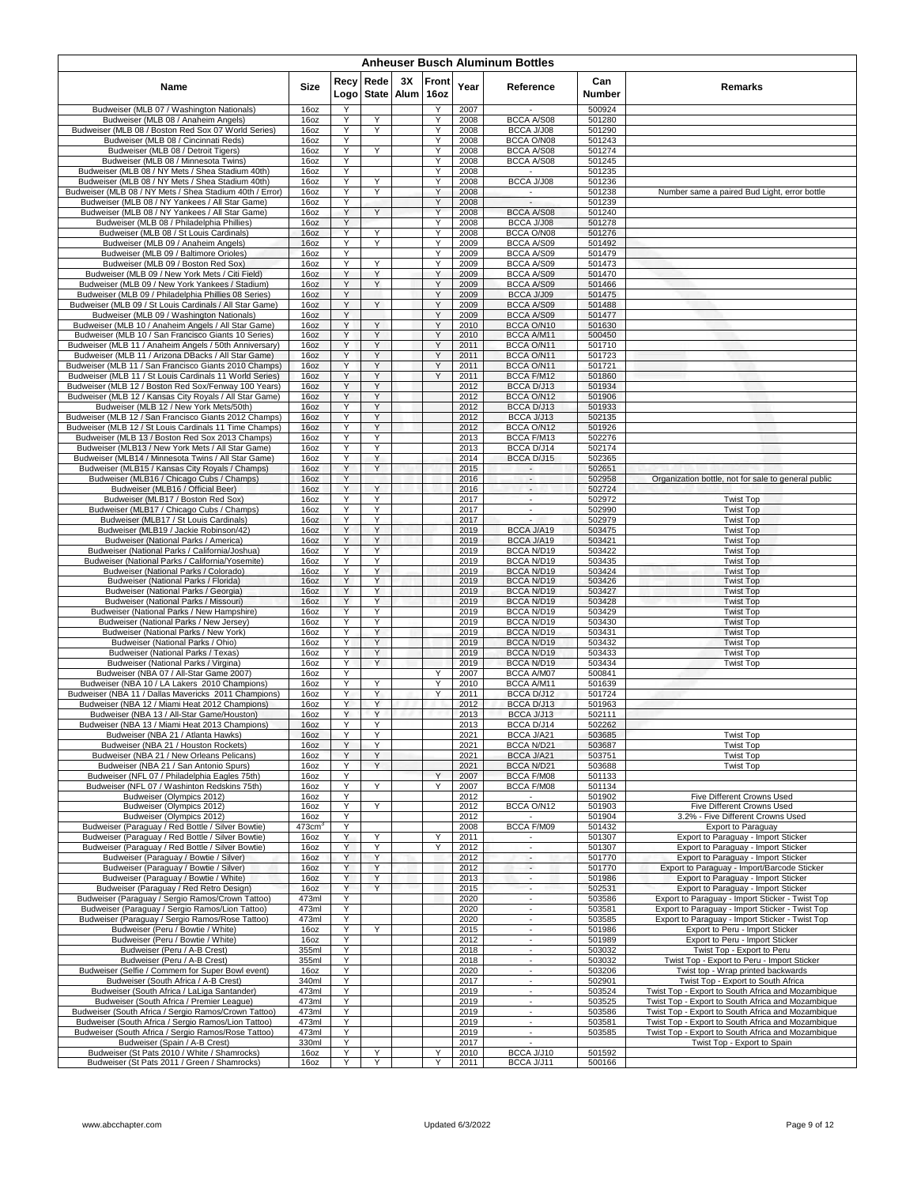| <b>Anheuser Busch Aluminum Bottles</b>                                                                          |                       |              |                      |            |               |              |                                                      |                  |                                                                                                    |  |  |  |  |
|-----------------------------------------------------------------------------------------------------------------|-----------------------|--------------|----------------------|------------|---------------|--------------|------------------------------------------------------|------------------|----------------------------------------------------------------------------------------------------|--|--|--|--|
| Name                                                                                                            | Size                  | Recy<br>Logo | Rede<br><b>State</b> | ЗΧ<br>Alum | Front<br>16oz | Year         | Reference                                            | Can<br>Number    | Remarks                                                                                            |  |  |  |  |
| Budweiser (MLB 07 / Washington Nationals)                                                                       | 16oz                  | Y            |                      |            | Υ             | 2007         | $\overline{\phantom{a}}$<br>BCCA A/S08               | 500924           |                                                                                                    |  |  |  |  |
| Budweiser (MLB 08 / Anaheim Angels)<br>Budweiser (MLB 08 / Boston Red Sox 07 World Series)                      | 16oz<br>16oz          | Y<br>Υ       | Y<br>Υ               |            | Y<br>Y        | 2008<br>2008 | BCCA J/J08                                           | 501280<br>501290 |                                                                                                    |  |  |  |  |
| Budweiser (MLB 08 / Cincinnati Reds)                                                                            | 16oz                  | Y            |                      |            | Y             | 2008         | BCCA O/N08                                           | 501243           |                                                                                                    |  |  |  |  |
| Budweiser (MLB 08 / Detroit Tigers)                                                                             | 16oz                  | Y            | Y                    |            | Υ<br>Y        | 2008         | BCCA A/S08                                           | 501274           |                                                                                                    |  |  |  |  |
| Budweiser (MLB 08 / Minnesota Twins)<br>Budweiser (MLB 08 / NY Mets / Shea Stadium 40th)                        | 16oz<br>16oz          | Υ<br>Y       |                      |            | Y             | 2008<br>2008 | BCCA A/S08                                           | 501245<br>501235 |                                                                                                    |  |  |  |  |
| Budweiser (MLB 08 / NY Mets / Shea Stadium 40th)                                                                | 16oz                  | Y            | Y                    |            | Y             | 2008         | BCCA J/J08                                           | 501236           |                                                                                                    |  |  |  |  |
| Budweiser (MLB 08 / NY Mets / Shea Stadium 40th / Error)                                                        | 16oz                  | Υ            | Y                    |            | Υ             | 2008         | $\overline{\phantom{a}}$                             | 501238           | Number same a paired Bud Light, error bottle                                                       |  |  |  |  |
| Budweiser (MLB 08 / NY Yankees / All Star Game)<br>Budweiser (MLB 08 / NY Yankees / All Star Game)              | 16oz<br>16oz          | Υ<br>Y       | Y                    |            | Υ<br>Y        | 2008<br>2008 | BCCA A/S08                                           | 501239<br>501240 |                                                                                                    |  |  |  |  |
| Budweiser (MLB 08 / Philadelphia Phillies)                                                                      | 16oz                  | Υ            |                      |            | Υ             | 2008         | BCCA J/J08                                           | 501278           |                                                                                                    |  |  |  |  |
| Budweiser (MLB 08 / St Louis Cardinals)                                                                         | 16oz                  | Υ            | Y                    |            | Y             | 2008         | BCCA O/N08                                           | 501276           |                                                                                                    |  |  |  |  |
| Budweiser (MLB 09 / Anaheim Angels)<br>Budweiser (MLB 09 / Baltimore Orioles)                                   | 16oz<br>16oz          | Υ<br>Y       | Υ                    |            | Υ<br>Υ        | 2009<br>2009 | BCCA A/S09<br>BCCA A/S09                             | 501492<br>501479 |                                                                                                    |  |  |  |  |
| Budweiser (MLB 09 / Boston Red Sox)                                                                             | 16oz                  | Y            | Y                    |            | Y             | 2009         | BCCA A/S09                                           | 501473           |                                                                                                    |  |  |  |  |
| Budweiser (MLB 09 / New York Mets / Citi Field)                                                                 | 16oz                  | Υ            | Y                    |            | Υ             | 2009         | BCCA A/S09                                           | 501470           |                                                                                                    |  |  |  |  |
| Budweiser (MLB 09 / New York Yankees / Stadium)<br>Budweiser (MLB 09 / Philadelphia Phillies 08 Series)         | 16oz                  | Υ<br>Y       | Υ                    |            | Υ<br>Υ        | 2009         | BCCA A/S09<br>BCCA J/J09                             | 501466<br>501475 |                                                                                                    |  |  |  |  |
| Budweiser (MLB 09 / St Louis Cardinals / All Star Game)                                                         | 16oz<br>16oz          | Υ            | Y                    |            | Y             | 2009<br>2009 | BCCA A/S09                                           | 501488           |                                                                                                    |  |  |  |  |
| Budweiser (MLB 09 / Washington Nationals)                                                                       | 16oz                  | Υ            |                      |            | Υ             | 2009         | BCCA A/S09                                           | 501477           |                                                                                                    |  |  |  |  |
| Budweiser (MLB 10 / Anaheim Angels / All Star Game)                                                             | 16oz                  | Υ<br>Y       | Y                    |            | Y<br>Y        | 2010         | BCCA O/N10                                           | 501630           |                                                                                                    |  |  |  |  |
| Budweiser (MLB 10 / San Francisco Giants 10 Series)<br>Budweiser (MLB 11 / Anaheim Angels / 50th Anniversary    | 16oz<br>16oz          | Y            | Y<br>Y               |            | Y             | 2010<br>2011 | BCCA A/M11<br>BCCA O/N11                             | 500450<br>501710 |                                                                                                    |  |  |  |  |
| Budweiser (MLB 11 / Arizona DBacks / All Star Game)                                                             | 16oz                  | Υ            | Υ                    |            | Y             | 2011         | BCCA O/N11                                           | 501723           |                                                                                                    |  |  |  |  |
| Budweiser (MLB 11 / San Francisco Giants 2010 Champs)                                                           | 16oz                  | Y            | Υ                    |            | Υ             | 2011         | BCCA O/N11                                           | 501721           |                                                                                                    |  |  |  |  |
| Budweiser (MLB 11 / St Louis Cardinals 11 World Series)<br>Budweiser (MLB 12 / Boston Red Sox/Fenway 100 Years) | 16oz<br>16oz          | Υ<br>Υ       | Y<br>Υ               |            | Y             | 2011<br>2012 | BCCA F/M12<br>BCCA D/J13                             | 501860<br>501934 |                                                                                                    |  |  |  |  |
| Budweiser (MLB 12 / Kansas City Royals / All Star Game)                                                         | 16oz                  | Υ            | Y                    |            |               | 2012         | BCCA O/N12                                           | 501906           |                                                                                                    |  |  |  |  |
| Budweiser (MLB 12 / New York Mets/50th)                                                                         | 16oz                  | Y            | Y                    |            |               | 2012         | BCCA D/J13                                           | 501933           |                                                                                                    |  |  |  |  |
| Budweiser (MLB 12 / San Francisco Giants 2012 Champs)<br>Budweiser (MLB 12 / St Louis Cardinals 11 Time Champs) | 16oz<br>16oz          | Υ<br>Υ       | Y<br>Y               |            |               | 2012<br>2012 | BCCA J/J13<br>BCCA O/N12                             | 502135<br>501926 |                                                                                                    |  |  |  |  |
| Budweiser (MLB 13 / Boston Red Sox 2013 Champs)                                                                 | 16oz                  | Υ            | Υ                    |            |               | 2013         | BCCA F/M13                                           | 502276           |                                                                                                    |  |  |  |  |
| Budweiser (MLB13 / New York Mets / All Star Game)                                                               | 16oz                  | Y            | Y                    |            |               | 2013         | BCCA D/J14                                           | 502174           |                                                                                                    |  |  |  |  |
| Budweiser (MLB14 / Minnesota Twins / All Star Game)                                                             | 16oz                  | Υ            | Y                    |            |               | 2014         | BCCA D/J15                                           | 502365           |                                                                                                    |  |  |  |  |
| Budweiser (MLB15 / Kansas City Royals / Champs)<br>Budweiser (MLB16 / Chicago Cubs / Champs)                    | 16oz<br>16oz          | Y<br>Y       | Υ                    |            |               | 2015<br>2016 | $\sim$                                               | 502651<br>502958 | Organization bottle, not for sale to general public                                                |  |  |  |  |
| Budweiser (MLB16 / Official Beer)                                                                               | 16oz                  | Υ            | Y                    |            |               | 2016         | $\sim$                                               | 502724           |                                                                                                    |  |  |  |  |
| Budweiser (MLB17 / Boston Red Sox)                                                                              | 16oz                  | Υ            | Υ                    |            |               | 2017         | $\overline{\phantom{a}}$                             | 502972           | <b>Twist Top</b>                                                                                   |  |  |  |  |
| Budweiser (MLB17 / Chicago Cubs / Champs)<br>Budweiser (MLB17 / St Louis Cardinals)                             | 16oz<br>16oz          | Y<br>Υ       | Υ<br>Υ               |            |               | 2017<br>2017 | $\overline{\phantom{a}}$<br>$\overline{\phantom{a}}$ | 502990<br>502979 | <b>Twist Top</b><br><b>Twist Top</b>                                                               |  |  |  |  |
| Budweiser (MLB19 / Jackie Robinson/42)                                                                          | 16oz                  | Υ            | Y                    |            |               | 2019         | BCCA J/A19                                           | 503475           | <b>Twist Top</b>                                                                                   |  |  |  |  |
| Budweiser (National Parks / America)                                                                            | 16oz                  | Υ            | Υ                    |            |               | 2019         | BCCA J/A19                                           | 503421           | <b>Twist Top</b>                                                                                   |  |  |  |  |
| Budweiser (National Parks / California/Joshua)<br>Budweiser (National Parks / California/Yosemite)              | 16oz<br>16oz          | Y<br>Y       | Y<br>Y               |            |               | 2019<br>2019 | <b>BCCA N/D19</b><br>BCCA N/D19                      | 503422<br>503435 | <b>Twist Top</b><br><b>Twist Top</b>                                                               |  |  |  |  |
| Budweiser (National Parks / Colorado)                                                                           | 16oz                  | Υ            | Y                    |            |               | 2019         | <b>BCCA N/D19</b>                                    | 503424           | <b>Twist Top</b>                                                                                   |  |  |  |  |
| Budweiser (National Parks / Florida)                                                                            | 16oz                  | Y            | Y                    |            |               | 2019         | <b>BCCA N/D19</b>                                    | 503426           | <b>Twist Top</b>                                                                                   |  |  |  |  |
| Budweiser (National Parks / Georgia)<br>Budweiser (National Parks / Missouri)                                   | 16oz<br>16oz          | Y<br>Υ       | Y<br>Y               |            |               | 2019<br>2019 | <b>BCCA N/D19</b><br>BCCA N/D19                      | 503427<br>503428 | <b>Twist Top</b><br><b>Twist Top</b>                                                               |  |  |  |  |
| Budweiser (National Parks / New Hampshire)                                                                      | 16oz                  | Υ            | Υ                    |            |               | 2019         | BCCA N/D19                                           | 503429           | <b>Twist Top</b>                                                                                   |  |  |  |  |
| Budweiser (National Parks / New Jersey)                                                                         | 16oz                  | Y            | Υ                    |            |               | 2019         | BCCA N/D19                                           | 503430           | <b>Twist Top</b>                                                                                   |  |  |  |  |
| Budweiser (National Parks / New York)                                                                           | 16oz                  | Υ            | Y                    |            |               | 2019         | <b>BCCA N/D19</b>                                    | 503431           | <b>Twist Top</b>                                                                                   |  |  |  |  |
| Budweiser (National Parks / Ohio)<br>Budweiser (National Parks / Texas)                                         | 16oz<br>16oz          | Υ<br>Y       | Y<br>Y               |            |               | 2019<br>2019 | BCCA N/D19<br><b>BCCA N/D19</b>                      | 503432<br>503433 | <b>Twist Top</b><br><b>Twist Top</b>                                                               |  |  |  |  |
| Budweiser (National Parks / Virgina)                                                                            | 16oz                  | Y            | Y                    |            |               | 2019         | BCCA N/D19                                           | 503434           | <b>Twist Top</b>                                                                                   |  |  |  |  |
| Budweiser (NBA 07 / All-Star Game 2007)                                                                         | 16oz                  | Υ            |                      |            | Υ             | 2007         | BCCA A/M07                                           | 500841           |                                                                                                    |  |  |  |  |
| Budweiser (NBA 10 / LA Lakers 2010 Champions)<br>Budweiser (NBA 11 / Dallas Mavericks 2011 Champions)           | 16oz<br>16oz          | Υ<br>Y       | Y<br>Y               |            | Y<br>Y        | 2010<br>2011 | BCCA A/M11<br>BCCA D/J12                             | 501639<br>501724 |                                                                                                    |  |  |  |  |
| Budweiser (NBA 12 / Miami Heat 2012 Champions)                                                                  | 16oz                  | Y            | Y                    |            |               | 2012         | BCCA D/J13                                           | 501963           |                                                                                                    |  |  |  |  |
| Budweiser (NBA 13 / All-Star Game/Houston)                                                                      | 16oz                  | Y            | Y                    |            |               | 2013         | BCCA J/J13                                           | 502111           |                                                                                                    |  |  |  |  |
| Budweiser (NBA 13 / Miami Heat 2013 Champions)<br>Budweiser (NBA 21 / Atlanta Hawks)                            | 160Z<br>16oz          | Y            | Υ                    |            |               | 2013<br>2021 | BUCA D/J14<br>BCCA J/A21                             | 502262<br>503685 | <b>Twist Top</b>                                                                                   |  |  |  |  |
| Budweiser (NBA 21 / Houston Rockets)                                                                            | 16oz                  | Υ            | Υ                    |            |               | 2021         | BCCA N/D21                                           | 503687           | <b>Twist Top</b>                                                                                   |  |  |  |  |
| Budweiser (NBA 21 / New Orleans Pelicans)                                                                       | 16oz                  | Y            | Y                    |            |               | 2021         | BCCA J/A21                                           | 503751           | <b>Twist Top</b>                                                                                   |  |  |  |  |
| Budweiser (NBA 21 / San Antonio Spurs)<br>Budweiser (NFL 07 / Philadelphia Eagles 75th)                         | 16oz<br>16oz          | Y<br>Υ       | Y                    |            | Υ             | 2021<br>2007 | BCCA N/D21<br>BCCA F/M08                             | 503688<br>501133 | <b>Twist Top</b>                                                                                   |  |  |  |  |
| Budweiser (NFL 07 / Washinton Redskins 75th)                                                                    | 16oz                  | Y            | Y                    |            | Y             | 2007         | BCCA F/M08                                           | 501134           |                                                                                                    |  |  |  |  |
| Budweiser (Olympics 2012)                                                                                       | 16oz                  | Y            |                      |            |               | 2012         |                                                      | 501902           | Five Different Crowns Used                                                                         |  |  |  |  |
| Budweiser (Olympics 2012)<br>Budweiser (Olympics 2012)                                                          | 16oz<br>16oz          | Y<br>Υ       | Y                    |            |               | 2012<br>2012 | BCCA O/N12                                           | 501903<br>501904 | Five Different Crowns Used<br>3.2% - Five Different Crowns Used                                    |  |  |  |  |
| Budweiser (Paraquay / Red Bottle / Silver Bowtie)                                                               | $473$ cm <sup>3</sup> | Υ            |                      |            |               | 2008         | BCCA F/M09                                           | 501432           | <b>Export to Paraguay</b>                                                                          |  |  |  |  |
| Budweiser (Paraguay / Red Bottle / Silver Bowtie)                                                               | 16oz                  | Y            | Y                    |            | Y             | 2011         |                                                      | 501307           | Export to Paraguay - Import Sticker                                                                |  |  |  |  |
| Budweiser (Paraguay / Red Bottle / Silver Bowtie)                                                               | 16oz                  | Y            | Y                    |            | Y             | 2012         | $\sim$                                               | 501307           | Export to Paraguay - Import Sticker                                                                |  |  |  |  |
| Budweiser (Paraquay / Bowtie / Silver)<br>Budweiser (Paraguay / Bowtie / Silver)                                | 16oz<br>16oz          | Υ<br>Υ       | Y<br>Y               |            |               | 2012<br>2012 | $\blacksquare$<br>$\overline{\phantom{a}}$           | 501770<br>501770 | Export to Paraguay - Import Sticker<br>Export to Paraguay - Import/Barcode Sticker                 |  |  |  |  |
| Budweiser (Paraguay / Bowtie / White)                                                                           | 160Z                  | Y            | Y                    |            |               | 2013         | $\sim$                                               | 501986           | Export to Paraguay - Import Sticker                                                                |  |  |  |  |
| Budweiser (Paraguay / Red Retro Design)                                                                         | 16oz                  | Y<br>Υ       | Y                    |            |               | 2015         | ×.<br>÷                                              | 502531           | Export to Paraguay - Import Sticker                                                                |  |  |  |  |
| Budweiser (Paraguay / Sergio Ramos/Crown Tattoo)<br>Budweiser (Paraguay / Sergio Ramos/Lion Tattoo)             | 473ml<br>473ml        | Y            |                      |            |               | 2020<br>2020 |                                                      | 503586<br>503581 | Export to Paraguay - Import Sticker - Twist Top<br>Export to Paraguay - Import Sticker - Twist Top |  |  |  |  |
| Budweiser (Paraguay / Sergio Ramos/Rose Tattoo)                                                                 | 473ml                 | Y            |                      |            |               | 2020         | $\sim$                                               | 503585           | Export to Paraguay - Import Sticker - Twist Top                                                    |  |  |  |  |
| Budweiser (Peru / Bowtie / White)                                                                               | 16oz                  | Υ            | Y                    |            |               | 2015         |                                                      | 501986           | Export to Peru - Import Sticker                                                                    |  |  |  |  |
| Budweiser (Peru / Bowtie / White)<br>Budweiser (Peru / A-B Crest)                                               | 16oz<br>355ml         | Υ<br>Y       |                      |            |               | 2012<br>2018 | $\overline{\phantom{a}}$<br>$\overline{\phantom{a}}$ | 501989<br>503032 | Export to Peru - Import Sticker<br>Twist Top - Export to Peru                                      |  |  |  |  |
| Budweiser (Peru / A-B Crest)                                                                                    | 355ml                 | Y            |                      |            |               | 2018         | $\sim$                                               | 503032           | Twist Top - Export to Peru - Import Sticker                                                        |  |  |  |  |
| Budweiser (Selfie / Commem for Super Bowl event)                                                                | 16oz                  | Υ            |                      |            |               | 2020         |                                                      | 503206           | Twist top - Wrap printed backwards                                                                 |  |  |  |  |
| Budweiser (South Africa / A-B Crest)<br>Budweiser (South Africa / LaLiga Santander)                             | 340ml<br>473ml        | Y<br>Y       |                      |            |               | 2017<br>2019 | $\sim$                                               | 502901<br>503524 | Twist Top - Export to South Africa<br>Twist Top - Export to South Africa and Mozambique            |  |  |  |  |
| Budweiser (South Africa / Premier League)                                                                       | 473ml                 | Y            |                      |            |               | 2019         | ×.                                                   | 503525           | Twist Top - Export to South Africa and Mozambique                                                  |  |  |  |  |
| Budweiser (South Africa / Sergio Ramos/Crown Tattoo)                                                            | 473ml                 | Υ            |                      |            |               | 2019         | $\overline{\phantom{a}}$                             | 503586           | Twist Top - Export to South Africa and Mozambique                                                  |  |  |  |  |
| Budweiser (South Africa / Sergio Ramos/Lion Tattoo)                                                             | 473ml                 | Υ            |                      |            |               | 2019         |                                                      | 503581           | Twist Top - Export to South Africa and Mozambique                                                  |  |  |  |  |
| Budweiser (South Africa / Sergio Ramos/Rose Tattoo)<br>Budweiser (Spain / A-B Crest)                            | 473ml<br>330ml        | Υ<br>Υ       |                      |            |               | 2019<br>2017 | $\overline{\phantom{a}}$                             | 503585           | Twist Top - Export to South Africa and Mozambique<br>Twist Top - Export to Spain                   |  |  |  |  |
| Budweiser (St Pats 2010 / White / Shamrocks)                                                                    | 16oz                  | Y            | Y                    |            | Υ             | 2010         | BCCA J/J10                                           | 501592           |                                                                                                    |  |  |  |  |
| Budweiser (St Pats 2011 / Green / Shamrocks)                                                                    | 16oz                  | Y            | Y                    |            | Y             | 2011         | BCCA J/J11                                           | 500166           |                                                                                                    |  |  |  |  |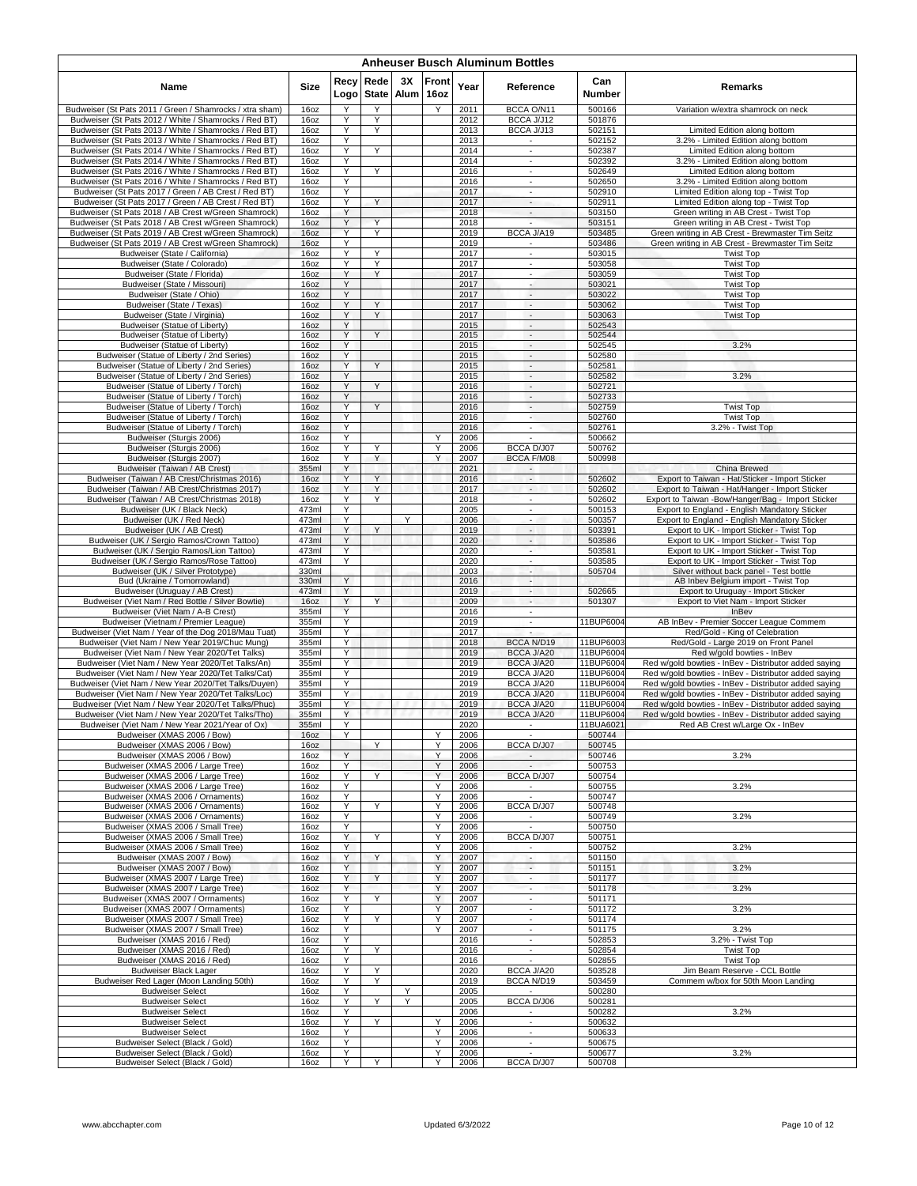| <b>Anheuser Busch Aluminum Bottles</b>                                                                         |                |              |                      |            |               |              |                                                         |                        |                                                                                                                |  |  |  |  |
|----------------------------------------------------------------------------------------------------------------|----------------|--------------|----------------------|------------|---------------|--------------|---------------------------------------------------------|------------------------|----------------------------------------------------------------------------------------------------------------|--|--|--|--|
| Name                                                                                                           | <b>Size</b>    | Recy<br>Logo | Rede<br><b>State</b> | 3X<br>Alum | Front<br>16oz | Year         | Reference                                               | Can<br>Number          | Remarks                                                                                                        |  |  |  |  |
| Budweiser (St Pats 2011 / Green / Shamrocks / xtra sham)                                                       | 16oz           | Y            | Y                    |            | Y             | 2011         | BCCA O/N11                                              | 500166                 | Variation w/extra shamrock on neck                                                                             |  |  |  |  |
| Budweiser (St Pats 2012 / White / Shamrocks / Red BT)                                                          | 16oz           | Υ<br>Y       | Y<br>Y               |            |               | 2012         | BCCA J/J12                                              | 501876                 |                                                                                                                |  |  |  |  |
| Budweiser (St Pats 2013 / White / Shamrocks / Red BT)<br>Budweiser (St Pats 2013 / White / Shamrocks / Red BT) | 16oz<br>16oz   | Y            |                      |            |               | 2013<br>2013 | BCCA J/J13<br>$\blacksquare$                            | 502151<br>502152       | Limited Edition along bottom<br>3.2% - Limited Edition along bottom                                            |  |  |  |  |
| Budweiser (St Pats 2014 / White / Shamrocks / Red BT)                                                          | 16oz           | Υ            | Y                    |            |               | 2014         | $\blacksquare$                                          | 502387                 | Limited Edition along bottom                                                                                   |  |  |  |  |
| Budweiser (St Pats 2014 / White / Shamrocks / Red BT)                                                          | 16oz           | Y            |                      |            |               | 2014         | ٠                                                       | 502392                 | 3.2% - Limited Edition along bottom                                                                            |  |  |  |  |
| Budweiser (St Pats 2016 / White / Shamrocks / Red BT)<br>Budweiser (St Pats 2016 / White / Shamrocks / Red BT) | 16oz<br>16oz   | Y<br>Y       | Y                    |            |               | 2016<br>2016 | $\sim$<br>$\mathcal{L}_{\mathcal{A}}$                   | 502649<br>502650       | Limited Edition along bottom<br>3.2% - Limited Edition along bottom                                            |  |  |  |  |
| Budweiser (St Pats 2017 / Green / AB Crest / Red BT)                                                           | 16oz           | Y            |                      |            |               | 2017         | $\overline{\phantom{a}}$                                | 502910                 | Limited Edition along top - Twist Top                                                                          |  |  |  |  |
| Budweiser (St Pats 2017 / Green / AB Crest / Red BT)                                                           | 16oz           | Y            | Y                    |            |               | 2017         | $\overline{\phantom{a}}$                                | 502911                 | Limited Edition along top - Twist Top                                                                          |  |  |  |  |
| Budweiser (St Pats 2018 / AB Crest w/Green Shamrock)<br>Budweiser (St Pats 2018 / AB Crest w/Green Shamrock)   | 16oz<br>16oz   | Y<br>Y       | Y                    |            |               | 2018<br>2018 | $\overline{\phantom{a}}$<br>÷.                          | 503150<br>503151       | Green writing in AB Crest - Twist Top<br>Green writing in AB Crest - Twist Top                                 |  |  |  |  |
| Budweiser (St Pats 2019 / AB Crest w/Green Shamrock)                                                           | 16oz           | Y            | Y                    |            |               | 2019         | BCCA J/A19                                              | 503485                 | Green writing in AB Crest - Brewmaster Tim Seitz                                                               |  |  |  |  |
| Budweiser (St Pats 2019 / AB Crest w/Green Shamrock)                                                           | 16oz           | Y            |                      |            |               | 2019         | $\sim$                                                  | 503486                 | Green writing in AB Crest - Brewmaster Tim Seitz                                                               |  |  |  |  |
| Budweiser (State / California)<br>Budweiser (State / Colorado)                                                 | 16oz<br>16oz   | Y<br>Y       | Y<br>Y               |            |               | 2017<br>2017 | ×<br>$\blacksquare$                                     | 503015<br>503058       | <b>Twist Top</b><br><b>Twist Top</b>                                                                           |  |  |  |  |
| Budweiser (State / Florida)                                                                                    | 16oz           | Y            | Y                    |            |               | 2017         | $\blacksquare$                                          | 503059                 | <b>Twist Top</b>                                                                                               |  |  |  |  |
| Budweiser (State / Missouri)                                                                                   | 16oz           | Y            |                      |            |               | 2017         | $\sim$                                                  | 503021                 | <b>Twist Top</b>                                                                                               |  |  |  |  |
| Budweiser (State / Ohio)<br>Budweiser (State / Texas)                                                          | 16oz<br>16oz   | Y<br>Υ       | Y                    |            |               | 2017<br>2017 | $\mathcal{L}_{\mathcal{A}}$<br>$\overline{\phantom{a}}$ | 503022<br>503062       | <b>Twist Top</b><br><b>Twist Top</b>                                                                           |  |  |  |  |
| Budweiser (State / Virginia)                                                                                   | 16oz           | Y            | Y                    |            |               | 2017         | $\sim$                                                  | 503063                 | <b>Twist Top</b>                                                                                               |  |  |  |  |
| Budweiser (Statue of Liberty)                                                                                  | 16oz           | Y            |                      |            |               | 2015         | $\sim$                                                  | 502543                 |                                                                                                                |  |  |  |  |
| Budweiser (Statue of Liberty)                                                                                  | 16oz           | Y            | Y                    |            |               | 2015         | $\sim$                                                  | 502544                 |                                                                                                                |  |  |  |  |
| Budweiser (Statue of Liberty)<br>Budweiser (Statue of Liberty / 2nd Series)                                    | 16oz<br>16oz   | Y<br>Y       |                      |            |               | 2015<br>2015 | $\overline{\phantom{a}}$<br>$\sim$                      | 502545<br>502580       | 3.2%                                                                                                           |  |  |  |  |
| Budweiser (Statue of Liberty / 2nd Series)                                                                     | 16oz           | Y            | Y                    |            |               | 2015         | $\mathcal{L}$                                           | 502581                 |                                                                                                                |  |  |  |  |
| Budweiser (Statue of Liberty / 2nd Series)                                                                     | 16oz           | Υ            |                      |            |               | 2015         | $\blacksquare$                                          | 502582                 | 3.2%                                                                                                           |  |  |  |  |
| Budweiser (Statue of Liberty / Torch)<br>Budweiser (Statue of Liberty / Torch)                                 | 16oz<br>16oz   | Y<br>Υ       | Y                    |            |               | 2016<br>2016 | $\sim$<br>$\sim$                                        | 502721<br>502733       |                                                                                                                |  |  |  |  |
| Budweiser (Statue of Liberty / Torch)                                                                          | 16oz           | Υ            | Y                    |            |               | 2016         | $\sim$                                                  | 502759                 | <b>Twist Top</b>                                                                                               |  |  |  |  |
| Budweiser (Statue of Liberty / Torch)                                                                          | 16oz           | Y            |                      |            |               | 2016         | $\overline{\phantom{a}}$                                | 502760                 | <b>Twist Top</b>                                                                                               |  |  |  |  |
| Budweiser (Statue of Liberty / Torch)                                                                          | 16oz           | Y            |                      |            |               | 2016         | $\sim$                                                  | 502761                 | 3.2% - Twist Top                                                                                               |  |  |  |  |
| Budweiser (Sturgis 2006)<br>Budweiser (Sturgis 2006)                                                           | 16oz<br>16oz   | Y<br>Υ       | Υ                    |            | Y<br>Y        | 2006<br>2006 | BCCA D/J07                                              | 500662<br>500762       |                                                                                                                |  |  |  |  |
| Budweiser (Sturgis 2007)                                                                                       | 16oz           | Y            | Y                    |            | Y             | 2007         | <b>BCCA F/M08</b>                                       | 500998                 |                                                                                                                |  |  |  |  |
| Budweiser (Taiwan / AB Crest)                                                                                  | 355ml          | Y            |                      |            |               | 2021         | $\overline{\phantom{a}}$                                |                        | China Brewed                                                                                                   |  |  |  |  |
| Budweiser (Taiwan / AB Crest/Christmas 2016)<br>Budweiser (Taiwan / AB Crest/Christmas 2017)                   | 16oz<br>16oz   | Y<br>Y       | Y<br>Y               |            |               | 2016<br>2017 | $\overline{\phantom{a}}$<br>$\overline{\phantom{a}}$    | 502602<br>502602       | Export to Taiwan - Hat/Sticker - Import Sticker<br>Export to Taiwan - Hat/Hanger - Import Sticker              |  |  |  |  |
| Budweiser (Taiwan / AB Crest/Christmas 2018)                                                                   | 16oz           | Y            | Y                    |            |               | 2018         | $\overline{\phantom{a}}$                                | 502602                 | Export to Taiwan -Bow/Hanger/Bag - Import Sticker                                                              |  |  |  |  |
| Budweiser (UK / Black Neck)                                                                                    | 473ml          | Y            |                      |            |               | 2005         | $\mathcal{L}_{\mathcal{A}}$                             | 500153                 | Export to England - English Mandatory Sticker                                                                  |  |  |  |  |
| Budweiser (UK / Red Neck)                                                                                      | 473ml          | Y            |                      | Y          |               | 2006         | $\sim$                                                  | 500357                 | Export to England - English Mandatory Sticker                                                                  |  |  |  |  |
| Budweiser (UK / AB Crest)<br>Budweiser (UK / Sergio Ramos/Crown Tattoo)                                        | 473ml<br>473ml | Y<br>Y       | Y                    |            |               | 2019<br>2020 | $\overline{\phantom{a}}$<br>$\sim$                      | 503391<br>503586       | Export to UK - Import Sticker - Twist Top<br>Export to UK - Import Sticker - Twist Top                         |  |  |  |  |
| Budweiser (UK / Sergio Ramos/Lion Tattoo)                                                                      | 473ml          | Y            |                      |            |               | 2020         | ×.                                                      | 503581                 | Export to UK - Import Sticker - Twist Top                                                                      |  |  |  |  |
| Budweiser (UK / Sergio Ramos/Rose Tattoo)                                                                      | 473ml          | Y            |                      |            |               | 2020         | $\blacksquare$                                          | 503585                 | Export to UK - Import Sticker - Twist Top                                                                      |  |  |  |  |
| Budweiser (UK / Silver Prototype)<br>Bud (Ukraine / Tomorrowland)                                              | 330ml<br>330ml | Y            |                      |            |               | 2003<br>2016 | ٠<br>$\sim$                                             | 505704                 | Silver without back panel - Test bottle<br>AB Inbev Belgium import - Twist Top                                 |  |  |  |  |
| Budweiser (Uruguay / AB Crest)                                                                                 | 473ml          | Y            |                      |            |               | 2019         | ÷                                                       | 502665                 | Export to Uruguay - Import Sticker                                                                             |  |  |  |  |
| Budweiser (Viet Nam / Red Bottle / Silver Bowtie)                                                              | 16oz           | Y            | Y                    |            |               | 2009         | $\overline{\phantom{a}}$                                | 501307                 | Export to Viet Nam - Import Sticker                                                                            |  |  |  |  |
| Budweiser (Viet Nam / A-B Crest)                                                                               | 355ml          | Y<br>Y       |                      |            |               | 2016         | $\sim$<br>$\sim$                                        | 11BUP6004              | InBev                                                                                                          |  |  |  |  |
| Budweiser (Vietnam / Premier League)<br>Budweiser (Viet Nam / Year of the Dog 2018/Mau Tuat)                   | 355ml<br>355ml | Y            |                      |            |               | 2019<br>2017 |                                                         |                        | AB InBev - Premier Soccer League Commem<br>Red/Gold - King of Celebration                                      |  |  |  |  |
| Budweiser (Viet Nam / New Year 2019/Chuc Mung)                                                                 | 355ml          | Y            |                      |            |               | 2018         | BCCA N/D19                                              | 11BUP6003              | Red/Gold - Large 2019 on Front Panel                                                                           |  |  |  |  |
| Budweiser (Viet Nam / New Year 2020/Tet Talks)                                                                 | 355ml          | Y            |                      |            |               | 2019         | BCCA J/A20                                              | 11BUP6004              | Red w/gold bowties - InBev                                                                                     |  |  |  |  |
| Budweiser (Viet Nam / New Year 2020/Tet Talks/An)<br>Budweiser (Viet Nam / New Year 2020/Tet Talks/Cat)        | 355ml<br>355ml | Y<br>Y       |                      |            |               | 2019<br>2019 | BCCA J/A20<br>BCCA J/A20                                | 11BUP6004<br>11BUP6004 | Red w/gold bowties - InBev - Distributor added saying<br>Red w/gold bowties - InBev - Distributor added saying |  |  |  |  |
| Budweiser (Viet Nam / New Year 2020/Tet Talks/Duyen)                                                           | 355ml          | Y            |                      |            |               | 2019         | BCCA J/A20                                              | 11BUP6004              | Red w/gold bowties - InBev - Distributor added saying                                                          |  |  |  |  |
| Budweiser (Viet Nam / New Year 2020/Tet Talks/Loc)                                                             | 355ml          | Y            |                      |            |               | 2019         | BCCA J/A20                                              | 11BUP6004              | Red w/gold bowties - InBev - Distributor added saying                                                          |  |  |  |  |
| Budweiser (Viet Nam / New Year 2020/Tet Talks/Phuc)<br>Budweiser (Viet Nam / New Year 2020/Tet Talks/Tho)      | 355ml<br>355ml | Υ<br>Y       |                      |            |               | 2019<br>2019 | <b>BCCA J/A20</b><br>BCCA J/A20                         | 11BUP6004<br>11BUP6004 | Red w/qold bowties - InBev - Distributor added saying<br>Red w/gold bowties - InBev - Distributor added saying |  |  |  |  |
| Budweiser (Viet Nam / New Year 2021/Year of Ox)                                                                | 355ml          | Y            |                      |            |               | 2020         |                                                         | 11BUA6021              | Red AB Crest w/Large Ox - InBev                                                                                |  |  |  |  |
| Budweiser (XMAS 2006 / Bow)                                                                                    | 160Z           | Υ            |                      |            | Υ             | 2006         | $\blacksquare$                                          | 500744                 |                                                                                                                |  |  |  |  |
| Budweiser (XMAS 2006 / Bow)                                                                                    | 16oz           |              | Y                    |            | Y             | 2006         | <b>BCCA D/J07</b>                                       | 500745                 |                                                                                                                |  |  |  |  |
| Budweiser (XMAS 2006 / Bow)<br>Budweiser (XMAS 2006 / Large Tree)                                              | 16oz<br>16oz   | Y<br>Y       |                      |            | Y<br>Y        | 2006<br>2006 | $\sim$                                                  | 500746<br>500753       | 3.2%                                                                                                           |  |  |  |  |
| Budweiser (XMAS 2006 / Large Tree)                                                                             | 16oz           | Y            | Υ                    |            | Y             | 2006         | BCCA D/J07                                              | 500754                 |                                                                                                                |  |  |  |  |
| Budweiser (XMAS 2006 / Large Tree)                                                                             | 16oz           | Y            |                      |            | Υ             | 2006         | $\sim$                                                  | 500755                 | 3.2%                                                                                                           |  |  |  |  |
| Budweiser (XMAS 2006 / Ornaments)<br>Budweiser (XMAS 2006 / Ornaments)                                         | 16oz<br>16oz   | Y<br>Y       | Y                    |            | Y<br>Y        | 2006<br>2006 | BCCA D/J07                                              | 500747<br>500748       |                                                                                                                |  |  |  |  |
| Budweiser (XMAS 2006 / Ornaments)                                                                              | 16oz           | Y            |                      |            | Y             | 2006         | ۰.                                                      | 500749                 | 3.2%                                                                                                           |  |  |  |  |
| Budweiser (XMAS 2006 / Small Tree)                                                                             | 16oz           | Y            |                      |            | Y             | 2006         | $\sim$                                                  | 500750                 |                                                                                                                |  |  |  |  |
| Budweiser (XMAS 2006 / Small Tree)                                                                             | 16oz           | Y<br>Y       | Y                    |            | Υ<br>Y        | 2006         | BCCA D/J07                                              | 500751                 |                                                                                                                |  |  |  |  |
| Budweiser (XMAS 2006 / Small Tree)<br>Budweiser (XMAS 2007 / Bow)                                              | 16oz<br>160Z   | Y            | Υ                    |            | Υ             | 2006<br>2007 | $\sim$<br>$\overline{\phantom{a}}$                      | 500752<br>501150       | 3.2%                                                                                                           |  |  |  |  |
| Budweiser (XMAS 2007 / Bow)                                                                                    | 16oz           | Y            |                      |            | Υ             | 2007         | $\sim$                                                  | 501151                 | 3.2%                                                                                                           |  |  |  |  |
| Budweiser (XMAS 2007 / Large Tree)                                                                             | 16oz           | Y            | Y                    |            | Υ             | 2007         | $\overline{\phantom{a}}$                                | 501177                 |                                                                                                                |  |  |  |  |
| Budweiser (XMAS 2007 / Large Tree)<br>Budweiser (XMAS 2007 / Orrnaments)                                       | 16oz<br>16oz   | Y<br>Y       | Y                    |            | Y<br>Υ        | 2007<br>2007 | $\overline{\phantom{a}}$<br>$\sim$                      | 501178<br>501171       | 3.2%                                                                                                           |  |  |  |  |
| Budweiser (XMAS 2007 / Orrnaments)                                                                             | 16oz           | Y            |                      |            | Y             | 2007         | $\overline{\phantom{a}}$                                | 501172                 | 3.2%                                                                                                           |  |  |  |  |
| Budweiser (XMAS 2007 / Small Tree)                                                                             | 16oz           | Y            | Y                    |            | Y             | 2007         | $\blacksquare$                                          | 501174                 |                                                                                                                |  |  |  |  |
| Budweiser (XMAS 2007 / Small Tree)<br>Budweiser (XMAS 2016 / Red)                                              | 16oz           | Y<br>Y       |                      |            | Y             | 2007         | ٠<br>$\sim$                                             | 501175                 | 3.2%                                                                                                           |  |  |  |  |
| Budweiser (XMAS 2016 / Red)                                                                                    | 16oz<br>16oz   | Y            | Y                    |            |               | 2016<br>2016 | $\mathcal{L}_{\mathcal{A}}$                             | 502853<br>502854       | 3.2% - Twist Top<br><b>Twist Top</b>                                                                           |  |  |  |  |
| Budweiser (XMAS 2016 / Red)                                                                                    | 16oz           | Υ            |                      |            |               | 2016         | $\blacksquare$                                          | 502855                 | <b>Twist Top</b>                                                                                               |  |  |  |  |
| <b>Budweiser Black Lager</b>                                                                                   | 16oz           | Y            | Y                    |            |               | 2020         | BCCA J/A20                                              | 503528                 | Jim Beam Reserve - CCL Bottle                                                                                  |  |  |  |  |
| Budweiser Red Lager (Moon Landing 50th)<br><b>Budweiser Select</b>                                             | 16oz<br>16oz   | Y<br>Υ       | Y                    | Υ          |               | 2019<br>2005 | BCCA N/D19                                              | 503459<br>500280       | Commem w/box for 50th Moon Landing                                                                             |  |  |  |  |
| <b>Budweiser Select</b>                                                                                        | 16oz           | Y            | Y                    | Y          |               | 2005         | BCCA D/J06                                              | 500281                 |                                                                                                                |  |  |  |  |
| <b>Budweiser Select</b>                                                                                        | 16oz           | Y            |                      |            |               | 2006         | $\sim$                                                  | 500282                 | 3.2%                                                                                                           |  |  |  |  |
| <b>Budweiser Select</b>                                                                                        | 16oz           | Y            | Y                    |            | Y             | 2006         | $\blacksquare$                                          | 500632                 |                                                                                                                |  |  |  |  |
| <b>Budweiser Select</b><br>Budweiser Select (Black / Gold)                                                     | 16oz<br>16oz   | Υ<br>Y       |                      |            | Υ<br>Υ        | 2006<br>2006 | $\blacksquare$<br>$\sim$                                | 500633<br>500675       |                                                                                                                |  |  |  |  |
| Budweiser Select (Black / Gold)                                                                                | 16oz           | Y            |                      |            | Υ             | 2006         | ×.                                                      | 500677                 | 3.2%                                                                                                           |  |  |  |  |
| Budweiser Select (Black / Gold)                                                                                | 16oz           | Υ            | Υ                    |            | Y             | 2006         | BCCA D/J07                                              | 500708                 |                                                                                                                |  |  |  |  |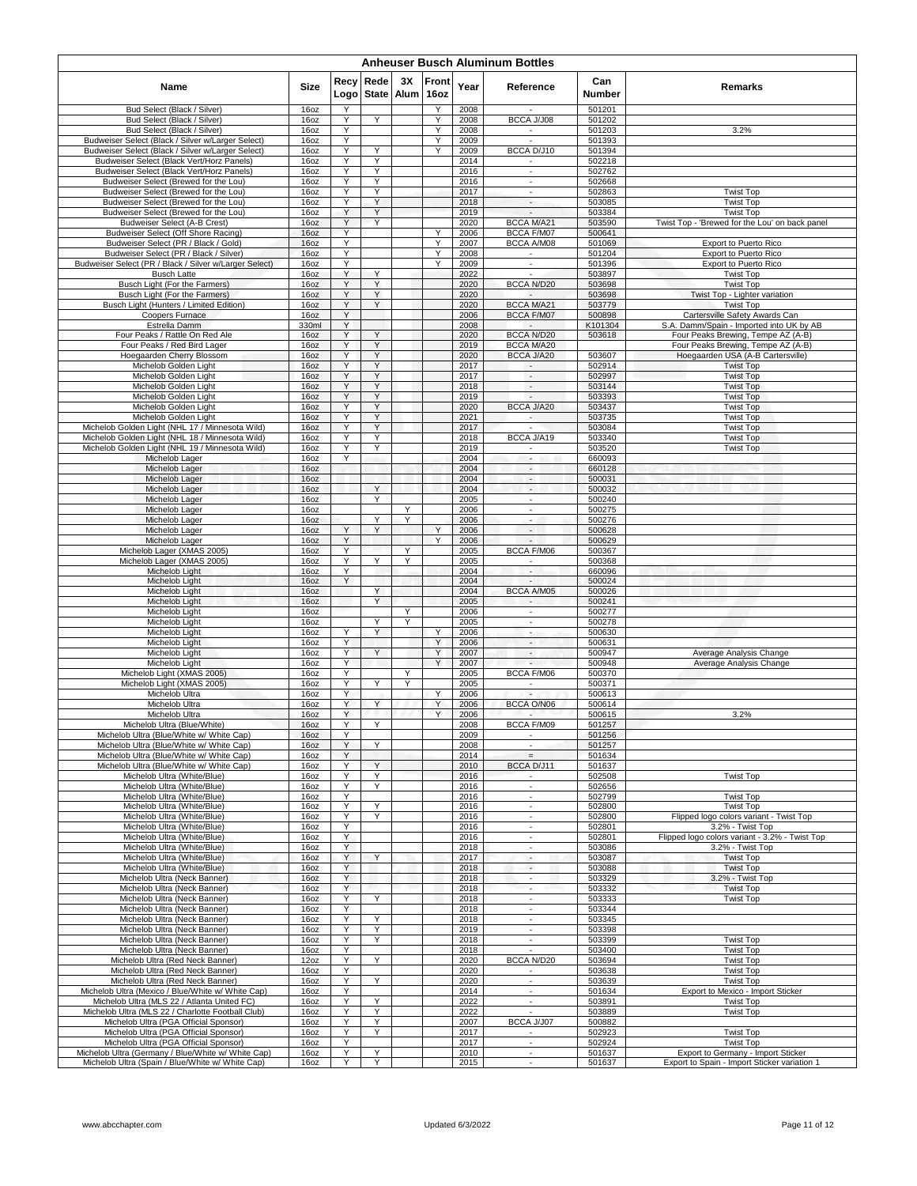|                                                                                                  |               |              |        |                  |               |              | <b>Anheuser Busch Aluminum Bottles</b>               |                      |                                                                            |
|--------------------------------------------------------------------------------------------------|---------------|--------------|--------|------------------|---------------|--------------|------------------------------------------------------|----------------------|----------------------------------------------------------------------------|
| Name                                                                                             | Size          | Recv<br>Logo | Rede   | 3X<br>State Alum | Front<br>16oz | Year         | Reference                                            | Can<br><b>Number</b> | Remarks                                                                    |
| Bud Select (Black / Silver)<br>Bud Select (Black / Silver)                                       | 16oz          | Υ<br>Y       | Y      |                  | Υ<br>Y        | 2008         | BCCA J/J08                                           | 501201<br>501202     |                                                                            |
| Bud Select (Black / Silver)                                                                      | 16oz<br>16oz  | Υ            |        |                  | Υ             | 2008<br>2008 | $\sim$                                               | 501203               | 3.2%                                                                       |
| Budweiser Select (Black / Silver w/Larger Select)                                                | 16oz          | Υ            |        |                  | Y             | 2009         |                                                      | 501393               |                                                                            |
| Budweiser Select (Black / Silver w/Larger Select)<br>Budweiser Select (Black Vert/Horz Panels)   | 16oz<br>16oz  | Υ<br>Y       | Υ<br>Y |                  | Υ             | 2009<br>2014 | BCCA D/J10                                           | 501394<br>502218     |                                                                            |
| Budweiser Select (Black Vert/Horz Panels)                                                        | 16oz          | Y            | Y      |                  |               | 2016         | $\sim$                                               | 502762               |                                                                            |
| Budweiser Select (Brewed for the Lou)                                                            | 16oz          | Y            | Y      |                  |               | 2016         | $\overline{\phantom{a}}$                             | 502668               |                                                                            |
| Budweiser Select (Brewed for the Lou)<br>Budweiser Select (Brewed for the Lou)                   | 16oz<br>16oz  | Υ<br>Y       | Y<br>Υ |                  |               | 2017<br>2018 | $\overline{\phantom{a}}$<br>$\overline{\phantom{a}}$ | 502863<br>503085     | <b>Twist Top</b><br><b>Twist Top</b>                                       |
| Budweiser Select (Brewed for the Lou)                                                            | 16oz          | Y            | Y      |                  |               | 2019         | $\overline{\phantom{a}}$                             | 503384               | <b>Twist Top</b>                                                           |
| Budweiser Select (A-B Crest)                                                                     | 16oz          | Υ            | Y      |                  |               | 2020         | <b>BCCA M/A21</b>                                    | 503590               | Twist Top - 'Brewed for the Lou' on back panel                             |
| Budweiser Select (Off Shore Racing)<br>Budweiser Select (PR / Black / Gold)                      | 16oz<br>16oz  | Y<br>Y       |        |                  | Y<br>Υ        | 2006<br>2007 | BCCA F/M07<br>BCCA A/M08                             | 500641<br>501069     | Export to Puerto Rico                                                      |
| Budweiser Select (PR / Black / Silver)                                                           | 16oz          | Y            |        |                  | Y             | 2008         |                                                      | 501204               | Export to Puerto Rico                                                      |
| Budweiser Select (PR / Black / Silver w/Larger Select)                                           | 16oz          | Y            |        |                  | Y             | 2009         | $\overline{\phantom{a}}$                             | 501396               | Export to Puerto Rico                                                      |
| <b>Busch Latte</b><br>Busch Light (For the Farmers)                                              | 16oz<br>16oz  | Υ<br>Υ       | Y      |                  |               | 2022<br>2020 | <b>BCCA N/D20</b>                                    | 503897<br>503698     | <b>Twist Top</b><br><b>Twist Top</b>                                       |
| Busch Light (For the Farmers)                                                                    | 16oz          | Υ            | Υ      |                  |               | 2020         |                                                      | 503698               | Twist Top - Lighter variation                                              |
| Busch Light (Hunters / Limited Edition)                                                          | 16oz          | Y            | Y      |                  |               | 2020         | <b>BCCA M/A21</b>                                    | 503779               | <b>Twist Top</b>                                                           |
| Coopers Furnace<br>Estrella Damm                                                                 | 16oz<br>330ml | Υ<br>Y       |        |                  |               | 2006<br>2008 | BCCA F/M07                                           | 500898<br>K101304    | Cartersville Safety Awards Can<br>S.A. Damm/Spain - Imported into UK by AB |
| Four Peaks / Rattle On Red Ale                                                                   | 16oz          | Y            | Y      |                  |               | 2020         | BCCA N/D20                                           | 503618               | Four Peaks Brewing, Tempe AZ (A-B)                                         |
| Four Peaks / Red Bird Lager                                                                      | 16oz          | Y            | Y      |                  |               | 2019         | BCCA M/A20                                           |                      | Four Peaks Brewing, Tempe AZ (A-B)                                         |
| Hoegaarden Cherry Blossom<br>Michelob Golden Light                                               | 16oz<br>16oz  | Υ<br>Y       | Y<br>Y |                  |               | 2020<br>2017 | BCCA J/A20<br>$\mathcal{L}$                          | 503607<br>502914     | Hoegaarden USA (A-B Cartersville)<br><b>Twist Top</b>                      |
| Michelob Golden Light                                                                            | 16oz          | Υ            | Y      |                  |               | 2017         | $\overline{\phantom{a}}$                             | 502997               | <b>Twist Top</b>                                                           |
| Michelob Golden Light                                                                            | 16oz          | Υ            | Υ      |                  |               | 2018         | $\sim$                                               | 503144               | <b>Twist Top</b>                                                           |
| Michelob Golden Light                                                                            | 16oz          | Υ            | Υ      |                  |               | 2019         | $\overline{\phantom{a}}$                             | 503393               | <b>Twist Top</b>                                                           |
| Michelob Golden Light<br>Michelob Golden Light                                                   | 16oz<br>16oz  | Y<br>Y       | Υ<br>Y |                  |               | 2020<br>2021 | BCCA J/A20<br>$\overline{\phantom{a}}$               | 503437<br>503735     | <b>Twist Top</b><br><b>Twist Top</b>                                       |
| Michelob Golden Light (NHL 17 / Minnesota Wild)                                                  | 16oz          | Y            | Y      |                  |               | 2017         | ٠                                                    | 503084               | <b>Twist Top</b>                                                           |
| Michelob Golden Light (NHL 18 / Minnesota Wild)                                                  | 16oz          | Y            | Y      |                  |               | 2018         | BCCA J/A19                                           | 503340               | <b>Twist Top</b>                                                           |
| Michelob Golden Light (NHL 19 / Minnesota Wild)<br>Michelob Lager                                | 16oz<br>16oz  | Υ<br>Y       | Y      |                  |               | 2019<br>2004 | $\sim$                                               | 503520<br>660093     | <b>Twist Top</b>                                                           |
| Michelob Lager                                                                                   | 16oz          |              |        |                  |               | 2004         | $\overline{\phantom{a}}$                             | 660128               |                                                                            |
| Michelob Lager                                                                                   | 16oz          |              |        |                  |               | 2004         | $\omega$                                             | 500031               |                                                                            |
| Michelob Lager<br>Michelob Lager                                                                 | 16oz<br>16oz  |              | Y<br>Y |                  |               | 2004<br>2005 | $\overline{\phantom{a}}$<br>$\overline{\phantom{a}}$ | 500032<br>500240     |                                                                            |
| Michelob Lager                                                                                   | 16oz          |              |        | Y                |               | 2006         | ÷.                                                   | 500275               |                                                                            |
| Michelob Lager                                                                                   | 16oz          |              | Y      | Υ                |               | 2006         | $\blacksquare$                                       | 500276               |                                                                            |
| Michelob Lager<br>Michelob Lager                                                                 | 16oz<br>16oz  | Υ<br>Υ       | Y      |                  | Y<br>Y        | 2006<br>2006 | $\overline{\phantom{a}}$<br>$\overline{\phantom{a}}$ | 500628<br>500629     |                                                                            |
| Michelob Lager (XMAS 2005)                                                                       | 16oz          | Υ            |        | Y                |               | 2005         | BCCA F/M06                                           | 500367               |                                                                            |
| Michelob Lager (XMAS 2005)                                                                       | 16oz          | Y            | Y      | Y                |               | 2005         |                                                      | 500368               |                                                                            |
| Michelob Light                                                                                   | 16oz          | Υ<br>Y       |        |                  |               | 2004         | $\overline{\phantom{a}}$<br>$\sim$                   | 660096               |                                                                            |
| Michelob Light<br>Michelob Light                                                                 | 16oz<br>16oz  |              | Y      |                  |               | 2004<br>2004 | BCCA A/M05                                           | 500024<br>500026     |                                                                            |
| Michelob Light                                                                                   | 16oz          |              | Y      |                  |               | 2005         | $\langle \bullet \rangle$                            | 500241               |                                                                            |
| Michelob Light                                                                                   | 16oz          |              |        | Y                |               | 2006         | $\sim$<br>$\sim$                                     | 500277               |                                                                            |
| Michelob Light<br>Michelob Light                                                                 | 16oz<br>16oz  | Y            | Y<br>Y | Y                | Y             | 2005<br>2006 | $\overline{\phantom{a}}$                             | 500278<br>500630     |                                                                            |
| Michelob Light                                                                                   | 16oz          | Y            |        |                  | Υ             | 2006         | $\overline{\phantom{a}}$                             | 500631               |                                                                            |
| Michelob Light                                                                                   | 16oz          | Y            | Y      |                  | Y             | 2007         | $\overline{\phantom{a}}$                             | 500947               | Average Analysis Change                                                    |
| Michelob Light<br>Michelob Light (XMAS 2005)                                                     | 16oz<br>16oz  | Υ<br>Y       |        |                  | Y             | 2007<br>2005 | $\sim$<br>BCCA F/M06                                 | 500948<br>500370     | Average Analysis Change                                                    |
| Michelob Light (XMAS 2005)                                                                       | 16oz          | Y            | Y      | Y                |               | 2005         | $\sim$                                               | 500371               |                                                                            |
| Michelob Ultra                                                                                   | 16oz          | Y            |        |                  | Υ             | 2006         |                                                      | 500613               |                                                                            |
| Michelob Ultra<br>Michelob Ultra                                                                 | 16oz<br>16oz  | Υ<br>Y       | Y      |                  | Y<br>Y        | 2006<br>2006 | BCCA O/N06<br>$\blacksquare$                         | 500614<br>500615     | 3.2%                                                                       |
| Michelob Ultra (Blue/White)                                                                      | 16oz          |              | Υ      |                  |               | 2008         | BCCA F/M09                                           | 501257               |                                                                            |
| Michelob Ultra (Blue/White w/ White Cap)                                                         | 16oz          | Υ            |        |                  |               | 2009         |                                                      | 501256               |                                                                            |
| Michelob Ultra (Blue/White w/ White Cap)<br>Michelob Ultra (Blue/White w/ White Cap)             | 16oz<br>16oz  | Y<br>Y       | Y      |                  |               | 2008<br>2014 | $\blacksquare$<br>$=$                                | 501257<br>501634     |                                                                            |
| Michelob Ultra (Blue/White w/ White Cap)                                                         | 16oz          | Y            | Y      |                  |               | 2010         | BCCA D/J11                                           | 501637               |                                                                            |
| Michelob Ultra (White/Blue)                                                                      | 16oz          | Υ            | Y      |                  |               | 2016         |                                                      | 502508               | <b>Twist Top</b>                                                           |
| Michelob Ultra (White/Blue)<br>Michelob Ultra (White/Blue)                                       | 16oz<br>16oz  | Y<br>Y       | Υ      |                  |               | 2016<br>2016 | $\sim$<br>$\overline{\phantom{a}}$                   | 502656<br>502799     | <b>Twist Top</b>                                                           |
| Michelob Ultra (White/Blue)                                                                      | 16oz          | Υ            | Y      |                  |               | 2016         | ÷.                                                   | 502800               | <b>Twist Top</b>                                                           |
| Michelob Ultra (White/Blue)                                                                      | 16oz          | Y            | Y      |                  |               | 2016         | $\overline{\phantom{a}}$                             | 502800               | Flipped logo colors variant - Twist Top                                    |
| Michelob Ultra (White/Blue)<br>Michelob Ultra (White/Blue)                                       | 16oz<br>16oz  | Y<br>Y       |        |                  |               | 2016<br>2016 | $\sim$<br>×                                          | 502801<br>502801     | 3.2% - Twist Top<br>Flipped logo colors variant - 3.2% - Twist Top         |
| Michelob Ultra (White/Blue)                                                                      | 16oz          | Y            |        |                  |               | 2018         | $\mathcal{L}_{\mathcal{A}}$                          | 503086               | 3.2% - Twist Top                                                           |
| Michelob Ultra (White/Blue)                                                                      | 16oz          | Υ            | Y      |                  |               | 2017         | ٠                                                    | 503087               | <b>Twist Top</b>                                                           |
| Michelob Ultra (White/Blue)<br>Michelob Ultra (Neck Banner)                                      | 16oz          | Υ<br>Υ       |        |                  |               | 2018<br>2018 | $\sim$<br>$\mathcal{L}_{\mathcal{A}}$                | 503088<br>503329     | <b>Twist Top</b><br>3.2% - Twist Top                                       |
| Michelob Ultra (Neck Banner)                                                                     | 16oz<br>16oz  | Y            |        |                  |               | 2018         | $\overline{\phantom{a}}$                             | 503332               | <b>Twist Top</b>                                                           |
| Michelob Ultra (Neck Banner)                                                                     | 16oz          | Υ            | Y      |                  |               | 2018         | $\blacksquare$                                       | 503333               | <b>Twist Top</b>                                                           |
| Michelob Ultra (Neck Banner)<br>Michelob Ultra (Neck Banner)                                     | 16oz          | Υ<br>Y       | Y      |                  |               | 2018<br>2018 | ×.                                                   | 503344<br>503345     |                                                                            |
| Michelob Ultra (Neck Banner)                                                                     | 16oz<br>16oz  | Y            | Υ      |                  |               | 2019         | $\sim$<br>٠                                          | 503398               |                                                                            |
| Michelob Ultra (Neck Banner)                                                                     | 16oz          | Υ            | Y      |                  |               | 2018         | $\blacksquare$                                       | 503399               | <b>Twist Top</b>                                                           |
| Michelob Ultra (Neck Banner)                                                                     | 16oz          | Υ            |        |                  |               | 2018         |                                                      | 503400               | <b>Twist Top</b>                                                           |
| Michelob Ultra (Red Neck Banner)<br>Michelob Ultra (Red Neck Banner)                             | 12oz<br>16oz  | Υ<br>Υ       | Υ      |                  |               | 2020<br>2020 | BCCA N/D20<br>$\sim$                                 | 503694<br>503638     | <b>Twist Top</b><br><b>Twist Top</b>                                       |
| Michelob Ultra (Red Neck Banner)                                                                 | 16oz          | Υ            | Y      |                  |               | 2020         | $\sim$                                               | 503639               | <b>Twist Top</b>                                                           |
| Michelob Ultra (Mexico / Blue/White w/ White Cap)                                                | 16oz          | Υ            |        |                  |               | 2014         | $\overline{\phantom{a}}$                             | 501634               | Export to Mexico - Import Sticker                                          |
| Michelob Ultra (MLS 22 / Atlanta United FC)<br>Michelob Ultra (MLS 22 / Charlotte Football Club) | 16oz          | Υ<br>Y       | Υ<br>Y |                  |               | 2022<br>2022 | ٠<br>$\sim$                                          | 503891<br>503889     | <b>Twist Top</b><br><b>Twist Top</b>                                       |
| Michelob Ultra (PGA Official Sponsor)                                                            | 16oz<br>16oz  | Υ            | Υ      |                  |               | 2007         | BCCA J/J07                                           | 500882               |                                                                            |
| Michelob Ultra (PGA Official Sponsor)                                                            | 16oz          | Y            | Y      |                  |               | 2017         |                                                      | 502923               | <b>Twist Top</b>                                                           |
| Michelob Ultra (PGA Official Sponsor)<br>Michelob Ultra (Germany / Blue/White w/ White Cap)      | 16oz<br>16oz  | Υ<br>Υ       | Y      |                  |               | 2017<br>2010 | $\blacksquare$<br>$\overline{\phantom{a}}$           | 502924<br>501637     | <b>Twist Top</b><br>Export to Germany - Import Sticker                     |
| Michelob Ultra (Spain / Blue/White w/ White Cap)                                                 | 16oz          | Υ            | Υ      |                  |               | 2015         | $\blacksquare$                                       | 501637               | Export to Spain - Import Sticker variation 1                               |
|                                                                                                  |               |              |        |                  |               |              |                                                      |                      |                                                                            |